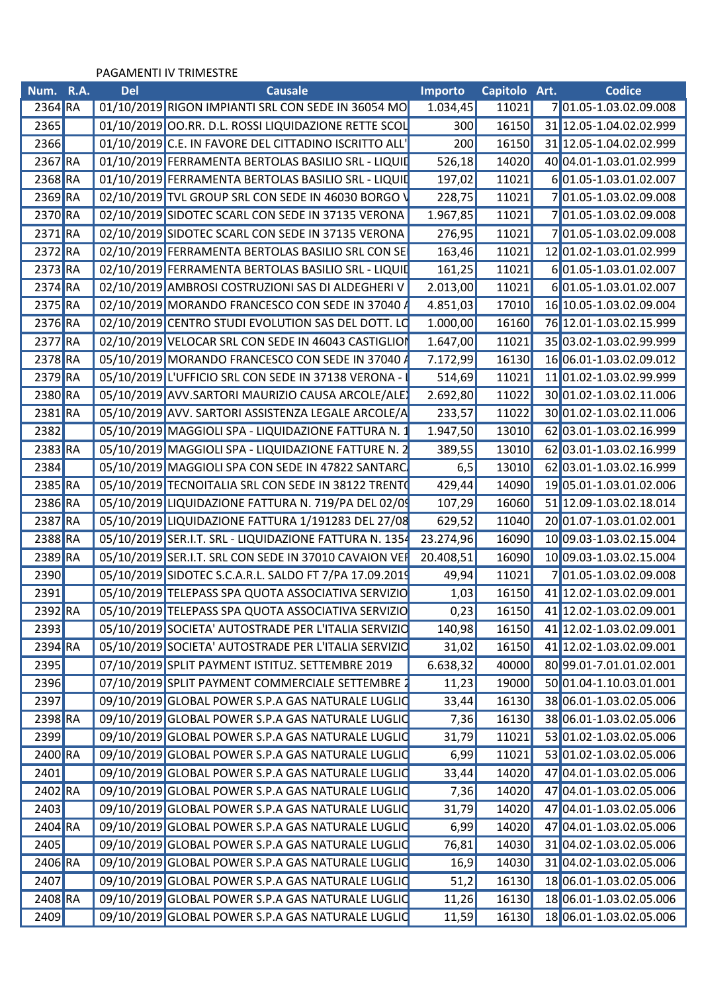## PAGAMENTI IV TRIMESTRE

| Num. R.A.            | <b>Del</b> | <b>Causale</b>                                         | <b>Importo</b>          | Capitolo Art.        | Codice                        |
|----------------------|------------|--------------------------------------------------------|-------------------------|----------------------|-------------------------------|
| $2364$ <sub>RA</sub> |            | 01/10/2019 RIGON IMPIANTI SRL CON SEDE IN 36054 MO     | 1.034,45                | 11021                | 701.05-1.03.02.09.008         |
| 2365                 |            | 01/10/2019 OO.RR. D.L. ROSSI LIQUIDAZIONE RETTE SCOL   | 300                     | 16150                | 31 12.05-1.04.02.02.999       |
| <b>2366</b>          |            | 01/10/2019 C.E. IN FAVORE DEL CITTADINO ISCRITTO ALL'  | 200                     | 16150                | 31 12.05-1.04.02.02.999       |
| 2367 RA              |            | 01/10/2019 FERRAMENTA BERTOLAS BASILIO SRL - LIQUID    | 526,18                  | 14020                | 40 04.01-1.03.01.02.999       |
| 2368 RA              |            | 01/10/2019 FERRAMENTA BERTOLAS BASILIO SRL - LIQUID    | 197,02                  | 11021                | 601.05-1.03.01.02.007         |
| 2369 RA              |            | 02/10/2019 TVL GROUP SRL CON SEDE IN 46030 BORGO       | 228,75                  | 11021                | 701.05-1.03.02.09.008         |
| 2370 RA              |            | 02/10/2019 SIDOTEC SCARL CON SEDE IN 37135 VERONA      | 1.967,85                | 11021                | 701.05-1.03.02.09.008         |
| $2371$ <sub>RA</sub> |            | 02/10/2019 SIDOTEC SCARL CON SEDE IN 37135 VERONA      | 276,95                  | 11021                | 701.05-1.03.02.09.008         |
| 2372 RA              |            | 02/10/2019 FERRAMENTA BERTOLAS BASILIO SRL CON SE      | 163,46                  | 11021                | 12 01.02-1.03.01.02.999       |
| 2373 RA              |            | 02/10/2019 FERRAMENTA BERTOLAS BASILIO SRL - LIQUII    | 161,25                  | 11021                | 6 01.05-1.03.01.02.007        |
| 2374 RA              |            | 02/10/2019 AMBROSI COSTRUZIONI SAS DI ALDEGHERI V      | 2.013,00                | 11021                | 601.05-1.03.01.02.007         |
| 2375 RA              |            | 02/10/2019 MORANDO FRANCESCO CON SEDE IN 37040 A       | 4.851,03                | 17010                | 16 10.05-1.03.02.09.004       |
| 2376 RA              |            | 02/10/2019 CENTRO STUDI EVOLUTION SAS DEL DOTT. LO     | 1.000,00                | 16160                | 76 12.01-1.03.02.15.999       |
| 2377 RA              |            | 02/10/2019 VELOCAR SRL CON SEDE IN 46043 CASTIGLION    | 1.647,00                | 11021                | 35 03.02-1.03.02.99.999       |
| 2378 RA              |            | 05/10/2019 MORANDO FRANCESCO CON SEDE IN 37040         | 7.172,99                | 16130                | 16 06.01-1.03.02.09.012       |
| 2379 RA              |            | 05/10/2019 L'UFFICIO SRL CON SEDE IN 37138 VERONA -    | 514,69                  | 11021                | 11 01.02-1.03.02.99.999       |
| 2380 RA              |            | 05/10/2019 AVV.SARTORI MAURIZIO CAUSA ARCOLE/ALE       | 2.692,80                | 11022                | 30 01.02-1.03.02.11.006       |
| $2381$ <sub>RA</sub> |            | 05/10/2019 AVV. SARTORI ASSISTENZA LEGALE ARCOLE/A     | 233,57                  | 11022                | 30 01.02-1.03.02.11.006       |
| 2382                 |            | 05/10/2019 MAGGIOLI SPA - LIQUIDAZIONE FATTURA N.      | 1.947,50 <mark> </mark> | 13010                | 62 03.01-1.03.02.16.999       |
| 2383 RA              |            | 05/10/2019 MAGGIOLI SPA - LIQUIDAZIONE FATTURE N.      | 389,55                  | 13010                | 62 03.01-1.03.02.16.999       |
| 2384                 |            | 05/10/2019 MAGGIOLI SPA CON SEDE IN 47822 SANTARC      | 6,5                     | 13010                | 62 03.01-1.03.02.16.999       |
| 2385 RA              |            | 05/10/2019 TECNOITALIA SRL CON SEDE IN 38122 TRENTO    | 429,44                  | 14090                | 19 05.01-1.03.01.02.006       |
| 2386 RA              |            | 05/10/2019 LIQUIDAZIONE FATTURA N. 719/PA DEL 02/09    | 107,29                  | 16060                | 51 12.09-1.03.02.18.014       |
| 2387 RA              |            | 05/10/2019 LIQUIDAZIONE FATTURA 1/191283 DEL 27/08     | 629,52                  | 11040                | 20 01.07-1.03.01.02.001       |
| 2388 RA              |            | 05/10/2019 SER.I.T. SRL - LIQUIDAZIONE FATTURA N. 1354 | 23.274,96               | 16090                | 10 09.03-1.03.02.15.004       |
| 2389 RA              |            | 05/10/2019 SER.I.T. SRL CON SEDE IN 37010 CAVAION VER  | 20.408,51               | 16090 <mark> </mark> | 10 09.03-1.03.02.15.004       |
| <b>2390</b>          |            | 05/10/2019 SIDOTEC S.C.A.R.L. SALDO FT 7/PA 17.09.2019 | 49,94                   | 11021                | 701.05-1.03.02.09.008         |
| 2391                 |            | 05/10/2019 TELEPASS SPA QUOTA ASSOCIATIVA SERVIZIO     | 1,03                    | 16150                | 41 12.02-1.03.02.09.001       |
| 2392 RA              |            | 05/10/2019 TELEPASS SPA QUOTA ASSOCIATIVA SERVIZIO     | 0,23                    |                      | 16150 41 12.02-1.03.02.09.001 |
|                      |            | 05/10/2019 SOCIETA' AUTOSTRADE PER L'ITALIA SERVIZIO   | 140,98                  |                      |                               |
| <b>2393</b>          |            |                                                        |                         |                      | 16150 41 12.02-1.03.02.09.001 |
| 2394 RA              |            | 05/10/2019 SOCIETA' AUTOSTRADE PER L'ITALIA SERVIZIO   | 31,02                   |                      | 16150 41 12.02-1.03.02.09.001 |
| <b>2395</b>          |            | 07/10/2019 SPLIT PAYMENT ISTITUZ. SETTEMBRE 2019       | 6.638,32                |                      | 40000 80 99.01-7.01.01.02.001 |
| <b>2396</b>          |            | 07/10/2019 SPLIT PAYMENT COMMERCIALE SETTEMBRE         | 11,23                   |                      | 19000 50 01.04-1.10.03.01.001 |
| 2397                 |            | 09/10/2019 GLOBAL POWER S.P.A GAS NATURALE LUGLIC      | 33,44                   | 16130                | 38 06.01-1.03.02.05.006       |
| 2398 RA              |            | 09/10/2019 GLOBAL POWER S.P.A GAS NATURALE LUGLIC      | 7,36                    |                      | 16130 38 06.01-1.03.02.05.006 |
| 2399                 |            | 09/10/2019 GLOBAL POWER S.P.A GAS NATURALE LUGLIC      | 31,79                   | 11021                | 53 01.02-1.03.02.05.006       |
| 2400 RA              |            | 09/10/2019 GLOBAL POWER S.P.A GAS NATURALE LUGLIC      | 6,99                    | 11021                | 53 01.02-1.03.02.05.006       |
| 2401                 |            | 09/10/2019 GLOBAL POWER S.P.A GAS NATURALE LUGLIC      | 33,44                   | 14020                | 47 04.01-1.03.02.05.006       |
| 2402 RA              |            | 09/10/2019 GLOBAL POWER S.P.A GAS NATURALE LUGLIC      | 7,36                    | 14020                | 47 04.01-1.03.02.05.006       |
| 2403                 |            | 09/10/2019 GLOBAL POWER S.P.A GAS NATURALE LUGLIO      | 31,79                   | 14020                | 47 04.01-1.03.02.05.006       |
| 2404 RA              |            | 09/10/2019 GLOBAL POWER S.P.A GAS NATURALE LUGLIC      | 6,99                    | 14020                | 47 04.01-1.03.02.05.006       |
| <b>2405</b>          |            | 09/10/2019 GLOBAL POWER S.P.A GAS NATURALE LUGLIC      | 76,81                   |                      | 14030 31 04.02-1.03.02.05.006 |
| 2406 RA              |            | 09/10/2019 GLOBAL POWER S.P.A GAS NATURALE LUGLIC      | 16,9                    |                      | 14030 31 04.02-1.03.02.05.006 |
| 2407                 |            | 09/10/2019 GLOBAL POWER S.P.A GAS NATURALE LUGLIC      | 51,2                    | 16130                | 18 06.01-1.03.02.05.006       |
| 2408 RA              |            | 09/10/2019 GLOBAL POWER S.P.A GAS NATURALE LUGLIO      | 11,26                   | 16130                | 18 06.01-1.03.02.05.006       |
| 2409                 |            | 09/10/2019 GLOBAL POWER S.P.A GAS NATURALE LUGLIC      | 11,59                   |                      | 16130 18 06.01-1.03.02.05.006 |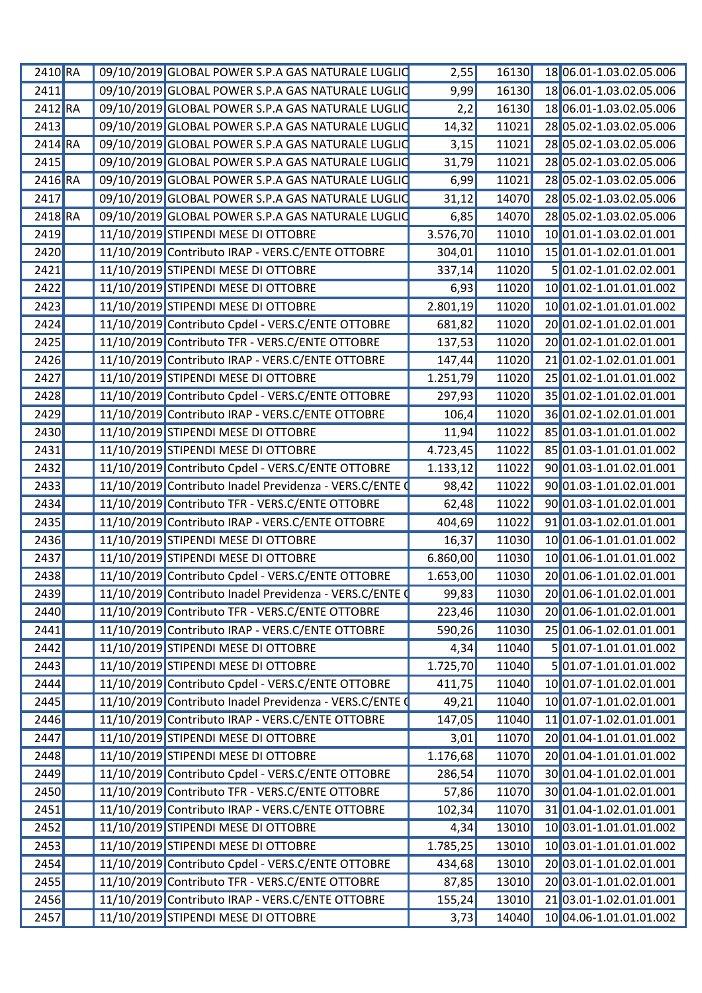| 2410 RA            | 09/10/2019 GLOBAL POWER S.P.A GAS NATURALE LUGLIC       | 2,55      | 16130 | 18 06.01-1.03.02.05.006       |
|--------------------|---------------------------------------------------------|-----------|-------|-------------------------------|
| 2411               | 09/10/2019 GLOBAL POWER S.P.A GAS NATURALE LUGLIC       | 9,99      | 16130 | 18 06.01-1.03.02.05.006       |
| 2412 RA            | 09/10/2019 GLOBAL POWER S.P.A GAS NATURALE LUGLIC       | 2,2       | 16130 | 18 06.01-1.03.02.05.006       |
| 2413               | 09/10/2019 GLOBAL POWER S.P.A GAS NATURALE LUGLIC       | 14,32     | 11021 | 28 05.02-1.03.02.05.006       |
| 2414 RA            | 09/10/2019 GLOBAL POWER S.P.A GAS NATURALE LUGLIO       | 3,15      | 11021 | 28 05.02-1.03.02.05.006       |
| 2415               | 09/10/2019 GLOBAL POWER S.P.A GAS NATURALE LUGLIC       | 31,79     | 11021 | 28 05.02-1.03.02.05.006       |
| 2416 RA            | 09/10/2019 GLOBAL POWER S.P.A GAS NATURALE LUGLIO       | 6,99      | 11021 | 28 05.02-1.03.02.05.006       |
| 2417               | 09/10/2019 GLOBAL POWER S.P.A GAS NATURALE LUGLIC       | 31,12     | 14070 | 28 05.02-1.03.02.05.006       |
| 2418 RA            | 09/10/2019 GLOBAL POWER S.P.A GAS NATURALE LUGLIC       | 6,85      | 14070 | 28 05.02-1.03.02.05.006       |
| 2419               | 11/10/2019 STIPENDI MESE DI OTTOBRE                     | 3.576,70  | 11010 | 10 01.01-1.03.02.01.001       |
| 2420               | 11/10/2019 Contributo IRAP - VERS.C/ENTE OTTOBRE        | 304,01    | 11010 | 15 01.01-1.02.01.01.001       |
| 2421               | 11/10/2019 STIPENDI MESE DI OTTOBRE                     | 337,14    | 11020 | 501.02-1.01.02.02.001         |
| 2422               | 11/10/2019 STIPENDI MESE DI OTTOBRE                     | 6,93      | 11020 | 10 01.02-1.01.01.01.002       |
| 2423               | 11/10/2019 STIPENDI MESE DI OTTOBRE                     | 2.801,19  | 11020 | 10 01.02-1.01.01.01.002       |
| 2424               | 11/10/2019 Contributo Cpdel - VERS.C/ENTE OTTOBRE       | 681,82    | 11020 | 20 01.02-1.01.02.01.001       |
| 2425               | 11/10/2019 Contributo TFR - VERS.C/ENTE OTTOBRE         | 137,53    | 11020 | 20 01.02-1.01.02.01.001       |
| $\overline{2}$ 426 | 11/10/2019 Contributo IRAP - VERS.C/ENTE OTTOBRE        | 147,44    | 11020 | 21 01.02-1.02.01.01.001       |
| 2427               | 11/10/2019 STIPENDI MESE DI OTTOBRE                     | 1.251,79  | 11020 | 25 01.02-1.01.01.01.002       |
| 2428               | 11/10/2019 Contributo Cpdel - VERS.C/ENTE OTTOBRE       | 297,93    | 11020 | 35 01.02-1.01.02.01.001       |
| 2429               | 11/10/2019 Contributo IRAP - VERS.C/ENTE OTTOBRE        | 106,4     | 11020 | 36 01.02-1.02.01.01.001       |
| 2430               | 11/10/2019 STIPENDI MESE DI OTTOBRE                     | 11,94     | 11022 | 85 01.03-1.01.01.01.002       |
| 2431               | 11/10/2019 STIPENDI MESE DI OTTOBRE                     | 4.723,45  | 11022 | 85 01.03-1.01.01.01.002       |
| 2432               | 11/10/2019 Contributo Cpdel - VERS.C/ENTE OTTOBRE       | 1.133, 12 | 11022 | 90 01.03-1.01.02.01.001       |
| 2433               | 11/10/2019 Contributo Inadel Previdenza - VERS.C/ENTE 0 | 98,42     | 11022 | 90 01.03-1.01.02.01.001       |
| 2434               | 11/10/2019 Contributo TFR - VERS.C/ENTE OTTOBRE         | 62,48     | 11022 | 90 01.03-1.01.02.01.001       |
| 2435               | 11/10/2019 Contributo IRAP - VERS.C/ENTE OTTOBRE        | 404,69    | 11022 | 9101.03-1.02.01.01.001        |
| 2436               | 11/10/2019 STIPENDI MESE DI OTTOBRE                     | 16,37     | 11030 | 10 01.06-1.01.01.01.002       |
| 2437               | 11/10/2019 STIPENDI MESE DI OTTOBRE                     | 6.860,00  | 11030 | 10 01.06-1.01.01.01.002       |
| 2438               | 11/10/2019 Contributo Cpdel - VERS.C/ENTE OTTOBRE       | 1.653,00  | 11030 | 20 01.06-1.01.02.01.001       |
| 2439               | 11/10/2019 Contributo Inadel Previdenza - VERS.C/ENTE ( | 99,83     |       | 11030 20 01.06-1.01.02.01.001 |
| 2440               | 11/10/2019 Contributo TFR - VERS.C/ENTE OTTOBRE         | 223,46    | 11030 | 20 01.06-1.01.02.01.001       |
| 2441               | 11/10/2019 Contributo IRAP - VERS.C/ENTE OTTOBRE        | 590,26    | 11030 | 25 01.06-1.02.01.01.001       |
| 2442               | 11/10/2019 STIPENDI MESE DI OTTOBRE                     | 4,34      | 11040 | 5 01.07-1.01.01.01.002        |
| 2443               | 11/10/2019 STIPENDI MESE DI OTTOBRE                     | 1.725,70  | 11040 | 5 01.07-1.01.01.01.002        |
| 2444               | 11/10/2019 Contributo Cpdel - VERS.C/ENTE OTTOBRE       | 411,75    | 11040 | 10 01.07-1.01.02.01.001       |
| 2445               | 11/10/2019 Contributo Inadel Previdenza - VERS.C/ENTE O | 49,21     | 11040 | 10 01.07-1.01.02.01.001       |
| 2446               | 11/10/2019 Contributo IRAP - VERS.C/ENTE OTTOBRE        | 147,05    | 11040 | 11 01.07-1.02.01.01.001       |
| 2447               | 11/10/2019 STIPENDI MESE DI OTTOBRE                     | 3,01      | 11070 | 20 01.04-1.01.01.01.002       |
| 2448               | 11/10/2019 STIPENDI MESE DI OTTOBRE                     | 1.176,68  | 11070 | 20 01.04-1.01.01.01.002       |
| 2449               | 11/10/2019 Contributo Cpdel - VERS.C/ENTE OTTOBRE       | 286,54    | 11070 | 30 01.04-1.01.02.01.001       |
| 2450               | 11/10/2019 Contributo TFR - VERS.C/ENTE OTTOBRE         | 57,86     | 11070 | 30 01.04-1.01.02.01.001       |
| 2451               | 11/10/2019 Contributo IRAP - VERS.C/ENTE OTTOBRE        | 102,34    | 11070 | 31 01.04-1.02.01.01.001       |
| 2452               | 11/10/2019 STIPENDI MESE DI OTTOBRE                     | 4,34      | 13010 | 10 03.01-1.01.01.01.002       |
| 2453               | 11/10/2019 STIPENDI MESE DI OTTOBRE                     | 1.785,25  | 13010 | 10 03.01-1.01.01.01.002       |
| 2454               | 11/10/2019 Contributo Cpdel - VERS.C/ENTE OTTOBRE       | 434,68    | 13010 | 20 03.01-1.01.02.01.001       |
| 2455               | 11/10/2019 Contributo TFR - VERS.C/ENTE OTTOBRE         | 87,85     | 13010 | 20 03.01-1.01.02.01.001       |
| 2456               | 11/10/2019 Contributo IRAP - VERS.C/ENTE OTTOBRE        | 155,24    | 13010 | 21 03.01-1.02.01.01.001       |
| 2457               | 11/10/2019 STIPENDI MESE DI OTTOBRE                     | 3,73      | 14040 | 10 04.06-1.01.01.01.002       |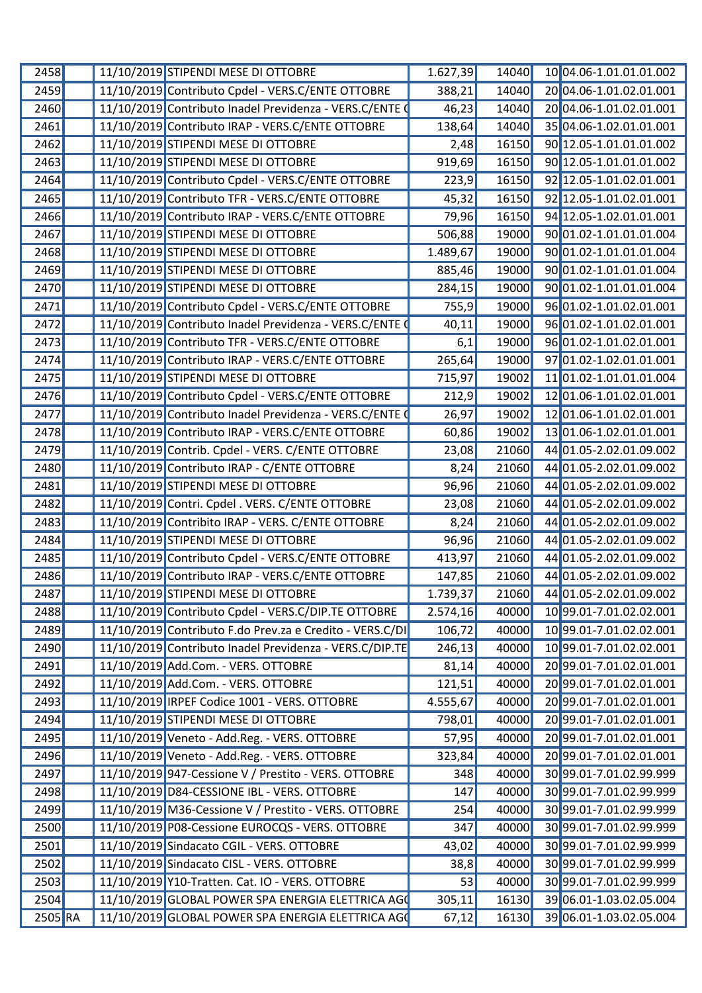| 2458    |  | 11/10/2019 STIPENDI MESE DI OTTOBRE                      | 1.627,39           | 14040 | 10 04.06-1.01.01.01.002 |
|---------|--|----------------------------------------------------------|--------------------|-------|-------------------------|
| 2459    |  | 11/10/2019 Contributo Cpdel - VERS.C/ENTE OTTOBRE        | 388,21             | 14040 | 20 04.06-1.01.02.01.001 |
| 2460    |  | 11/10/2019 Contributo Inadel Previdenza - VERS.C/ENTE 0  | 46,23              | 14040 | 20 04.06-1.01.02.01.001 |
| 2461    |  | 11/10/2019 Contributo IRAP - VERS.C/ENTE OTTOBRE         | 138,64             | 14040 | 35 04.06-1.02.01.01.001 |
| 2462    |  | 11/10/2019 STIPENDI MESE DI OTTOBRE                      | 2,48               | 16150 | 90 12.05-1.01.01.01.002 |
| 2463    |  | 11/10/2019 STIPENDI MESE DI OTTOBRE                      | 919,69             | 16150 | 90 12.05-1.01.01.01.002 |
| 2464    |  | 11/10/2019 Contributo Cpdel - VERS.C/ENTE OTTOBRE        | 223,9              | 16150 | 92 12.05-1.01.02.01.001 |
| 2465    |  | 11/10/2019 Contributo TFR - VERS.C/ENTE OTTOBRE          | 45,32              | 16150 | 92 12.05-1.01.02.01.001 |
| 2466    |  | 11/10/2019 Contributo IRAP - VERS.C/ENTE OTTOBRE         | 79,96              | 16150 | 94 12.05-1.02.01.01.001 |
| 2467    |  | 11/10/2019 STIPENDI MESE DI OTTOBRE                      | 506,88             | 19000 | 90 01.02-1.01.01.01.004 |
| 2468    |  | 11/10/2019 STIPENDI MESE DI OTTOBRE                      | 1.489,67           | 19000 | 90 01.02-1.01.01.01.004 |
| 2469    |  | 11/10/2019 STIPENDI MESE DI OTTOBRE                      | 885,46             | 19000 | 90 01.02-1.01.01.01.004 |
| 2470    |  | 11/10/2019 STIPENDI MESE DI OTTOBRE                      | 284,15             | 19000 | 90 01.02-1.01.01.01.004 |
| 2471    |  | 11/10/2019 Contributo Cpdel - VERS.C/ENTE OTTOBRE        | 755,9              | 19000 | 96 01.02-1.01.02.01.001 |
| 2472    |  | 11/10/2019 Contributo Inadel Previdenza - VERS.C/ENTE (  | 40,11              | 19000 | 96 01.02-1.01.02.01.001 |
| 2473    |  | 11/10/2019 Contributo TFR - VERS.C/ENTE OTTOBRE          | 6,1                | 19000 | 96 01.02-1.01.02.01.001 |
| 2474    |  | 11/10/2019 Contributo IRAP - VERS.C/ENTE OTTOBRE         | 265,64             | 19000 | 97 01.02-1.02.01.01.001 |
| 2475    |  | 11/10/2019 STIPENDI MESE DI OTTOBRE                      | 715,97             | 19002 | 11 01.02-1.01.01.01.004 |
| 2476    |  | 11/10/2019 Contributo Cpdel - VERS.C/ENTE OTTOBRE        | $\overline{2}12,9$ | 19002 | 12 01.06-1.01.02.01.001 |
| 2477    |  | 11/10/2019 Contributo Inadel Previdenza - VERS.C/ENTE 0  | 26,97              | 19002 | 12 01.06-1.01.02.01.001 |
| 2478    |  | 11/10/2019 Contributo IRAP - VERS.C/ENTE OTTOBRE         | 60,86              | 19002 | 13 01.06-1.02.01.01.001 |
| 2479    |  | 11/10/2019 Contrib. Cpdel - VERS. C/ENTE OTTOBRE         | 23,08              | 21060 | 44 01.05-2.02.01.09.002 |
| 2480    |  | 11/10/2019 Contributo IRAP - C/ENTE OTTOBRE              | 8,24               | 21060 | 44 01.05-2.02.01.09.002 |
| 2481    |  | 11/10/2019 STIPENDI MESE DI OTTOBRE                      | 96,96              | 21060 | 44 01.05-2.02.01.09.002 |
| 2482    |  | 11/10/2019 Contri. Cpdel . VERS. C/ENTE OTTOBRE          | 23,08              | 21060 | 44 01.05-2.02.01.09.002 |
| 2483    |  | 11/10/2019 Contribito IRAP - VERS. C/ENTE OTTOBRE        | 8,24               | 21060 | 44 01.05-2.02.01.09.002 |
| 2484    |  | 11/10/2019 STIPENDI MESE DI OTTOBRE                      | 96,96              | 21060 | 44 01.05-2.02.01.09.002 |
| 2485    |  | 11/10/2019 Contributo Cpdel - VERS.C/ENTE OTTOBRE        | 413,97             | 21060 | 44 01.05-2.02.01.09.002 |
| 2486    |  | 11/10/2019 Contributo IRAP - VERS.C/ENTE OTTOBRE         | 147,85             | 21060 | 44 01.05-2.02.01.09.002 |
| 2487    |  | 11/10/2019 STIPENDI MESE DI OTTOBRE                      | 1.739,37           | 21060 | 44 01.05-2.02.01.09.002 |
| 2488    |  | 11/10/2019 Contributo Cpdel - VERS.C/DIP.TE OTTOBRE      | 2.574,16           | 40000 | 10 99.01-7.01.02.02.001 |
| 2489    |  | 11/10/2019 Contributo F.do Prev.za e Credito - VERS.C/DI | 106,72             | 40000 | 10 99.01-7.01.02.02.001 |
| 2490    |  | 11/10/2019 Contributo Inadel Previdenza - VERS.C/DIP.TE  | 246,13             | 40000 | 10 99.01-7.01.02.02.001 |
| 2491    |  | 11/10/2019 Add.Com. - VERS. OTTOBRE                      | 81,14              | 40000 | 20 99.01-7.01.02.01.001 |
| 2492    |  | 11/10/2019 Add.Com. - VERS. OTTOBRE                      | 121,51             | 40000 | 20 99.01-7.01.02.01.001 |
| 2493    |  | 11/10/2019 IRPEF Codice 1001 - VERS. OTTOBRE             | 4.555,67           | 40000 | 20 99.01-7.01.02.01.001 |
| 2494    |  | 11/10/2019 STIPENDI MESE DI OTTOBRE                      | 798,01             | 40000 | 20 99.01-7.01.02.01.001 |
| 2495    |  | 11/10/2019 Veneto - Add.Reg. - VERS. OTTOBRE             | 57,95              | 40000 | 20 99.01-7.01.02.01.001 |
| 2496    |  | 11/10/2019 Veneto - Add.Reg. - VERS. OTTOBRE             | 323,84             | 40000 | 20 99.01-7.01.02.01.001 |
| 2497    |  | 11/10/2019 947-Cessione V / Prestito - VERS. OTTOBRE     | 348                | 40000 | 30 99.01-7.01.02.99.999 |
| 2498    |  | 11/10/2019 D84-CESSIONE IBL - VERS. OTTOBRE              | 147                | 40000 | 30 99.01-7.01.02.99.999 |
| 2499    |  | 11/10/2019 M36-Cessione V / Prestito - VERS. OTTOBRE     | 254                | 40000 | 30 99.01-7.01.02.99.999 |
| 2500    |  | 11/10/2019 P08-Cessione EUROCQS - VERS. OTTOBRE          | 347                | 40000 | 30 99.01-7.01.02.99.999 |
| 2501    |  | 11/10/2019 Sindacato CGIL - VERS. OTTOBRE                | 43,02              | 40000 | 30 99.01-7.01.02.99.999 |
| 2502    |  | 11/10/2019 Sindacato CISL - VERS. OTTOBRE                | 38,8               | 40000 | 30 99.01-7.01.02.99.999 |
| 2503    |  | 11/10/2019 Y10-Tratten. Cat. IO - VERS. OTTOBRE          | 53                 | 40000 | 30 99.01-7.01.02.99.999 |
| 2504    |  | 11/10/2019 GLOBAL POWER SPA ENERGIA ELETTRICA AGO        | 305,11             | 16130 | 39 06.01-1.03.02.05.004 |
| 2505 RA |  | 11/10/2019 GLOBAL POWER SPA ENERGIA ELETTRICA AGO        | 67,12              | 16130 | 39 06.01-1.03.02.05.004 |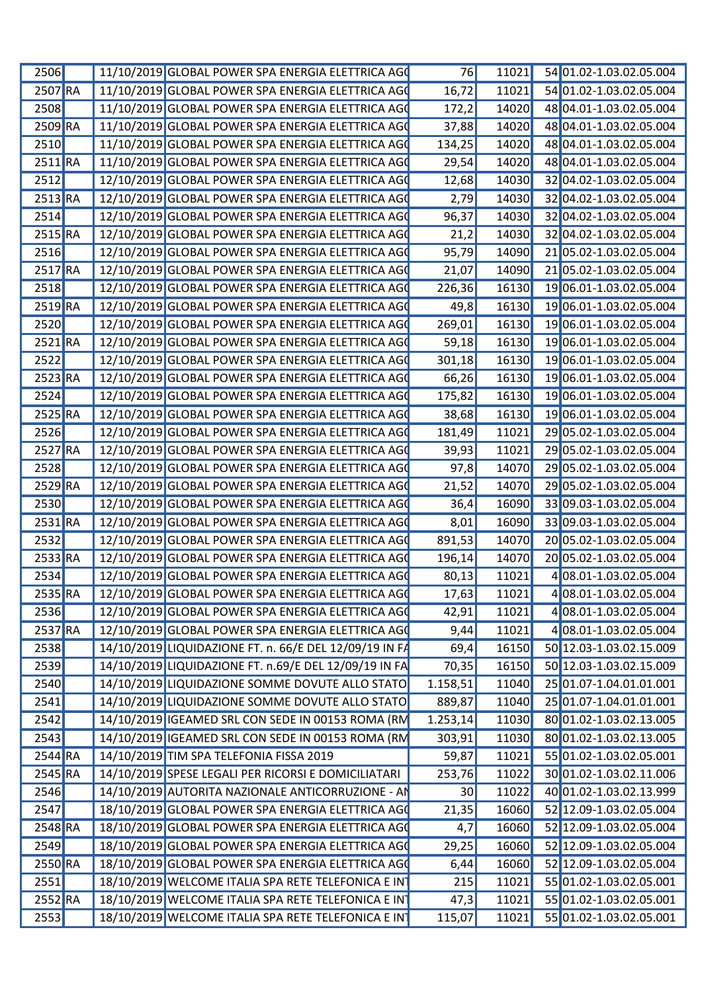| 2506                 | 11/10/2019 GLOBAL POWER SPA ENERGIA ELETTRICA AGO         | 76       | 11021 | 54 01.02-1.03.02.05.004          |
|----------------------|-----------------------------------------------------------|----------|-------|----------------------------------|
| $2507$ <sub>RA</sub> | 11/10/2019 GLOBAL POWER SPA ENERGIA ELETTRICA AGO         | 16,72    |       | 11021 54 01.02-1.03.02.05.004    |
| <b>2508</b>          | 11/10/2019 GLOBAL POWER SPA ENERGIA ELETTRICA AGO         | 172,2    | 14020 | 48 04.01-1.03.02.05.004          |
| 2509 RA              | 11/10/2019 GLOBAL POWER SPA ENERGIA ELETTRICA AGO         | 37,88    | 14020 | 48 04.01-1.03.02.05.004          |
| 2510                 | 11/10/2019 GLOBAL POWER SPA ENERGIA ELETTRICA AGO         | 134,25   | 14020 | 48 04.01-1.03.02.05.004          |
| $2511$ <sub>RA</sub> | 11/10/2019 GLOBAL POWER SPA ENERGIA ELETTRICA AGO         | 29,54    | 14020 | 48 04.01-1.03.02.05.004          |
| 2512                 | 12/10/2019 GLOBAL POWER SPA ENERGIA ELETTRICA AGO         | 12,68    | 14030 | 32 04.02-1.03.02.05.004          |
| $2513$ <sub>RA</sub> | 12/10/2019 GLOBAL POWER SPA ENERGIA ELETTRICA AGO         | 2,79     | 14030 | 32 04.02-1.03.02.05.004          |
| 2514                 | 12/10/2019 GLOBAL POWER SPA ENERGIA ELETTRICA AGO         | 96,37    | 14030 | 32 04.02-1.03.02.05.004          |
| 2515 RA              | 12/10/2019 GLOBAL POWER SPA ENERGIA ELETTRICA AGO         | 21,2     | 14030 | 32 04.02-1.03.02.05.004          |
| 2516                 | 12/10/2019 GLOBAL POWER SPA ENERGIA ELETTRICA AGO         | 95,79    | 14090 | 21 05.02-1.03.02.05.004          |
| $2517$ RA            | 12/10/2019 GLOBAL POWER SPA ENERGIA ELETTRICA AGO         | 21,07    | 14090 | 2105.02-1.03.02.05.004           |
| 2518                 | 12/10/2019 GLOBAL POWER SPA ENERGIA ELETTRICA AGO         | 226,36   | 16130 | 19 06.01-1.03.02.05.004          |
| 2519 RA              | 12/10/2019 GLOBAL POWER SPA ENERGIA ELETTRICA AGO         |          |       | 19 06.01-1.03.02.05.004          |
|                      |                                                           | 49,8     | 16130 |                                  |
| 2520                 | 12/10/2019 GLOBAL POWER SPA ENERGIA ELETTRICA AGO         | 269,01   | 16130 | 19 06.01-1.03.02.05.004          |
| $2521$ <sub>RA</sub> | 12/10/2019 GLOBAL POWER SPA ENERGIA ELETTRICA AGO         | 59,18    | 16130 | 19 06.01-1.03.02.05.004          |
| 2522                 | 12/10/2019 GLOBAL POWER SPA ENERGIA ELETTRICA AGO         | 301,18   | 16130 | 19 06.01-1.03.02.05.004          |
| $2523$ <sub>RA</sub> | 12/10/2019 GLOBAL POWER SPA ENERGIA ELETTRICA AGO         | 66,26    | 16130 | 19 06.01-1.03.02.05.004          |
| 2524                 | 12/10/2019 GLOBAL POWER SPA ENERGIA ELETTRICA AGO         | 175,82   | 16130 | 19 06.01-1.03.02.05.004          |
| $2525$ <sub>RA</sub> | 12/10/2019 GLOBAL POWER SPA ENERGIA ELETTRICA AGO         | 38,68    | 16130 | 19 06.01-1.03.02.05.004          |
| 2526                 | 12/10/2019 GLOBAL POWER SPA ENERGIA ELETTRICA AGO         | 181,49   | 11021 | 29 05.02-1.03.02.05.004          |
| $2527$ <sub>RA</sub> | 12/10/2019 GLOBAL POWER SPA ENERGIA ELETTRICA AGO         | 39,93    | 11021 | 29 05.02-1.03.02.05.004          |
| 2528                 | 12/10/2019 GLOBAL POWER SPA ENERGIA ELETTRICA AGO         | 97,8     | 14070 | 29 05.02-1.03.02.05.004          |
| 2529 RA              | 12/10/2019 GLOBAL POWER SPA ENERGIA ELETTRICA AGO         | 21,52    | 14070 | 29 05.02-1.03.02.05.004          |
| 2530                 | 12/10/2019 GLOBAL POWER SPA ENERGIA ELETTRICA AGO         | 36,4     | 16090 | 33 09.03-1.03.02.05.004          |
| $2531$ <sub>RA</sub> | 12/10/2019 GLOBAL POWER SPA ENERGIA ELETTRICA AGO         | 8,01     | 16090 | 33 09.03-1.03.02.05.004          |
| 2532                 | 12/10/2019 GLOBAL POWER SPA ENERGIA ELETTRICA AGO         | 891,53   | 14070 | 20 05.02-1.03.02.05.004          |
| $2533$ RA            | 12/10/2019 GLOBAL POWER SPA ENERGIA ELETTRICA AGO         | 196,14   | 14070 | 20 05.02-1.03.02.05.004          |
|                      |                                                           |          |       |                                  |
| 2534                 | 12/10/2019 GLOBAL POWER SPA ENERGIA ELETTRICA AGO         | 80,13    | 11021 | 4 08.01-1.03.02.05.004           |
|                      | 2535 RA 12/10/2019 GLOBAL POWER SPA ENERGIA ELETTRICA AGO | 17,63    | 11021 | $\boxed{4}$ 08.01-1.03.02.05.004 |
| 2536                 | 12/10/2019 GLOBAL POWER SPA ENERGIA ELETTRICA AGO         | 42,91    | 11021 | 4 08.01-1.03.02.05.004           |
| 2537 RA              | 12/10/2019 GLOBAL POWER SPA ENERGIA ELETTRICA AGO         | 9,44     | 11021 | 4 08.01-1.03.02.05.004           |
| 2538                 | 14/10/2019 LIQUIDAZIONE FT. n. 66/E DEL 12/09/19 IN FA    | 69,4     | 16150 | 50 12.03-1.03.02.15.009          |
| 2539                 | 14/10/2019 LIQUIDAZIONE FT. n.69/E DEL 12/09/19 IN FA     | 70,35    | 16150 | 50 12.03-1.03.02.15.009          |
| 2540                 | 14/10/2019 LIQUIDAZIONE SOMME DOVUTE ALLO STATO           | 1.158,51 | 11040 | 25 01.07-1.04.01.01.001          |
| 2541                 | 14/10/2019 LIQUIDAZIONE SOMME DOVUTE ALLO STATO           | 889,87   | 11040 | 25 01.07-1.04.01.01.001          |
| 2542                 | 14/10/2019 IGEAMED SRL CON SEDE IN 00153 ROMA (RM         | 1.253,14 | 11030 | 80 01.02-1.03.02.13.005          |
| 2543                 | 14/10/2019 IGEAMED SRL CON SEDE IN 00153 ROMA (RM         | 303,91   | 11030 | 80 01.02-1.03.02.13.005          |
| $2544$ <sub>RA</sub> | 14/10/2019 TIM SPA TELEFONIA FISSA 2019                   | 59,87    | 11021 | 55 01.02-1.03.02.05.001          |
| $2545$ <sub>RA</sub> | 14/10/2019 SPESE LEGALI PER RICORSI E DOMICILIATARI       | 253,76   | 11022 | 30 01.02-1.03.02.11.006          |
| 2546                 | 14/10/2019 AUTORITA NAZIONALE ANTICORRUZIONE - AN         | 30       | 11022 | 40 01.02-1.03.02.13.999          |
|                      |                                                           |          |       |                                  |
| 2547                 | 18/10/2019 GLOBAL POWER SPA ENERGIA ELETTRICA AGO         | 21,35    | 16060 | 52 12.09-1.03.02.05.004          |
| $2548$ <sub>RA</sub> | 18/10/2019 GLOBAL POWER SPA ENERGIA ELETTRICA AGO         | 4,7      | 16060 | 52 12.09-1.03.02.05.004          |
| 2549                 | 18/10/2019 GLOBAL POWER SPA ENERGIA ELETTRICA AGO         | 29,25    | 16060 | 52 12.09-1.03.02.05.004          |
| 2550 RA              | 18/10/2019 GLOBAL POWER SPA ENERGIA ELETTRICA AGO         | 6,44     | 16060 | 52 12.09-1.03.02.05.004          |
| 2551                 | 18/10/2019 WELCOME ITALIA SPA RETE TELEFONICA E INT       | 215      | 11021 | 55 01.02-1.03.02.05.001          |
| $2552$ <sub>RA</sub> | 18/10/2019 WELCOME ITALIA SPA RETE TELEFONICA E IN        | 47,3     | 11021 | 55 01.02-1.03.02.05.001          |
| 2553                 | 18/10/2019 WELCOME ITALIA SPA RETE TELEFONICA E IN        | 115,07   | 11021 | 55 01.02-1.03.02.05.001          |
|                      |                                                           |          |       |                                  |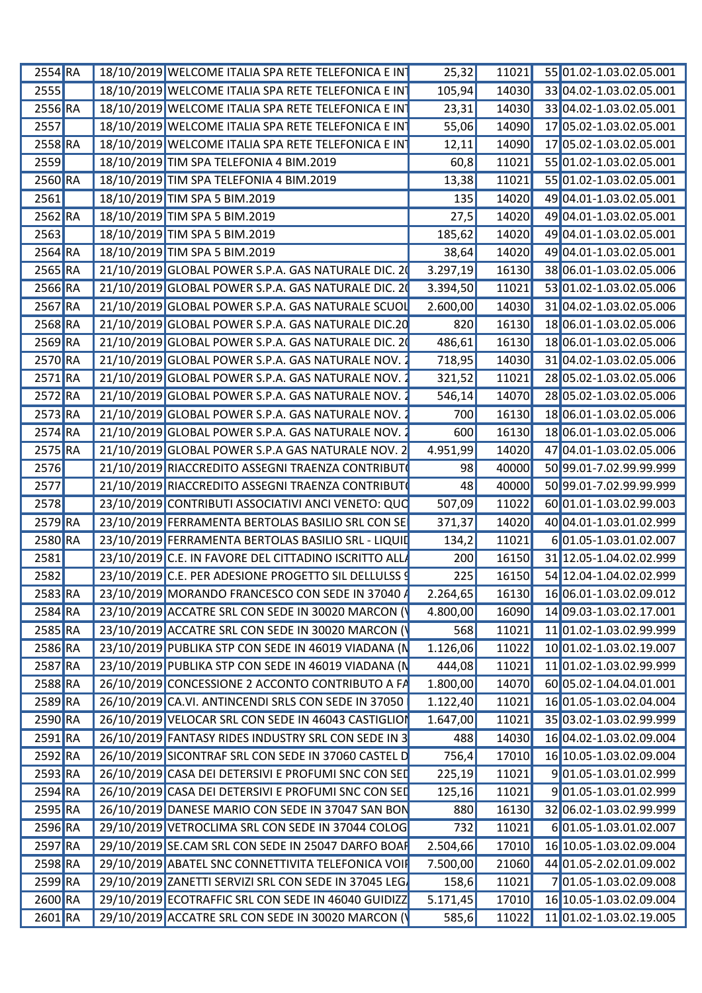| $2554$ <sub>RA</sub> | 18/10/2019 WELCOME ITALIA SPA RETE TELEFONICA E INT               | 25,32    | 11021 | 55 01.02-1.03.02.05.001         |
|----------------------|-------------------------------------------------------------------|----------|-------|---------------------------------|
| 2555                 | 18/10/2019 WELCOME ITALIA SPA RETE TELEFONICA E IN                | 105,94   | 14030 | 33 04.02-1.03.02.05.001         |
| 2556 RA              | 18/10/2019 WELCOME ITALIA SPA RETE TELEFONICA E IN                | 23,31    | 14030 | 33 04.02-1.03.02.05.001         |
| <b>2557</b>          | 18/10/2019 WELCOME ITALIA SPA RETE TELEFONICA E IN                | 55,06    | 14090 | 17 05.02-1.03.02.05.001         |
| $2558$ RA            | 18/10/2019 WELCOME ITALIA SPA RETE TELEFONICA E IN                | 12,11    | 14090 | 17 05.02-1.03.02.05.001         |
| <b>2559</b>          | 18/10/2019 TIM SPA TELEFONIA 4 BIM.2019                           | 60,8     | 11021 | 55 01.02-1.03.02.05.001         |
| 2560 RA              | 18/10/2019 TIM SPA TELEFONIA 4 BIM.2019                           | 13,38    | 11021 | 55 01.02-1.03.02.05.001         |
| 2561                 | 18/10/2019 TIM SPA 5 BIM.2019                                     | 135      | 14020 | 49 04.01-1.03.02.05.001         |
| $2562$ <sub>RA</sub> | 18/10/2019 TIM SPA 5 BIM.2019                                     | 27,5     | 14020 | 49 04.01-1.03.02.05.001         |
| 2563                 | 18/10/2019 TIM SPA 5 BIM.2019                                     | 185,62   | 14020 | 49 04.01-1.03.02.05.001         |
|                      |                                                                   |          |       |                                 |
| $2564$ RA            | 18/10/2019 TIM SPA 5 BIM.2019                                     | 38,64    | 14020 | 49 04.01-1.03.02.05.001         |
| $2565$ <sub>RA</sub> | 21/10/2019 GLOBAL POWER S.P.A. GAS NATURALE DIC. 2                | 3.297,19 | 16130 | 38 06.01-1.03.02.05.006         |
| $2566$ RA            | 21/10/2019 GLOBAL POWER S.P.A. GAS NATURALE DIC.                  | 3.394,50 | 11021 | 53 01.02-1.03.02.05.006         |
| 2567 RA              | 21/10/2019 GLOBAL POWER S.P.A. GAS NATURALE SCUO                  | 2.600,00 | 14030 | 31 04.02-1.03.02.05.006         |
| 2568 RA              | 21/10/2019 GLOBAL POWER S.P.A. GAS NATURALE DIC.20                | 820      | 16130 | 18 06.01-1.03.02.05.006         |
| $2569$ RA            | 21/10/2019 GLOBAL POWER S.P.A. GAS NATURALE DIC. 2                | 486,61   | 16130 | 18 06.01-1.03.02.05.006         |
| 2570 RA              | 21/10/2019 GLOBAL POWER S.P.A. GAS NATURALE NOV                   | 718,95   | 14030 | 31 04.02-1.03.02.05.006         |
| 2571 RA              | 21/10/2019 GLOBAL POWER S.P.A. GAS NATURALE NOV                   | 321,52   | 11021 | 28 05.02-1.03.02.05.006         |
| 2572 RA              | 21/10/2019 GLOBAL POWER S.P.A. GAS NATURALE NOV.                  | 546,14   | 14070 | 28 05.02-1.03.02.05.006         |
| 2573 RA              | 21/10/2019 GLOBAL POWER S.P.A. GAS NATURALE NOV.                  | 700      | 16130 | 18 06.01-1.03.02.05.006         |
| 2574 RA              | 21/10/2019 GLOBAL POWER S.P.A. GAS NATURALE NOV.                  | 600      | 16130 | 18 06.01-1.03.02.05.006         |
| 2575 RA              | 21/10/2019 GLOBAL POWER S.P.A GAS NATURALE NOV. 2                 | 4.951,99 | 14020 | 47 04.01-1.03.02.05.006         |
|                      |                                                                   |          |       |                                 |
| 2576                 | 21/10/2019 RIACCREDITO ASSEGNI TRAENZA CONTRIBUTO                 | 98       | 40000 | 50 99.01-7.02.99.99.999         |
| 2577                 | 21/10/2019 RIACCREDITO ASSEGNI TRAENZA CONTRIBUTO                 | 48       | 40000 | 50 99.01-7.02.99.99.999         |
| <b>2578</b>          | 23/10/2019 CONTRIBUTI ASSOCIATIVI ANCI VENETO: QUO                | 507,09   | 11022 | 60 01.01-1.03.02.99.003         |
| $2579$ RA            | 23/10/2019 FERRAMENTA BERTOLAS BASILIO SRL CON SE                 | 371,37   | 14020 | 40 04.01-1.03.01.02.999         |
| 2580 RA              | 23/10/2019 FERRAMENTA BERTOLAS BASILIO SRL - LIQUI                | 134,2    | 11021 | 601.05-1.03.01.02.007           |
| <b>2581</b>          | 23/10/2019 C.E. IN FAVORE DEL CITTADINO ISCRITTO ALLA             | 200      | 16150 | 31 12.05-1.04.02.02.999         |
| 2582                 | 23/10/2019 C.E. PER ADESIONE PROGETTO SIL DELLULSS 9              | 225      | 16150 | 54 12.04-1.04.02.02.999         |
|                      | 2583 RA 23/10/2019 MORANDO FRANCESCO CON SEDE IN 37040 4 2.264,65 |          |       | 16130  16  06.01-1.03.02.09.012 |
|                      | 23/10/2019 ACCATRE SRL CON SEDE IN 30020 MARCON (Y                |          | 16090 |                                 |
| 2584 RA              |                                                                   | 4.800,00 |       | 14 09.03-1.03.02.17.001         |
| 2585 RA              | 23/10/2019 ACCATRE SRL CON SEDE IN 30020 MARCON (Y                | 568      |       | 11021 11 01.02-1.03.02.99.999   |
| 2586 RA              | 23/10/2019 PUBLIKA STP CON SEDE IN 46019 VIADANA (N               | 1.126,06 | 11022 | 10 01.02-1.03.02.19.007         |
| 2587 RA              | 23/10/2019 PUBLIKA STP CON SEDE IN 46019 VIADANA (N               | 444,08   | 11021 | 11 01.02-1.03.02.99.999         |
| 2588 RA              | 26/10/2019 CONCESSIONE 2 ACCONTO CONTRIBUTO A FA                  | 1.800,00 | 14070 | 60 05.02-1.04.04.01.001         |
| 2589 RA              | 26/10/2019 CA.VI. ANTINCENDI SRLS CON SEDE IN 37050               | 1.122,40 | 11021 | 16 01.05-1.03.02.04.004         |
| 2590 RA              | 26/10/2019 VELOCAR SRL CON SEDE IN 46043 CASTIGLION               | 1.647,00 | 11021 | 35 03.02-1.03.02.99.999         |
| 2591 RA              | 26/10/2019 FANTASY RIDES INDUSTRY SRL CON SEDE IN 3               | 488      | 14030 | 16 04.02-1.03.02.09.004         |
| 2592 RA              | 26/10/2019 SICONTRAF SRL CON SEDE IN 37060 CASTEL D               | 756,4    | 17010 | 16 10.05-1.03.02.09.004         |
| 2593 RA              | 26/10/2019 CASA DEI DETERSIVI E PROFUMI SNC CON SED               | 225,19   | 11021 | 901.05-1.03.01.02.999           |
|                      | 26/10/2019 CASA DEI DETERSIVI E PROFUMI SNC CON SEL               |          | 11021 | 901.05-1.03.01.02.999           |
| 2594 RA              |                                                                   | 125,16   |       |                                 |
| 2595 RA              | 26/10/2019 DANESE MARIO CON SEDE IN 37047 SAN BON                 | 880      | 16130 | 32 06.02-1.03.02.99.999         |
| $2596$ RA            | 29/10/2019 VETROCLIMA SRL CON SEDE IN 37044 COLOG                 | 732      | 11021 | 6 01.05-1.03.01.02.007          |
| $2597$ RA            | 29/10/2019 SE.CAM SRL CON SEDE IN 25047 DARFO BOAF                | 2.504,66 | 17010 | 16 10.05-1.03.02.09.004         |
| 2598 RA              | 29/10/2019 ABATEL SNC CONNETTIVITA TELEFONICA VOI                 | 7.500,00 | 21060 | 44 01.05-2.02.01.09.002         |
| 2599 RA              | 29/10/2019 ZANETTI SERVIZI SRL CON SEDE IN 37045 LEG.             | 158,6    | 11021 | 701.05-1.03.02.09.008           |
| 2600 RA              | 29/10/2019 ECOTRAFFIC SRL CON SEDE IN 46040 GUIDIZZ               | 5.171,45 | 17010 | 16 10.05-1.03.02.09.004         |
| 2601 RA              | 29/10/2019 ACCATRE SRL CON SEDE IN 30020 MARCON (Y                | 585,6    |       | 11022 11 01.02-1.03.02.19.005   |
|                      |                                                                   |          |       |                                 |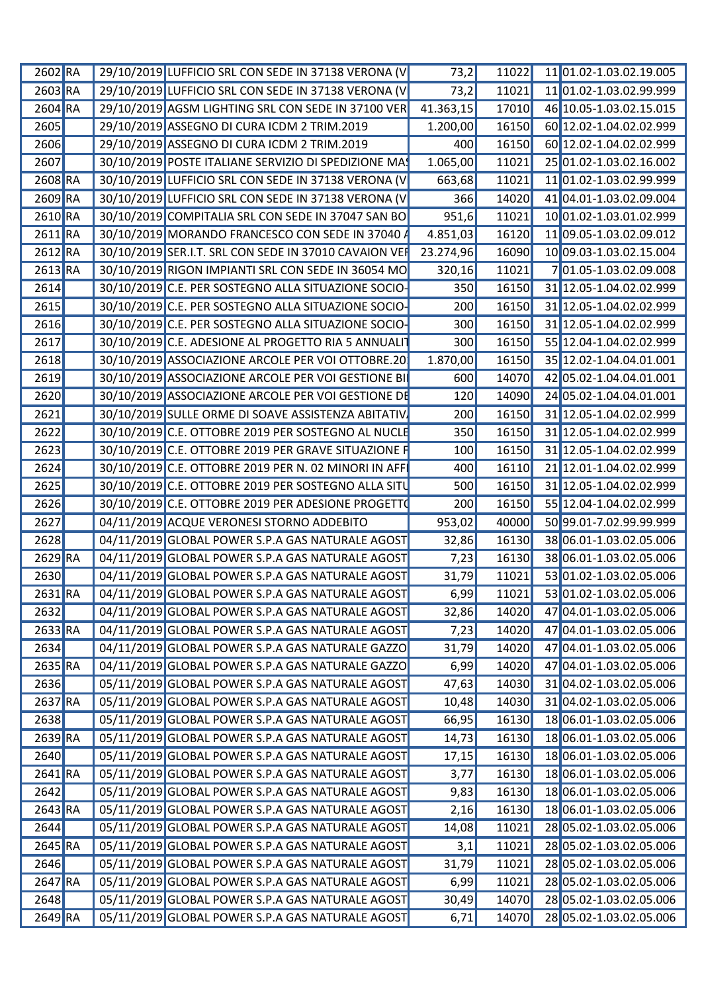| $2602$ <sub>RA</sub> | 29/10/2019 LUFFICIO SRL CON SEDE IN 37138 VERONA (V        | 73,2      |       | 11022 11 01.02-1.03.02.19.005 |
|----------------------|------------------------------------------------------------|-----------|-------|-------------------------------|
| $2603$ RA            | 29/10/2019 LUFFICIO SRL CON SEDE IN 37138 VERONA (V        | 73,2      |       | 11021 11 01.02-1.03.02.99.999 |
| 2604 RA              | 29/10/2019 AGSM LIGHTING SRL CON SEDE IN 37100 VER         | 41.363,15 | 17010 | 46 10.05-1.03.02.15.015       |
| 2605                 | 29/10/2019 ASSEGNO DI CURA ICDM 2 TRIM.2019                | 1.200,00  | 16150 | 60 12.02-1.04.02.02.999       |
| 2606                 | 29/10/2019 ASSEGNO DI CURA ICDM 2 TRIM.2019                | 400       | 16150 | 60 12.02-1.04.02.02.999       |
| 2607                 | 30/10/2019 POSTE ITALIANE SERVIZIO DI SPEDIZIONE MA        | 1.065,00  | 11021 | 25 01.02-1.03.02.16.002       |
| 2608 RA              | 30/10/2019 LUFFICIO SRL CON SEDE IN 37138 VERONA (V        | 663,68    | 11021 | 11 01.02-1.03.02.99.999       |
| 2609 RA              | 30/10/2019 LUFFICIO SRL CON SEDE IN 37138 VERONA (V        | 366       | 14020 | 41 04.01-1.03.02.09.004       |
| $2610$ RA            | 30/10/2019 COMPITALIA SRL CON SEDE IN 37047 SAN BO         | 951,6     | 11021 | 10 01.02-1.03.01.02.999       |
| 2611 RA              | 30/10/2019 MORANDO FRANCESCO CON SEDE IN 37040             | 4.851,03  | 16120 | 11 09.05-1.03.02.09.012       |
| 2612 RA              | 30/10/2019 SER.I.T. SRL CON SEDE IN 37010 CAVAION VER      | 23.274,96 | 16090 | 10 09.03-1.03.02.15.004       |
| 2613 RA              | 30/10/2019 RIGON IMPIANTI SRL CON SEDE IN 36054 MC         | 320,16    | 11021 | 701.05-1.03.02.09.008         |
| 2614                 | 30/10/2019 C.E. PER SOSTEGNO ALLA SITUAZIONE SOCIO-        | 350       | 16150 | 31 12.05-1.04.02.02.999       |
|                      |                                                            |           |       |                               |
| 2615                 | 30/10/2019 C.E. PER SOSTEGNO ALLA SITUAZIONE SOCIO-        | 200       | 16150 | 31 12.05-1.04.02.02.999       |
| 2616                 | 30/10/2019 C.E. PER SOSTEGNO ALLA SITUAZIONE SOCIO-        | 300       | 16150 | 31 12.05-1.04.02.02.999       |
| 2617                 | 30/10/2019 C.E. ADESIONE AL PROGETTO RIA 5 ANNUALIT        | 300       | 16150 | 55 12.04-1.04.02.02.999       |
| 2618                 | 30/10/2019 ASSOCIAZIONE ARCOLE PER VOI OTTOBRE.20          | 1.870,00  | 16150 | 35 12.02-1.04.04.01.001       |
| 2619                 | 30/10/2019 ASSOCIAZIONE ARCOLE PER VOI GESTIONE BI         | 600       | 14070 | 42 05.02-1.04.04.01.001       |
| 2620                 | 30/10/2019 ASSOCIAZIONE ARCOLE PER VOI GESTIONE DE         | 120       | 14090 | 24 05.02-1.04.04.01.001       |
| 2621                 | 30/10/2019 SULLE ORME DI SOAVE ASSISTENZA ABITATIV         | 200       | 16150 | 31 12.05-1.04.02.02.999       |
| 2622                 | 30/10/2019 C.E. OTTOBRE 2019 PER SOSTEGNO AL NUCLE         | 350       | 16150 | 31 12.05-1.04.02.02.999       |
| 2623                 | 30/10/2019 C.E. OTTOBRE 2019 PER GRAVE SITUAZIONE          | 100       | 16150 | 31 12.05-1.04.02.02.999       |
| 2624                 | 30/10/2019 C.E. OTTOBRE 2019 PER N. 02 MINORI IN AFF       | 400       | 16110 | 21 12.01-1.04.02.02.999       |
| 2625                 | 30/10/2019 C.E. OTTOBRE 2019 PER SOSTEGNO ALLA SITU        | 500       | 16150 | 31 12.05-1.04.02.02.999       |
| 2626                 | 30/10/2019 C.E. OTTOBRE 2019 PER ADESIONE PROGETTO         | 200       | 16150 | 55 12.04-1.04.02.02.999       |
| 2627                 | 04/11/2019 ACQUE VERONESI STORNO ADDEBITO                  | 953,02    | 40000 | 50 99.01-7.02.99.99.999       |
| 2628                 | 04/11/2019 GLOBAL POWER S.P.A GAS NATURALE AGOST           | 32,86     | 16130 | 38 06.01-1.03.02.05.006       |
| 2629 RA              | 04/11/2019 GLOBAL POWER S.P.A GAS NATURALE AGOST           | 7,23      | 16130 | 38 06.01-1.03.02.05.006       |
|                      | 04/11/2019 GLOBAL POWER S.P.A GAS NATURALE AGOST           |           |       |                               |
| 2630                 |                                                            | 31,79     | 11021 | 53 01.02-1.03.02.05.006       |
|                      | 2631 RA   04/11/2019 GLOBAL POWER S.P.A GAS NATURALE AGOST | 6,99      |       | 11021 53 01.02-1.03.02.05.006 |
| 2632                 | 04/11/2019 GLOBAL POWER S.P.A GAS NATURALE AGOST           | 32,86     | 14020 | 47 04.01-1.03.02.05.006       |
| 2633 RA              | 04/11/2019 GLOBAL POWER S.P.A GAS NATURALE AGOST           | 7,23      | 14020 | 47 04.01-1.03.02.05.006       |
| 2634                 | 04/11/2019 GLOBAL POWER S.P.A GAS NATURALE GAZZO           | 31,79     | 14020 | 47 04.01-1.03.02.05.006       |
| 2635 RA              | 04/11/2019 GLOBAL POWER S.P.A GAS NATURALE GAZZO           | 6,99      | 14020 | 47 04.01-1.03.02.05.006       |
| 2636                 | 05/11/2019 GLOBAL POWER S.P.A GAS NATURALE AGOST           | 47,63     | 14030 | 31 04.02-1.03.02.05.006       |
| $2637$ RA            | 05/11/2019 GLOBAL POWER S.P.A GAS NATURALE AGOST           | 10,48     | 14030 | 31 04.02-1.03.02.05.006       |
| 2638                 | 05/11/2019 GLOBAL POWER S.P.A GAS NATURALE AGOST           | 66,95     | 16130 | 18 06.01-1.03.02.05.006       |
| $2639$ RA            | 05/11/2019 GLOBAL POWER S.P.A GAS NATURALE AGOST           | 14,73     | 16130 | 18 06.01-1.03.02.05.006       |
| 2640                 | 05/11/2019 GLOBAL POWER S.P.A GAS NATURALE AGOST           | 17,15     | 16130 | 18 06.01-1.03.02.05.006       |
| $2641$ <sub>RA</sub> | 05/11/2019 GLOBAL POWER S.P.A GAS NATURALE AGOST           | 3,77      | 16130 | 18 06.01-1.03.02.05.006       |
| 2642                 | 05/11/2019 GLOBAL POWER S.P.A GAS NATURALE AGOST           | 9,83      | 16130 | 18 06.01-1.03.02.05.006       |
| $2643$ <sub>RA</sub> | 05/11/2019 GLOBAL POWER S.P.A GAS NATURALE AGOST           | 2,16      | 16130 | 18 06.01-1.03.02.05.006       |
|                      | 05/11/2019 GLOBAL POWER S.P.A GAS NATURALE AGOST           |           |       |                               |
| 2644                 |                                                            | 14,08     | 11021 | 28 05.02-1.03.02.05.006       |
| $2645$ RA            | 05/11/2019 GLOBAL POWER S.P.A GAS NATURALE AGOST           | 3,1       | 11021 | 28 05.02-1.03.02.05.006       |
| 2646                 | 05/11/2019 GLOBAL POWER S.P.A GAS NATURALE AGOST           | 31,79     | 11021 | 28 05.02-1.03.02.05.006       |
| $2647$ RA            | 05/11/2019 GLOBAL POWER S.P.A GAS NATURALE AGOST           | 6,99      | 11021 | 28 05.02-1.03.02.05.006       |
| 2648                 | 05/11/2019 GLOBAL POWER S.P.A GAS NATURALE AGOST           | 30,49     | 14070 | 28 05.02-1.03.02.05.006       |
| 2649 RA              | 05/11/2019 GLOBAL POWER S.P.A GAS NATURALE AGOST           | 6,71      |       | 14070 28 05.02-1.03.02.05.006 |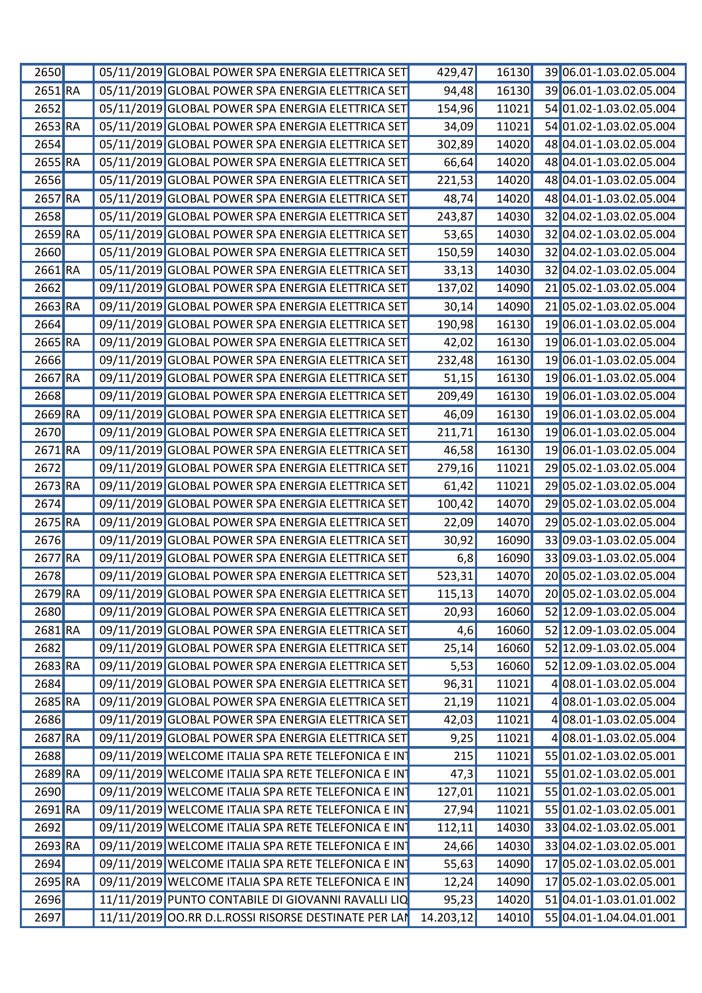| 2650                 |  | 05/11/2019 GLOBAL POWER SPA ENERGIA ELETTRICA SET    | 429,47     | 16130 | 39 06.01-1.03.02.05.004         |
|----------------------|--|------------------------------------------------------|------------|-------|---------------------------------|
| 2651 RA              |  | 05/11/2019 GLOBAL POWER SPA ENERGIA ELETTRICA SET    | 94,48      | 16130 | 39 06.01-1.03.02.05.004         |
| 2652                 |  | 05/11/2019 GLOBAL POWER SPA ENERGIA ELETTRICA SET    | 154,96     | 11021 | 54 01.02-1.03.02.05.004         |
| 2653 RA              |  | 05/11/2019 GLOBAL POWER SPA ENERGIA ELETTRICA SET    | 34,09      | 11021 | 54 01.02-1.03.02.05.004         |
| 2654                 |  | 05/11/2019 GLOBAL POWER SPA ENERGIA ELETTRICA SET    | 302,89     | 14020 | 48 04.01-1.03.02.05.004         |
| 2655 RA              |  | 05/11/2019 GLOBAL POWER SPA ENERGIA ELETTRICA SET    | 66,64      | 14020 | 48 04.01-1.03.02.05.004         |
| 2656                 |  | 05/11/2019 GLOBAL POWER SPA ENERGIA ELETTRICA SET    | 221,53     | 14020 | 48 04.01-1.03.02.05.004         |
| 2657 RA              |  | 05/11/2019 GLOBAL POWER SPA ENERGIA ELETTRICA SET    | 48,74      | 14020 | 48 04.01-1.03.02.05.004         |
| 2658                 |  | 05/11/2019 GLOBAL POWER SPA ENERGIA ELETTRICA SET    | 243,87     | 14030 | 32 04.02-1.03.02.05.004         |
| 2659 RA              |  | 05/11/2019 GLOBAL POWER SPA ENERGIA ELETTRICA SET    | 53,65      | 14030 | 32 04.02-1.03.02.05.004         |
| 2660                 |  | 05/11/2019 GLOBAL POWER SPA ENERGIA ELETTRICA SET    | 150,59     | 14030 | 32 04.02-1.03.02.05.004         |
| 2661 RA              |  | 05/11/2019 GLOBAL POWER SPA ENERGIA ELETTRICA SET    | 33,13      | 14030 | 32 04.02-1.03.02.05.004         |
| 2662                 |  | 09/11/2019 GLOBAL POWER SPA ENERGIA ELETTRICA SET    | 137,02     | 14090 | 21 05.02-1.03.02.05.004         |
| 2663 RA              |  | 09/11/2019 GLOBAL POWER SPA ENERGIA ELETTRICA SET    | 30,14      | 14090 | 2105.02-1.03.02.05.004          |
| 2664                 |  | 09/11/2019 GLOBAL POWER SPA ENERGIA ELETTRICA SET    | 190,98     | 16130 | 19 06.01-1.03.02.05.004         |
| 2665 RA              |  | 09/11/2019 GLOBAL POWER SPA ENERGIA ELETTRICA SET    | 42,02      | 16130 | 19 06.01-1.03.02.05.004         |
| 2666                 |  | 09/11/2019 GLOBAL POWER SPA ENERGIA ELETTRICA SET    | 232,48     | 16130 | 19 06.01-1.03.02.05.004         |
| 2667 RA              |  | 09/11/2019 GLOBAL POWER SPA ENERGIA ELETTRICA SET    | 51,15      | 16130 | 19 06.01-1.03.02.05.004         |
| 2668                 |  | 09/11/2019 GLOBAL POWER SPA ENERGIA ELETTRICA SET    | 209,49     | 16130 | 19 06.01-1.03.02.05.004         |
| 2669 RA              |  | 09/11/2019 GLOBAL POWER SPA ENERGIA ELETTRICA SET    | 46,09      | 16130 | 19 06.01-1.03.02.05.004         |
| 2670                 |  | 09/11/2019 GLOBAL POWER SPA ENERGIA ELETTRICA SET    | 211,71     | 16130 | 19 06.01-1.03.02.05.004         |
| 2671 RA              |  | 09/11/2019 GLOBAL POWER SPA ENERGIA ELETTRICA SET    | 46,58      | 16130 | 19 06.01-1.03.02.05.004         |
| 2672                 |  | 09/11/2019 GLOBAL POWER SPA ENERGIA ELETTRICA SET    | 279,16     | 11021 | 29 05.02-1.03.02.05.004         |
| 2673 RA              |  | 09/11/2019 GLOBAL POWER SPA ENERGIA ELETTRICA SET    | 61,42      | 11021 | 29 05.02-1.03.02.05.004         |
| 2674                 |  | 09/11/2019 GLOBAL POWER SPA ENERGIA ELETTRICA SET    | 100,42     | 14070 | 29 05.02-1.03.02.05.004         |
| 2675 RA              |  | 09/11/2019 GLOBAL POWER SPA ENERGIA ELETTRICA SET    | 22,09      | 14070 | 29 05.02-1.03.02.05.004         |
| 2676                 |  | 09/11/2019 GLOBAL POWER SPA ENERGIA ELETTRICA SET    | 30,92      | 16090 | 33 09.03-1.03.02.05.004         |
| 2677 RA              |  | 09/11/2019 GLOBAL POWER SPA ENERGIA ELETTRICA SET    | 6,8        | 16090 | 33 09.03-1.03.02.05.004         |
| 2678                 |  | 09/11/2019 GLOBAL POWER SPA ENERGIA ELETTRICA SET    | 523,31     | 14070 | 20 05.02-1.03.02.05.004         |
| 2679 RA              |  | 09/11/2019 GLOBAL POWER SPA ENERGIA ELETTRICA SET    | 115,13     |       | $14070$ 20 05.02-1.03.02.05.004 |
| 2680                 |  | 09/11/2019 GLOBAL POWER SPA ENERGIA ELETTRICA SET    | 20,93      | 16060 | 52 12.09-1.03.02.05.004         |
| 2681 RA              |  | 09/11/2019 GLOBAL POWER SPA ENERGIA ELETTRICA SET    | 4,6        | 16060 | 52 12.09-1.03.02.05.004         |
| 2682                 |  | 09/11/2019 GLOBAL POWER SPA ENERGIA ELETTRICA SET    | 25,14      | 16060 | 52 12.09-1.03.02.05.004         |
| 2683 RA              |  | 09/11/2019 GLOBAL POWER SPA ENERGIA ELETTRICA SET    | 5,53       | 16060 | 52 12.09-1.03.02.05.004         |
| 2684                 |  | 09/11/2019 GLOBAL POWER SPA ENERGIA ELETTRICA SET    | 96,31      | 11021 | 4 08.01-1.03.02.05.004          |
| 2685 RA              |  | 09/11/2019 GLOBAL POWER SPA ENERGIA ELETTRICA SET    | 21,19      | 11021 | 4 08.01-1.03.02.05.004          |
| 2686                 |  | 09/11/2019 GLOBAL POWER SPA ENERGIA ELETTRICA SET    | 42,03      | 11021 | 4 08.01-1.03.02.05.004          |
|                      |  |                                                      |            |       |                                 |
| 2687 RA              |  | 09/11/2019 GLOBAL POWER SPA ENERGIA ELETTRICA SET    | 9,25       | 11021 | 4 08.01-1.03.02.05.004          |
| 2688                 |  | 09/11/2019 WELCOME ITALIA SPA RETE TELEFONICA E INT  | 215        | 11021 | 55 01.02-1.03.02.05.001         |
| 2689 RA              |  | 09/11/2019 WELCOME ITALIA SPA RETE TELEFONICA E INT  | 47,3       | 11021 | 55 01.02-1.03.02.05.001         |
| 2690                 |  | 09/11/2019 WELCOME ITALIA SPA RETE TELEFONICA E IN   | 127,01     | 11021 | 55 01.02-1.03.02.05.001         |
| 2691 RA              |  | 09/11/2019 WELCOME ITALIA SPA RETE TELEFONICA E IN   | 27,94      | 11021 | 55 01.02-1.03.02.05.001         |
| 2692                 |  | 09/11/2019 WELCOME ITALIA SPA RETE TELEFONICA E IN   | 112,11     | 14030 | 33 04.02-1.03.02.05.001         |
| $2693$ <sub>RA</sub> |  | 09/11/2019 WELCOME ITALIA SPA RETE TELEFONICA E IN   | 24,66      | 14030 | 33 04.02-1.03.02.05.001         |
| 2694                 |  | 09/11/2019 WELCOME ITALIA SPA RETE TELEFONICA E IN   | 55,63      | 14090 | 17 05.02-1.03.02.05.001         |
| 2695 RA              |  | 09/11/2019 WELCOME ITALIA SPA RETE TELEFONICA E IN   | 12,24      | 14090 | 17 05.02-1.03.02.05.001         |
| 2696                 |  | 11/11/2019 PUNTO CONTABILE DI GIOVANNI RAVALLI LIQ   | 95,23      | 14020 | 51 04.01-1.03.01.01.002         |
| 2697                 |  | 11/11/2019 OO.RR D.L.ROSSI RISORSE DESTINATE PER LAN | 14.203, 12 | 14010 | 55 04.01-1.04.04.01.001         |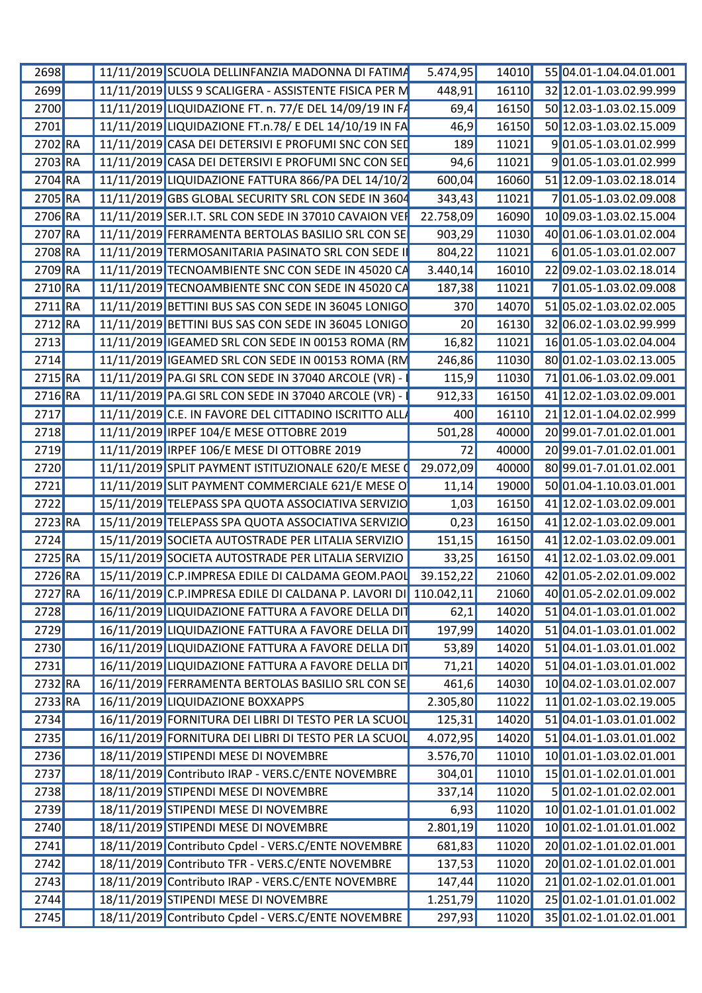| 2698                 | 11/11/2019 SCUOLA DELLINFANZIA MADONNA DI FATIMA                                                      | 5.474,95  | 14010 | 55 04.01-1.04.04.01.001       |
|----------------------|-------------------------------------------------------------------------------------------------------|-----------|-------|-------------------------------|
| 2699                 | 11/11/2019 ULSS 9 SCALIGERA - ASSISTENTE FISICA PER M                                                 | 448,91    |       | 16110 32 12.01-1.03.02.99.999 |
| 2700                 | 11/11/2019 LIQUIDAZIONE FT. n. 77/E DEL 14/09/19 IN F/                                                | 69,4      | 16150 | 50 12.03-1.03.02.15.009       |
| 2701                 | 11/11/2019 LIQUIDAZIONE FT.n.78/ E DEL 14/10/19 IN FA                                                 | 46,9      | 16150 | 50 12.03-1.03.02.15.009       |
| 2702 RA              | 11/11/2019 CASA DEI DETERSIVI E PROFUMI SNC CON SED                                                   | 189       | 11021 | 901.05-1.03.01.02.999         |
| 2703 RA              | 11/11/2019 CASA DEI DETERSIVI E PROFUMI SNC CON SED                                                   | 94,6      | 11021 | 901.05-1.03.01.02.999         |
| $2704$ <sub>RA</sub> | 11/11/2019 LIQUIDAZIONE FATTURA 866/PA DEL 14/10/2                                                    | 600,04    | 16060 | 51 12.09-1.03.02.18.014       |
| 2705 RA              | 11/11/2019 GBS GLOBAL SECURITY SRL CON SEDE IN 3604                                                   | 343,43    | 11021 | 701.05-1.03.02.09.008         |
| 2706 RA              | 11/11/2019 SER.I.T. SRL CON SEDE IN 37010 CAVAION VER                                                 | 22.758,09 | 16090 | 10 09.03-1.03.02.15.004       |
| 2707 RA              | 11/11/2019 FERRAMENTA BERTOLAS BASILIO SRL CON SE                                                     | 903,29    | 11030 | 40 01.06-1.03.01.02.004       |
| 2708 RA              | 11/11/2019 TERMOSANITARIA PASINATO SRL CON SEDE                                                       | 804,22    | 11021 | 601.05-1.03.01.02.007         |
|                      |                                                                                                       |           |       |                               |
| 2709 RA              | 11/11/2019 TECNOAMBIENTE SNC CON SEDE IN 45020 CA                                                     | 3.440,14  | 16010 | 22 09.02-1.03.02.18.014       |
| 2710 RA              | 11/11/2019 TECNOAMBIENTE SNC CON SEDE IN 45020 CA                                                     | 187,38    | 11021 | 701.05-1.03.02.09.008         |
| $2711$ <sub>RA</sub> | 11/11/2019 BETTINI BUS SAS CON SEDE IN 36045 LONIGO                                                   | 370       | 14070 | 51 05.02-1.03.02.02.005       |
| $2712$ <sub>RA</sub> | 11/11/2019 BETTINI BUS SAS CON SEDE IN 36045 LONIGO                                                   | 20        | 16130 | 32 06.02-1.03.02.99.999       |
| 2713                 | 11/11/2019 IGEAMED SRL CON SEDE IN 00153 ROMA (RM                                                     | 16,82     | 11021 | 16 01.05-1.03.02.04.004       |
| 2714                 | 11/11/2019 IGEAMED SRL CON SEDE IN 00153 ROMA (RM                                                     | 246,86    | 11030 | 80 01.02-1.03.02.13.005       |
| 2715 RA              | 11/11/2019 PA.GI SRL CON SEDE IN 37040 ARCOLE (VR) -                                                  | 115,9     | 11030 | 71 01.06-1.03.02.09.001       |
| 2716 RA              | 11/11/2019 PA.GI SRL CON SEDE IN 37040 ARCOLE (VR)                                                    | 912,33    | 16150 | 41 12.02-1.03.02.09.001       |
| <b>2717</b>          | 11/11/2019 C.E. IN FAVORE DEL CITTADINO ISCRITTO ALL                                                  | 400       | 16110 | 21 12.01-1.04.02.02.999       |
| 2718                 | 11/11/2019 IRPEF 104/E MESE OTTOBRE 2019                                                              | 501,28    | 40000 | 20 99.01-7.01.02.01.001       |
| 2719                 | 11/11/2019 IRPEF 106/E MESE DI OTTOBRE 2019                                                           |           | 40000 | 20 99.01-7.01.02.01.001       |
| 2720                 | 11/11/2019 SPLIT PAYMENT ISTITUZIONALE 620/E MESE (                                                   | 29.072,09 | 40000 | 80 99.01-7.01.01.02.001       |
| 2721                 | 11/11/2019 SLIT PAYMENT COMMERCIALE 621/E MESE O                                                      |           | 19000 | 50 01.04-1.10.03.01.001       |
|                      |                                                                                                       | 11,14     |       |                               |
| 2722                 | 15/11/2019 TELEPASS SPA QUOTA ASSOCIATIVA SERVIZIO                                                    | 1,03      | 16150 | 41 12.02-1.03.02.09.001       |
| 2723 RA              | 15/11/2019 TELEPASS SPA QUOTA ASSOCIATIVA SERVIZIO                                                    | 0,23      | 16150 | 41 12.02-1.03.02.09.001       |
| 2724                 | 15/11/2019 SOCIETA AUTOSTRADE PER LITALIA SERVIZIO                                                    | 151,15    | 16150 | 41 12.02-1.03.02.09.001       |
| 2725 RA              | 15/11/2019 SOCIETA AUTOSTRADE PER LITALIA SERVIZIO                                                    | 33,25     | 16150 | 41 12.02-1.03.02.09.001       |
| 2726 RA              | 15/11/2019 C.P. IMPRESA EDILE DI CALDAMA GEOM.PAOL 39.152,22                                          |           | 21060 | 42 01.05-2.02.01.09.002       |
|                      | 2727 RA 16/11/2019 C.P.IMPRESA EDILE DI CALDANA P. LAVORI DI 110.042,11 21060 40 01.05-2.02.01.09.002 |           |       |                               |
| 2728                 | 16/11/2019 LIQUIDAZIONE FATTURA A FAVORE DELLA DIT                                                    | 62,1      |       | 14020 51 04.01-1.03.01.01.002 |
| 2729                 | 16/11/2019 LIQUIDAZIONE FATTURA A FAVORE DELLA DIT                                                    | 197,99    |       | 14020 51 04.01-1.03.01.01.002 |
| 2730                 | 16/11/2019 LIQUIDAZIONE FATTURA A FAVORE DELLA DIT                                                    | 53,89     | 14020 | 51 04.01-1.03.01.01.002       |
| 2731                 | 16/11/2019 LIQUIDAZIONE FATTURA A FAVORE DELLA DIT                                                    | 71,21     | 14020 | 51 04.01-1.03.01.01.002       |
| 2732 RA              | 16/11/2019 FERRAMENTA BERTOLAS BASILIO SRL CON SE                                                     | 461,6     | 14030 | 10 04.02-1.03.01.02.007       |
| $2733$ RA            | 16/11/2019 LIQUIDAZIONE BOXXAPPS                                                                      | 2.305,80  |       | 11022 11 01.02-1.03.02.19.005 |
| 2734                 | 16/11/2019 FORNITURA DEI LIBRI DI TESTO PER LA SCUOL                                                  |           |       | 14020 51 04.01-1.03.01.01.002 |
|                      |                                                                                                       | 125,31    |       |                               |
| 2735                 | 16/11/2019 FORNITURA DEI LIBRI DI TESTO PER LA SCUOL                                                  | 4.072,95  | 14020 | 5104.01-1.03.01.01.002        |
| 2736                 | 18/11/2019 STIPENDI MESE DI NOVEMBRE                                                                  | 3.576,70  |       | 11010 10 01.01-1.03.02.01.001 |
| 2737                 | 18/11/2019 Contributo IRAP - VERS.C/ENTE NOVEMBRE                                                     | 304,01    | 11010 | $1501.01 - 1.02.01.01.001$    |
| 2738                 | 18/11/2019 STIPENDI MESE DI NOVEMBRE                                                                  | 337,14    | 11020 | 5 01.02-1.01.02.02.001        |
| 2739                 | 18/11/2019 STIPENDI MESE DI NOVEMBRE                                                                  | 6,93      | 11020 | 10 01.02-1.01.01.01.002       |
| 2740                 | 18/11/2019 STIPENDI MESE DI NOVEMBRE                                                                  | 2.801,19  |       | 11020 10 01.02-1.01.01.01.002 |
| 2741                 | 18/11/2019 Contributo Cpdel - VERS.C/ENTE NOVEMBRE                                                    | 681,83    |       | 11020 20 01.02-1.01.02.01.001 |
| 2742                 | 18/11/2019 Contributo TFR - VERS.C/ENTE NOVEMBRE                                                      | 137,53    | 11020 | 20 01.02-1.01.02.01.001       |
| 2743                 | 18/11/2019 Contributo IRAP - VERS.C/ENTE NOVEMBRE                                                     | 147,44    |       | 11020 21 01.02-1.02.01.01.001 |
| 2744                 | 18/11/2019 STIPENDI MESE DI NOVEMBRE                                                                  | 1.251,79  |       | 11020 25 01.02-1.01.01.01.002 |
| 2745                 | 18/11/2019 Contributo Cpdel - VERS.C/ENTE NOVEMBRE                                                    | 297,93    |       | 11020 35 01.02-1.01.02.01.001 |
|                      |                                                                                                       |           |       |                               |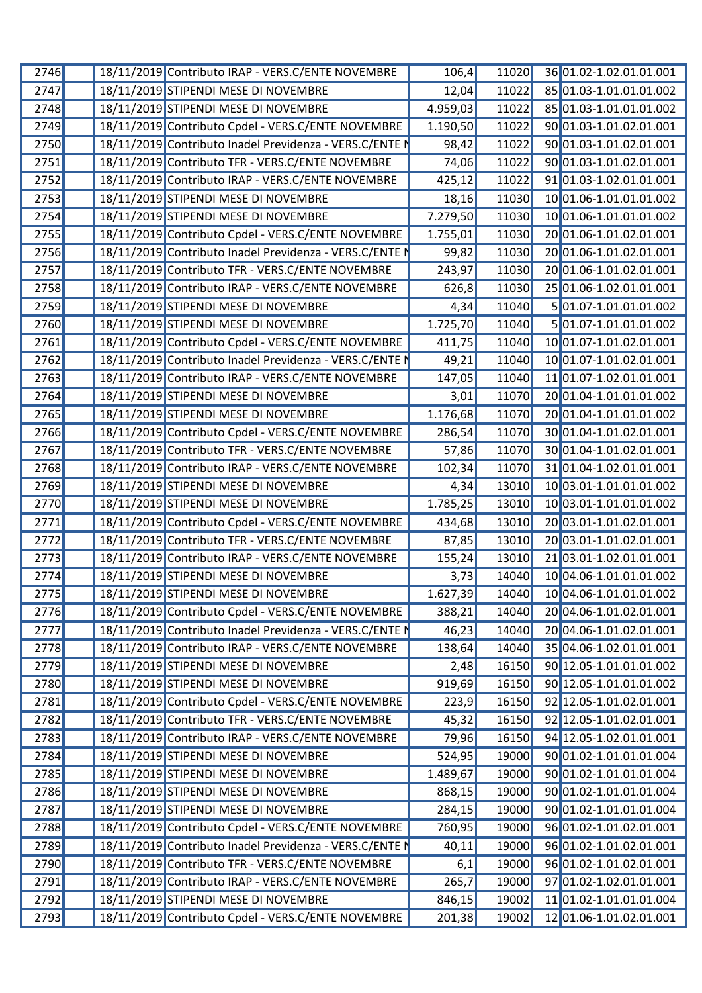| 2746 |  | 18/11/2019 Contributo IRAP - VERS.C/ENTE NOVEMBRE       | 106,4                 | 11020 | 36 01.02-1.02.01.01.001 |
|------|--|---------------------------------------------------------|-----------------------|-------|-------------------------|
| 2747 |  | 18/11/2019 STIPENDI MESE DI NOVEMBRE                    | 12,04                 | 11022 | 85 01.03-1.01.01.01.002 |
| 2748 |  | 18/11/2019 STIPENDI MESE DI NOVEMBRE                    | 4.959,03              | 11022 | 85 01.03-1.01.01.01.002 |
| 2749 |  | 18/11/2019 Contributo Cpdel - VERS.C/ENTE NOVEMBRE      | 1.190,50              | 11022 | 90 01.03-1.01.02.01.001 |
| 2750 |  | 18/11/2019 Contributo Inadel Previdenza - VERS.C/ENTE I | 98,42                 | 11022 | 90 01.03-1.01.02.01.001 |
| 2751 |  | 18/11/2019 Contributo TFR - VERS.C/ENTE NOVEMBRE        | 74,06                 | 11022 | 90 01.03-1.01.02.01.001 |
| 2752 |  | 18/11/2019 Contributo IRAP - VERS.C/ENTE NOVEMBRE       | 425,12                | 11022 | 91 01.03-1.02.01.01.001 |
| 2753 |  | 18/11/2019 STIPENDI MESE DI NOVEMBRE                    | 18,16                 | 11030 | 10 01.06-1.01.01.01.002 |
| 2754 |  | 18/11/2019 STIPENDI MESE DI NOVEMBRE                    | $\overline{7.279,50}$ | 11030 | 10 01.06-1.01.01.01.002 |
| 2755 |  | 18/11/2019 Contributo Cpdel - VERS.C/ENTE NOVEMBRE      | 1.755,01              | 11030 | 20 01.06-1.01.02.01.001 |
| 2756 |  | 18/11/2019 Contributo Inadel Previdenza - VERS.C/ENTE I | 99,82                 | 11030 | 20 01.06-1.01.02.01.001 |
| 2757 |  | 18/11/2019 Contributo TFR - VERS.C/ENTE NOVEMBRE        | 243,97                | 11030 | 20001.06-1.01.02.01.001 |
| 2758 |  | 18/11/2019 Contributo IRAP - VERS.C/ENTE NOVEMBRE       | 626,8                 | 11030 | 25 01.06-1.02.01.01.001 |
| 2759 |  | 18/11/2019 STIPENDI MESE DI NOVEMBRE                    | 4,34                  | 11040 | 5 01.07-1.01.01.01.002  |
| 2760 |  | 18/11/2019 STIPENDI MESE DI NOVEMBRE                    | 1.725,70              | 11040 | 5 01.07-1.01.01.01.002  |
| 2761 |  | 18/11/2019 Contributo Cpdel - VERS.C/ENTE NOVEMBRE      | 411,75                | 11040 | 10 01.07-1.01.02.01.001 |
| 2762 |  | 18/11/2019 Contributo Inadel Previdenza - VERS.C/ENTE I | 49,21                 | 11040 | 10 01.07-1.01.02.01.001 |
| 2763 |  | 18/11/2019 Contributo IRAP - VERS.C/ENTE NOVEMBRE       | 147,05                | 11040 | 11 01.07-1.02.01.01.001 |
| 2764 |  | 18/11/2019 STIPENDI MESE DI NOVEMBRE                    | 3,01                  | 11070 | 20 01.04-1.01.01.01.002 |
| 2765 |  | 18/11/2019 STIPENDI MESE DI NOVEMBRE                    | 1.176,68              | 11070 | 20 01.04-1.01.01.01.002 |
| 2766 |  | 18/11/2019 Contributo Cpdel - VERS.C/ENTE NOVEMBRE      | 286,54                | 11070 | 30 01.04-1.01.02.01.001 |
| 2767 |  | 18/11/2019 Contributo TFR - VERS.C/ENTE NOVEMBRE        | 57,86                 | 11070 | 30 01.04-1.01.02.01.001 |
| 2768 |  | 18/11/2019 Contributo IRAP - VERS.C/ENTE NOVEMBRE       | 102,34                | 11070 | 31 01.04-1.02.01.01.001 |
| 2769 |  | 18/11/2019 STIPENDI MESE DI NOVEMBRE                    | 4,34                  | 13010 | 10 03.01-1.01.01.01.002 |
| 2770 |  | 18/11/2019 STIPENDI MESE DI NOVEMBRE                    | 1.785,25              | 13010 | 10 03.01-1.01.01.01.002 |
| 2771 |  | 18/11/2019 Contributo Cpdel - VERS.C/ENTE NOVEMBRE      | 434,68                | 13010 | 20 03.01-1.01.02.01.001 |
| 2772 |  | 18/11/2019 Contributo TFR - VERS.C/ENTE NOVEMBRE        | 87,85                 | 13010 | 20 03.01-1.01.02.01.001 |
| 2773 |  | 18/11/2019 Contributo IRAP - VERS.C/ENTE NOVEMBRE       | 155,24                | 13010 | 2103.01-1.02.01.01.001  |
| 2774 |  | 18/11/2019 STIPENDI MESE DI NOVEMBRE                    | 3,73                  | 14040 | 10 04.06-1.01.01.01.002 |
| 2775 |  | 18/11/2019 STIPENDI MESE DI NOVEMBRE                    | $\overline{1.627,39}$ | 14040 | 10 04.06-1.01.01.01.002 |
| 2776 |  | 18/11/2019 Contributo Cpdel - VERS.C/ENTE NOVEMBRE      | 388,21                | 14040 | 20 04.06-1.01.02.01.001 |
| 2777 |  | 18/11/2019 Contributo Inadel Previdenza - VERS.C/ENTE I | 46,23                 | 14040 | 20 04.06-1.01.02.01.001 |
| 2778 |  | 18/11/2019 Contributo IRAP - VERS.C/ENTE NOVEMBRE       | 138,64                | 14040 | 35 04.06-1.02.01.01.001 |
| 2779 |  | 18/11/2019 STIPENDI MESE DI NOVEMBRE                    | 2,48                  | 16150 | 90 12.05-1.01.01.01.002 |
| 2780 |  | 18/11/2019 STIPENDI MESE DI NOVEMBRE                    | 919,69                | 16150 | 90 12.05-1.01.01.01.002 |
| 2781 |  | 18/11/2019 Contributo Cpdel - VERS.C/ENTE NOVEMBRE      | 223,9                 | 16150 | 92 12.05-1.01.02.01.001 |
| 2782 |  | 18/11/2019 Contributo TFR - VERS.C/ENTE NOVEMBRE        | 45,32                 | 16150 | 92 12.05-1.01.02.01.001 |
| 2783 |  | 18/11/2019 Contributo IRAP - VERS.C/ENTE NOVEMBRE       | 79,96                 | 16150 | 94 12.05-1.02.01.01.001 |
| 2784 |  | 18/11/2019 STIPENDI MESE DI NOVEMBRE                    | 524,95                | 19000 | 90 01.02-1.01.01.01.004 |
| 2785 |  | 18/11/2019 STIPENDI MESE DI NOVEMBRE                    | 1.489,67              | 19000 | 90 01.02-1.01.01.01.004 |
| 2786 |  | 18/11/2019 STIPENDI MESE DI NOVEMBRE                    | 868,15                | 19000 | 90 01.02-1.01.01.01.004 |
| 2787 |  | 18/11/2019 STIPENDI MESE DI NOVEMBRE                    | 284,15                | 19000 | 90 01.02-1.01.01.01.004 |
| 2788 |  | 18/11/2019 Contributo Cpdel - VERS.C/ENTE NOVEMBRE      | 760,95                | 19000 | 96 01.02-1.01.02.01.001 |
| 2789 |  | 18/11/2019 Contributo Inadel Previdenza - VERS.C/ENTE I | 40,11                 | 19000 | 96 01.02-1.01.02.01.001 |
| 2790 |  | 18/11/2019 Contributo TFR - VERS.C/ENTE NOVEMBRE        | 6,1                   | 19000 | 96 01.02-1.01.02.01.001 |
| 2791 |  | 18/11/2019 Contributo IRAP - VERS.C/ENTE NOVEMBRE       | 265,7                 | 19000 | 97 01.02-1.02.01.01.001 |
| 2792 |  | 18/11/2019 STIPENDI MESE DI NOVEMBRE                    | 846,15                | 19002 | 11 01.02-1.01.01.01.004 |
| 2793 |  | 18/11/2019 Contributo Cpdel - VERS.C/ENTE NOVEMBRE      | 201,38                | 19002 | 12 01.06-1.01.02.01.001 |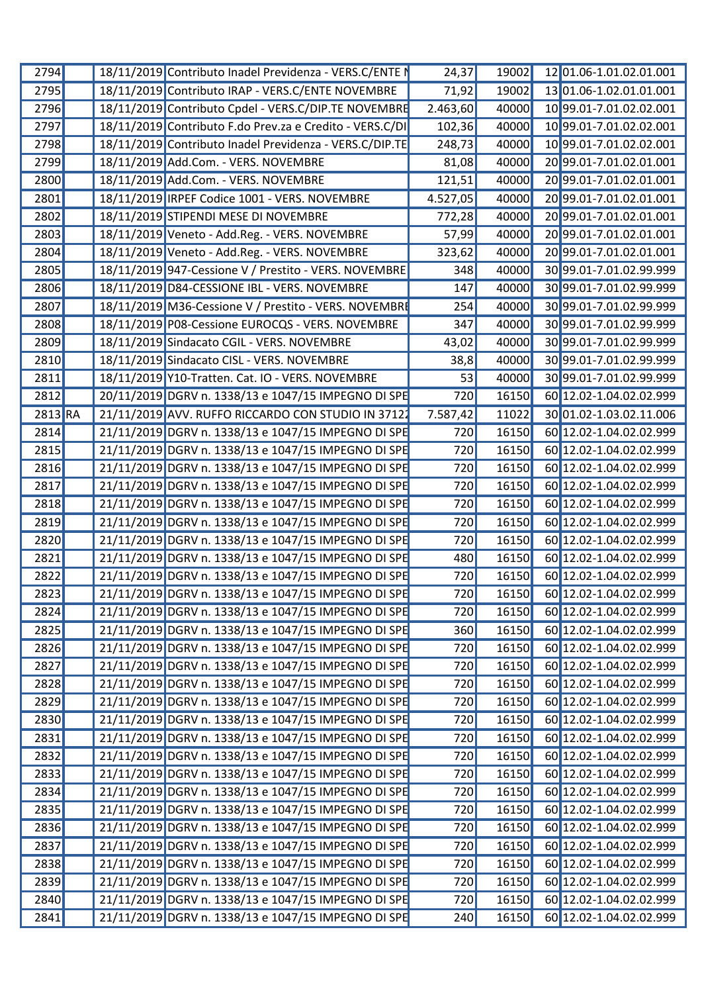| 2794        | 18/11/2019 Contributo Inadel Previdenza - VERS.C/ENTE I  | 24,37            | 19002 | 12 01.06-1.01.02.01.001       |
|-------------|----------------------------------------------------------|------------------|-------|-------------------------------|
| <b>2795</b> | 18/11/2019 Contributo IRAP - VERS.C/ENTE NOVEMBRE        | 71,92            |       | 19002 13 01.06-1.02.01.01.001 |
| 2796        | 18/11/2019 Contributo Cpdel - VERS.C/DIP.TE NOVEMBRE     | 2.463,60         | 40000 | 10 99.01-7.01.02.02.001       |
| 2797        | 18/11/2019 Contributo F.do Prev.za e Credito - VERS.C/DI | 102,36           | 40000 | 10 99.01-7.01.02.02.001       |
| 2798        | 18/11/2019 Contributo Inadel Previdenza - VERS.C/DIP.TE  | 248,73           | 40000 | 10 99.01-7.01.02.02.001       |
| 2799        | 18/11/2019 Add.Com. - VERS. NOVEMBRE                     | 81,08            | 40000 | 20 99.01-7.01.02.01.001       |
| 2800        | 18/11/2019 Add.Com. - VERS. NOVEMBRE                     | 121,51           | 40000 | 20 99.01-7.01.02.01.001       |
| 2801        | 18/11/2019 IRPEF Codice 1001 - VERS. NOVEMBRE            | 4.527,05         | 40000 | 20 99.01-7.01.02.01.001       |
| 2802        | 18/11/2019 STIPENDI MESE DI NOVEMBRE                     | 772,28           | 40000 | 20 99.01-7.01.02.01.001       |
|             |                                                          |                  |       |                               |
| 2803        | 18/11/2019 Veneto - Add.Reg. - VERS. NOVEMBRE            | 57,99            | 40000 | 20 99.01-7.01.02.01.001       |
| 2804        | 18/11/2019 Veneto - Add.Reg. - VERS. NOVEMBRE            | 323,62           | 40000 | 20 99.01-7.01.02.01.001       |
| 2805        | 18/11/2019 947-Cessione V / Prestito - VERS. NOVEMBRE    | 348              | 40000 | 30 99.01-7.01.02.99.999       |
| 2806        | 18/11/2019 D84-CESSIONE IBL - VERS. NOVEMBRE             | 147              | 40000 | 3099.01-7.01.02.99.999        |
| 2807        | 18/11/2019 M36-Cessione V / Prestito - VERS. NOVEMBRI    | 254              | 40000 | 30 99.01-7.01.02.99.999       |
| 2808        | 18/11/2019 P08-Cessione EUROCQS - VERS. NOVEMBRE         | 347              | 40000 | 3099.01-7.01.02.99.999        |
| <b>2809</b> | 18/11/2019 Sindacato CGIL - VERS. NOVEMBRE               | 43,02            | 40000 | 30 99.01-7.01.02.99.999       |
| 2810        | 18/11/2019 Sindacato CISL - VERS. NOVEMBRE               | 38,8             | 40000 | 30 99.01-7.01.02.99.999       |
| 2811        | 18/11/2019 Y10-Tratten. Cat. IO - VERS. NOVEMBRE         | 53               | 40000 | 3099.01-7.01.02.99.999        |
| 2812        | 20/11/2019 DGRV n. 1338/13 e 1047/15 IMPEGNO DI SPE      | 720              | 16150 | 60 12.02-1.04.02.02.999       |
| 2813 RA     | 21/11/2019 AVV. RUFFO RICCARDO CON STUDIO IN 3712.       |                  |       | 11022 30 01.02-1.03.02.11.006 |
|             |                                                          | 7.587,42         |       |                               |
| 2814        | 21/11/2019 DGRV n. 1338/13 e 1047/15 IMPEGNO DI SPE      | 720              | 16150 | 60 12.02-1.04.02.02.999       |
| 2815        | 21/11/2019 DGRV n. 1338/13 e 1047/15 IMPEGNO DI SPE      | 720              | 16150 | 60 12.02-1.04.02.02.999       |
| 2816        | 21/11/2019 DGRV n. 1338/13 e 1047/15 IMPEGNO DI SPE      | 720              | 16150 | 60 12.02-1.04.02.02.999       |
| 2817        | 21/11/2019 DGRV n. 1338/13 e 1047/15 IMPEGNO DI SPE      | 720              | 16150 | 60 12.02-1.04.02.02.999       |
| 2818        | 21/11/2019 DGRV n. 1338/13 e 1047/15 IMPEGNO DI SPE      | 720              | 16150 | 60 12.02-1.04.02.02.999       |
| <b>2819</b> | 21/11/2019 DGRV n. 1338/13 e 1047/15 IMPEGNO DI SPE      | 720              | 16150 | 60 12.02-1.04.02.02.999       |
| 2820        | 21/11/2019 DGRV n. 1338/13 e 1047/15 IMPEGNO DI SPE      | 720              |       | 16150 60 12.02-1.04.02.02.999 |
| <b>2821</b> | 21/11/2019 DGRV n. 1338/13 e 1047/15 IMPEGNO DI SPE      | 480              |       | 16150 60 12.02-1.04.02.02.999 |
|             | 21/11/2019 DGRV n. 1338/13 e 1047/15 IMPEGNO DI SPE      |                  |       |                               |
| 2822        |                                                          | 720              |       | 16150 60 12.02-1.04.02.02.999 |
| 2823        | 21/11/2019 DGRV n. 1338/13 e 1047/15 IMPEGNO DI SPE      | 720              |       | 16150 60 12.02-1.04.02.02.999 |
| 2824        | 21/11/2019 DGRV n. 1338/13 e 1047/15 IMPEGNO DI SPE      | 720              |       | 16150 60 12.02-1.04.02.02.999 |
| 2825        | 21/11/2019 DGRV n. 1338/13 e 1047/15 IMPEGNO DI SPE      | 360              |       | 16150 60 12.02-1.04.02.02.999 |
| 2826        | 21/11/2019 DGRV n. 1338/13 e 1047/15 IMPEGNO DI SPE      | $\overline{720}$ |       | 16150 60 12.02-1.04.02.02.999 |
| 2827        | 21/11/2019 DGRV n. 1338/13 e 1047/15 IMPEGNO DI SPE      | 720              |       | 16150 60 12.02-1.04.02.02.999 |
| 2828        | 21/11/2019 DGRV n. 1338/13 e 1047/15 IMPEGNO DI SPE      | 720              |       | 16150 60 12.02-1.04.02.02.999 |
| 2829        | 21/11/2019 DGRV n. 1338/13 e 1047/15 IMPEGNO DI SPE      | 720              |       | 16150 60 12.02-1.04.02.02.999 |
| 2830        | 21/11/2019 DGRV n. 1338/13 e 1047/15 IMPEGNO DI SPE      | 720              |       | 16150 60 12.02-1.04.02.02.999 |
|             |                                                          |                  |       |                               |
| 2831        | 21/11/2019 DGRV n. 1338/13 e 1047/15 IMPEGNO DI SPE      | 720              |       | 16150 60 12.02-1.04.02.02.999 |
| 2832        | 21/11/2019 DGRV n. 1338/13 e 1047/15 IMPEGNO DI SPE      | 720              |       | 16150 60 12.02-1.04.02.02.999 |
| 2833        | 21/11/2019 DGRV n. 1338/13 e 1047/15 IMPEGNO DI SPE      | 720              |       | 16150 60 12.02-1.04.02.02.999 |
| 2834        | 21/11/2019 DGRV n. 1338/13 e 1047/15 IMPEGNO DI SPE      | 720              |       | 16150 60 12.02-1.04.02.02.999 |
| 2835        | 21/11/2019 DGRV n. 1338/13 e 1047/15 IMPEGNO DI SPE      | $\overline{720}$ |       | 16150 60 12.02-1.04.02.02.999 |
| 2836        | 21/11/2019 DGRV n. 1338/13 e 1047/15 IMPEGNO DI SPE      | 720              |       | 16150 60 12.02-1.04.02.02.999 |
| 2837        | 21/11/2019 DGRV n. 1338/13 e 1047/15 IMPEGNO DI SPE      | 720              |       | 16150 60 12.02-1.04.02.02.999 |
| 2838        | 21/11/2019 DGRV n. 1338/13 e 1047/15 IMPEGNO DI SPE      | 720              |       | 16150 60 12.02-1.04.02.02.999 |
| 2839        | 21/11/2019 DGRV n. 1338/13 e 1047/15 IMPEGNO DI SPE      | $\overline{720}$ |       | 16150 60 12.02-1.04.02.02.999 |
|             |                                                          |                  |       |                               |
| 2840        | 21/11/2019 DGRV n. 1338/13 e 1047/15 IMPEGNO DI SPE      | 720              |       | 16150 60 12.02-1.04.02.02.999 |
| 2841        | 21/11/2019 DGRV n. 1338/13 e 1047/15 IMPEGNO DI SPE      | 240              |       | 16150 60 12.02-1.04.02.02.999 |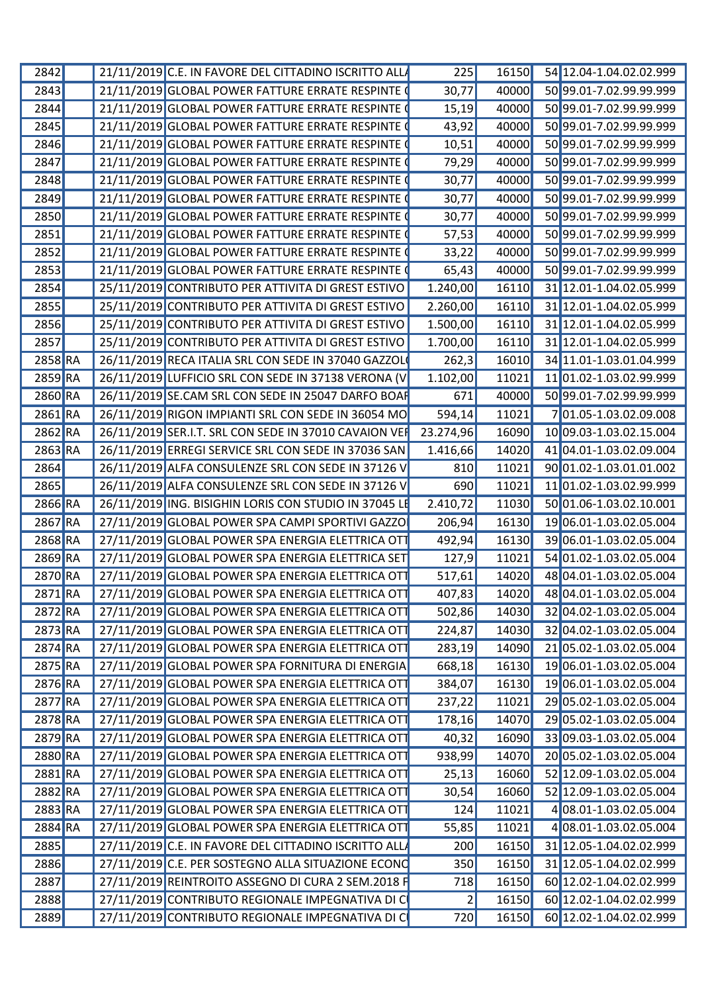| 2842                 | 21/11/2019 C.E. IN FAVORE DEL CITTADINO ISCRITTO ALL      | 225       |       | 16150 54 12.04-1.04.02.02.999        |
|----------------------|-----------------------------------------------------------|-----------|-------|--------------------------------------|
| <b>2843</b>          | 21/11/2019 GLOBAL POWER FATTURE ERRATE RESPINTE           | 30,77     |       | 40000 50 99.01-7.02.99.99.999        |
| 2844                 | 21/11/2019 GLOBAL POWER FATTURE ERRATE RESPINTE           | 15,19     | 40000 | 50 99.01-7.02.99.99.999              |
| 2845                 | 21/11/2019 GLOBAL POWER FATTURE ERRATE RESPINTE           | 43,92     | 40000 | 50 99.01-7.02.99.99.999              |
| 2846                 | 21/11/2019 GLOBAL POWER FATTURE ERRATE RESPINTE           | 10,51     | 40000 | 50 99.01-7.02.99.99.999              |
| 2847                 | 21/11/2019 GLOBAL POWER FATTURE ERRATE RESPINTE           | 79,29     | 40000 | 50 99.01-7.02.99.99.999              |
| 2848                 | 21/11/2019 GLOBAL POWER FATTURE ERRATE RESPINTE           | 30,77     | 40000 | 50 99.01-7.02.99.99.999              |
| 2849                 | 21/11/2019 GLOBAL POWER FATTURE ERRATE RESPINTE           | 30,77     | 40000 | 50 99.01-7.02.99.99.999              |
| 2850                 | 21/11/2019 GLOBAL POWER FATTURE ERRATE RESPINTE           | 30,77     | 40000 | 50 99.01-7.02.99.99.999              |
| 2851                 | 21/11/2019 GLOBAL POWER FATTURE ERRATE RESPINTE           | 57,53     | 40000 | 50 99.01-7.02.99.99.999              |
| 2852                 | 21/11/2019 GLOBAL POWER FATTURE ERRATE RESPINTE           | 33,22     | 40000 | 50 99.01-7.02.99.99.999              |
| 2853                 | 21/11/2019 GLOBAL POWER FATTURE ERRATE RESPINTE           | 65,43     |       | 40000 50 99.01-7.02.99.99.999        |
| 2854                 | 25/11/2019 CONTRIBUTO PER ATTIVITA DI GREST ESTIVO        | 1.240,00  |       | 16110 31 12.01-1.04.02.05.999        |
|                      |                                                           |           |       |                                      |
| 2855                 | 25/11/2019 CONTRIBUTO PER ATTIVITA DI GREST ESTIVO        | 2.260,00  |       | 16110 31 12.01-1.04.02.05.999        |
| 2856                 | 25/11/2019 CONTRIBUTO PER ATTIVITA DI GREST ESTIVO        | 1.500,00  |       | 16110 31 12.01-1.04.02.05.999        |
| 2857                 | 25/11/2019 CONTRIBUTO PER ATTIVITA DI GREST ESTIVO        | 1.700,00  |       | 16110 31 12.01-1.04.02.05.999        |
| 2858 RA              | 26/11/2019 RECA ITALIA SRL CON SEDE IN 37040 GAZZOL       | 262,3     |       | 16010 34 11.01-1.03.01.04.999        |
| 2859 RA              | 26/11/2019 LUFFICIO SRL CON SEDE IN 37138 VERONA (V       | 1.102,00  | 11021 | 11 01.02-1.03.02.99.999              |
| 2860 RA              | 26/11/2019 SE.CAM SRL CON SEDE IN 25047 DARFO BOAI        | 671       | 40000 | 50 99.01-7.02.99.99.999              |
| $2861$ <sub>RA</sub> | 26/11/2019 RIGON IMPIANTI SRL CON SEDE IN 36054 MO        | 594,14    | 11021 | 701.05-1.03.02.09.008                |
| 2862 RA              | 26/11/2019 SER.I.T. SRL CON SEDE IN 37010 CAVAION VER     | 23.274,96 | 16090 | 10 09.03-1.03.02.15.004              |
| $2863$ <sub>RA</sub> | 26/11/2019 ERREGI SERVICE SRL CON SEDE IN 37036 SAN       | 1.416,66  | 14020 | 41 04.01-1.03.02.09.004              |
| 2864                 | 26/11/2019 ALFA CONSULENZE SRL CON SEDE IN 37126 V        | 810       |       | 11021 90 01.02-1.03.01.01.002        |
| 2865                 | 26/11/2019 ALFA CONSULENZE SRL CON SEDE IN 37126 V        | 690       | 11021 | 11 01.02-1.03.02.99.999              |
| 2866 RA              | 26/11/2019 ING. BISIGHIN LORIS CON STUDIO IN 37045 L      | 2.410,72  | 11030 | 50 01.06-1.03.02.10.001              |
| 2867 RA              | 27/11/2019 GLOBAL POWER SPA CAMPI SPORTIVI GAZZO          | 206,94    |       | 16130 19 06.01-1.03.02.05.004        |
| 2868 RA              | 27/11/2019 GLOBAL POWER SPA ENERGIA ELETTRICA OT          | 492,94    |       | 16130 39 06.01-1.03.02.05.004        |
| $2869$ <sub>RA</sub> | 27/11/2019 GLOBAL POWER SPA ENERGIA ELETTRICA SET         | 127,9     |       | 11021 54 01.02-1.03.02.05.004        |
| 2870 RA              | 27/11/2019 GLOBAL POWER SPA ENERGIA ELETTRICA OT          | 517,61    |       | 14020 48 04.01-1.03.02.05.004        |
|                      | 2871 RA 27/11/2019 GLOBAL POWER SPA ENERGIA ELETTRICA OTT |           |       | 407,83 14020 48 04.01-1.03.02.05.004 |
|                      |                                                           |           |       |                                      |
| 2872 RA              | 27/11/2019 GLOBAL POWER SPA ENERGIA ELETTRICA OTT         | 502,86    |       | 14030 32 04.02-1.03.02.05.004        |
| $2873$ <sub>RA</sub> | 27/11/2019 GLOBAL POWER SPA ENERGIA ELETTRICA OTT         | 224,87    |       | 14030 32 04.02-1.03.02.05.004        |
| 2874 RA              | 27/11/2019 GLOBAL POWER SPA ENERGIA ELETTRICA OTT         | 283,19    |       | 14090 21 05.02-1.03.02.05.004        |
| 2875 RA              | 27/11/2019 GLOBAL POWER SPA FORNITURA DI ENERGIA          | 668,18    | 16130 | 19 06.01-1.03.02.05.004              |
| 2876 RA              | 27/11/2019 GLOBAL POWER SPA ENERGIA ELETTRICA OT          | 384,07    |       | 16130 19 06.01-1.03.02.05.004        |
| 2877 RA              | 27/11/2019 GLOBAL POWER SPA ENERGIA ELETTRICA OTT         | 237,22    |       | 11021 29 05.02-1.03.02.05.004        |
| 2878 RA              | 27/11/2019 GLOBAL POWER SPA ENERGIA ELETTRICA OT          | 178,16    |       | 14070 29 05.02-1.03.02.05.004        |
| 2879 RA              | 27/11/2019 GLOBAL POWER SPA ENERGIA ELETTRICA OT          | 40,32     |       | 16090 33 09.03-1.03.02.05.004        |
| 2880 RA              | 27/11/2019 GLOBAL POWER SPA ENERGIA ELETTRICA OT          | 938,99    |       | 14070 20 05.02-1.03.02.05.004        |
| 2881 RA              | 27/11/2019 GLOBAL POWER SPA ENERGIA ELETTRICA OT          | 25,13     |       | 16060 52 12.09-1.03.02.05.004        |
| 2882 RA              | 27/11/2019 GLOBAL POWER SPA ENERGIA ELETTRICA OT          | 30,54     |       | 16060 52 12.09-1.03.02.05.004        |
| 2883 RA              | 27/11/2019 GLOBAL POWER SPA ENERGIA ELETTRICA OT          | 124       | 11021 | 408.01-1.03.02.05.004                |
| 2884 RA              | 27/11/2019 GLOBAL POWER SPA ENERGIA ELETTRICA OTT         | 55,85     | 11021 | 4 08.01-1.03.02.05.004               |
| <b>2885</b>          | 27/11/2019 C.E. IN FAVORE DEL CITTADINO ISCRITTO ALL      | 200       |       | 16150 31 12.05-1.04.02.02.999        |
| 2886                 | 27/11/2019 C.E. PER SOSTEGNO ALLA SITUAZIONE ECONO        | 350       |       | 16150 31 12.05-1.04.02.02.999        |
|                      |                                                           |           |       |                                      |
| 2887                 | 27/11/2019 REINTROITO ASSEGNO DI CURA 2 SEM.2018 F        | 718       |       | 16150 60 12.02-1.04.02.02.999        |
| 2888                 | 27/11/2019 CONTRIBUTO REGIONALE IMPEGNATIVA DI C          |           |       | 16150 60 12.02-1.04.02.02.999        |
| 2889                 | 27/11/2019 CONTRIBUTO REGIONALE IMPEGNATIVA DI C          | 720       |       | 16150 60 12.02-1.04.02.02.999        |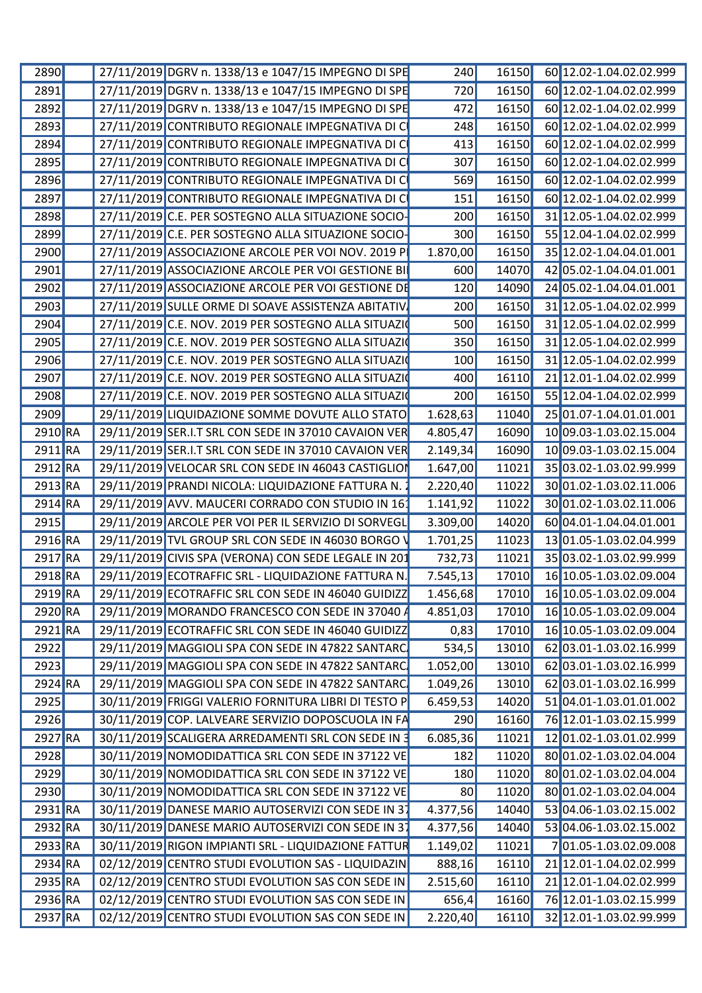| 2890                 | 27/11/2019 DGRV n. 1338/13 e 1047/15 IMPEGNO DI SPE                  | 240      |                | 16150 60 12.02-1.04.02.02.999 |
|----------------------|----------------------------------------------------------------------|----------|----------------|-------------------------------|
| 2891                 | 27/11/2019 DGRV n. 1338/13 e 1047/15 IMPEGNO DI SPE                  | 720      |                | 16150 60 12.02-1.04.02.02.999 |
| 2892                 | 27/11/2019 DGRV n. 1338/13 e 1047/15 IMPEGNO DI SPE                  | 472      | 16150          | 60 12.02-1.04.02.02.999       |
| <b>2893</b>          | 27/11/2019 CONTRIBUTO REGIONALE IMPEGNATIVA DI C                     | 248      | 16150          | 60 12.02-1.04.02.02.999       |
| 2894                 | 27/11/2019 CONTRIBUTO REGIONALE IMPEGNATIVA DI C                     | 413      | 16150          | 60 12.02-1.04.02.02.999       |
| 2895                 | 27/11/2019 CONTRIBUTO REGIONALE IMPEGNATIVA DI C                     | 307      | 16150          | 60 12.02-1.04.02.02.999       |
| 2896                 | 27/11/2019 CONTRIBUTO REGIONALE IMPEGNATIVA DI C                     | 569      | 16150          | 60 12.02-1.04.02.02.999       |
| 2897                 | 27/11/2019 CONTRIBUTO REGIONALE IMPEGNATIVA DI C                     | 151      | 16150          | 60 12.02-1.04.02.02.999       |
| 2898                 | 27/11/2019 C.E. PER SOSTEGNO ALLA SITUAZIONE SOCIO-                  | 200      | 16150          | 31 12.05-1.04.02.02.999       |
| 2899                 | 27/11/2019 C.E. PER SOSTEGNO ALLA SITUAZIONE SOCIO-                  | 300      | 16150          | 55 12.04-1.04.02.02.999       |
| 2900                 | 27/11/2019 ASSOCIAZIONE ARCOLE PER VOI NOV. 2019 P                   | 1.870,00 | 16150          | 35 12.02-1.04.04.01.001       |
|                      |                                                                      |          |                |                               |
| 2901                 | 27/11/2019 ASSOCIAZIONE ARCOLE PER VOI GESTIONE BI                   | 600      | 14070          | 42 05.02-1.04.04.01.001       |
| 2902                 | 27/11/2019 ASSOCIAZIONE ARCOLE PER VOI GESTIONE DE                   | 120      | 14090          | 24 05.02-1.04.04.01.001       |
| 2903                 | 27/11/2019 SULLE ORME DI SOAVE ASSISTENZA ABITATIV                   | 200      | 16150          | 31 12.05-1.04.02.02.999       |
| 2904                 | 27/11/2019 C.E. NOV. 2019 PER SOSTEGNO ALLA SITUAZIO                 | 500      | 16150          | 31 12.05-1.04.02.02.999       |
| 2905                 | 27/11/2019 C.E. NOV. 2019 PER SOSTEGNO ALLA SITUAZI                  | 350      | 16150 <b> </b> | 31 12.05-1.04.02.02.999       |
| 2906                 | 27/11/2019 C.E. NOV. 2019 PER SOSTEGNO ALLA SITUAZI                  | 100      | 16150          | 31 12.05-1.04.02.02.999       |
| 2907                 | 27/11/2019 C.E. NOV. 2019 PER SOSTEGNO ALLA SITUAZI                  | 400      | 16110          | 21 12.01-1.04.02.02.999       |
| 2908                 | 27/11/2019 C.E. NOV. 2019 PER SOSTEGNO ALLA SITUAZI                  | 200      | 16150          | 55 12.04-1.04.02.02.999       |
| 2909                 | 29/11/2019 LIQUIDAZIONE SOMME DOVUTE ALLO STATO                      | 1.628,63 | 11040          | 25 01.07-1.04.01.01.001       |
| 2910 RA              | 29/11/2019 SER.I.T SRL CON SEDE IN 37010 CAVAION VER                 | 4.805,47 | 16090          | 10 09.03-1.03.02.15.004       |
| $2911$ <sub>RA</sub> | 29/11/2019 SER.I.T SRL CON SEDE IN 37010 CAVAION VER                 | 2.149,34 | 16090          | 10 09.03-1.03.02.15.004       |
| 2912 RA              | 29/11/2019 VELOCAR SRL CON SEDE IN 46043 CASTIGLIO                   | 1.647,00 | 11021          | 3503.02-1.03.02.99.999        |
| $2913$ <sub>RA</sub> | 29/11/2019 PRANDI NICOLA: LIQUIDAZIONE FATTURA N.                    | 2.220,40 | 11022          | 30 01.02-1.03.02.11.006       |
|                      |                                                                      |          |                |                               |
| 2914 RA              | 29/11/2019 AVV. MAUCERI CORRADO CON STUDIO IN 16                     | 1.141,92 | 11022          | 30 01.02-1.03.02.11.006       |
| 2915                 | 29/11/2019 ARCOLE PER VOI PER IL SERVIZIO DI SORVEGL                 | 3.309,00 | 14020          | 60 04.01-1.04.04.01.001       |
| $2916$ RA            | 29/11/2019 TVL GROUP SRL CON SEDE IN 46030 BORGO \                   | 1.701,25 | 11023          | 13 01.05-1.03.02.04.999       |
| 2917 RA              | 29/11/2019 CIVIS SPA (VERONA) CON SEDE LEGALE IN 201                 | 732,73   | 11021          | 35 03.02-1.03.02.99.999       |
| 2918 RA              | 29/11/2019 ECOTRAFFIC SRL - LIQUIDAZIONE FATTURA N.                  | 7.545,13 | 17010          | 16 10.05-1.03.02.09.004       |
|                      | 2919 RA 29/11/2019 ECOTRAFFIC SRL CON SEDE IN 46040 GUIDIZZ 1.456,68 |          |                | 17010 16 10.05-1.03.02.09.004 |
| 2920 RA              | 29/11/2019 MORANDO FRANCESCO CON SEDE IN 37040 A                     | 4.851,03 |                | 17010 16 10.05-1.03.02.09.004 |
| 2921 RA              | 29/11/2019 ECOTRAFFIC SRL CON SEDE IN 46040 GUIDIZZ                  | 0,83     |                | 17010 16 10.05-1.03.02.09.004 |
| 2922                 | 29/11/2019 MAGGIOLI SPA CON SEDE IN 47822 SANTARC                    | 534,5    |                | 13010 62 03.01-1.03.02.16.999 |
| 2923                 | 29/11/2019 MAGGIOLI SPA CON SEDE IN 47822 SANTARC                    | 1.052,00 | 13010          | 62 03.01-1.03.02.16.999       |
| 2924 RA              | 29/11/2019 MAGGIOLI SPA CON SEDE IN 47822 SANTARC                    | 1.049,26 |                | 13010 62 03.01-1.03.02.16.999 |
| <b>2925</b>          | 30/11/2019 FRIGGI VALERIO FORNITURA LIBRI DI TESTO P                 | 6.459,53 |                | 14020 51 04.01-1.03.01.01.002 |
|                      |                                                                      |          |                |                               |
| 2926                 | 30/11/2019 COP. LALVEARE SERVIZIO DOPOSCUOLA IN FA                   | 290      |                | 16160 76 12.01-1.03.02.15.999 |
| 2927 RA              | 30/11/2019 SCALIGERA ARREDAMENTI SRL CON SEDE IN 3                   | 6.085,36 | 11021          | 12 01.02-1.03.01.02.999       |
| <b>2928</b>          | 30/11/2019 NOMODIDATTICA SRL CON SEDE IN 37122 VE                    | 182      |                | 11020 80 01.02-1.03.02.04.004 |
| 2929                 | 30/11/2019 NOMODIDATTICA SRL CON SEDE IN 37122 VE                    | 180      |                | 11020 80 01.02-1.03.02.04.004 |
| 2930                 | 30/11/2019 NOMODIDATTICA SRL CON SEDE IN 37122 VE                    | 80       |                | 11020 80 01.02-1.03.02.04.004 |
| $2931$ RA            | 30/11/2019 DANESE MARIO AUTOSERVIZI CON SEDE IN 37                   | 4.377,56 | 14040          | 53 04.06-1.03.02.15.002       |
| 2932 RA              | 30/11/2019 DANESE MARIO AUTOSERVIZI CON SEDE IN 37                   | 4.377,56 | 14040          | 53 04.06-1.03.02.15.002       |
| $2933$ <sub>RA</sub> | 30/11/2019 RIGON IMPIANTI SRL - LIQUIDAZIONE FATTUR                  | 1.149,02 | 11021          | 701.05-1.03.02.09.008         |
| $2934$ <sub>RA</sub> | 02/12/2019 CENTRO STUDI EVOLUTION SAS - LIQUIDAZIN                   | 888,16   | 16110          | 21 12.01-1.04.02.02.999       |
| 2935 RA              | 02/12/2019 CENTRO STUDI EVOLUTION SAS CON SEDE IN                    | 2.515,60 | 16110          | 21 12.01-1.04.02.02.999       |
| 2936 RA              | 02/12/2019 CENTRO STUDI EVOLUTION SAS CON SEDE IN                    | 656,4    |                | 16160 76 12.01-1.03.02.15.999 |
|                      |                                                                      |          |                |                               |
| 2937 RA              | 02/12/2019 CENTRO STUDI EVOLUTION SAS CON SEDE IN                    | 2.220,40 |                | 16110 32 12.01-1.03.02.99.999 |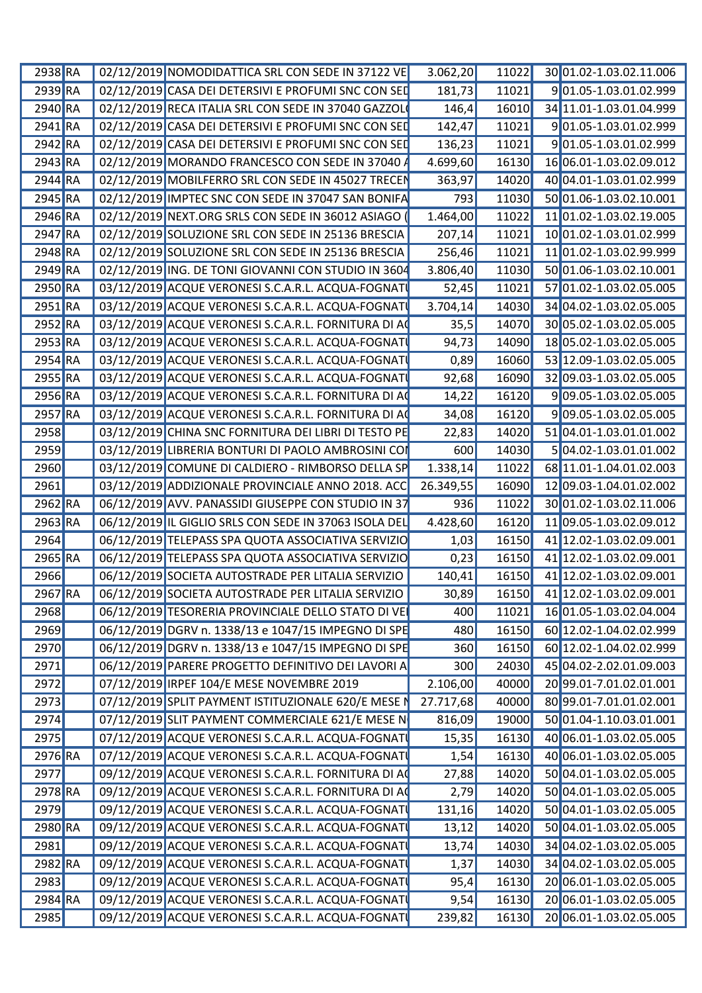| 2938 RA              | 02/12/2019 NOMODIDATTICA SRL CON SEDE IN 37122 VE          | 3.062,20        | 11022 | 30 01.02-1.03.02.11.006       |
|----------------------|------------------------------------------------------------|-----------------|-------|-------------------------------|
| 2939 RA              | 02/12/2019 CASA DEI DETERSIVI E PROFUMI SNC CON SED        | 181,73          | 11021 | 901.05-1.03.01.02.999         |
| 2940 RA              | 02/12/2019 RECA ITALIA SRL CON SEDE IN 37040 GAZZOL        | 146,4           | 16010 | 34 11.01-1.03.01.04.999       |
| 2941 RA              | 02/12/2019 CASA DEI DETERSIVI E PROFUMI SNC CON SEI        | 142,47          | 11021 | 901.05-1.03.01.02.999         |
| 2942 RA              | 02/12/2019 CASA DEI DETERSIVI E PROFUMI SNC CON SEI        | 136,23          | 11021 | 901.05-1.03.01.02.999         |
| $2943$ <sub>RA</sub> | 02/12/2019 MORANDO FRANCESCO CON SEDE IN 37040             | 4.699,60        | 16130 | 16 06.01-1.03.02.09.012       |
| $2944$ <sub>RA</sub> | 02/12/2019 MOBILFERRO SRL CON SEDE IN 45027 TRECEI         | 363,97          | 14020 | 40 04.01-1.03.01.02.999       |
| 2945 RA              | 02/12/2019 IMPTEC SNC CON SEDE IN 37047 SAN BONIFA         | 793             | 11030 | 50 01.06-1.03.02.10.001       |
| 2946 RA              | 02/12/2019 NEXT.ORG SRLS CON SEDE IN 36012 ASIAGO          | 1.464,00        | 11022 | 11 01.02-1.03.02.19.005       |
| 2947 RA              | 02/12/2019 SOLUZIONE SRL CON SEDE IN 25136 BRESCIA         | 207,14          | 11021 | 10 01.02-1.03.01.02.999       |
|                      |                                                            |                 |       |                               |
| 2948 RA              | 02/12/2019 SOLUZIONE SRL CON SEDE IN 25136 BRESCIA         | 256,46          | 11021 | 11 01.02-1.03.02.99.999       |
| $2949$ <sub>RA</sub> | 02/12/2019 ING. DE TONI GIOVANNI CON STUDIO IN 3604        | 3.806,40        | 11030 | 50 01.06-1.03.02.10.001       |
| 2950 RA              | 03/12/2019 ACQUE VERONESI S.C.A.R.L. ACQUA-FOGNAT          | 52,45           | 11021 | 57 01.02-1.03.02.05.005       |
| 2951 RA              | 03/12/2019 ACQUE VERONESI S.C.A.R.L. ACQUA-FOGNAT          | 3.704,14        | 14030 | 34 04.02-1.03.02.05.005       |
| 2952 RA              | 03/12/2019 ACQUE VERONESI S.C.A.R.L. FORNITURA DI A        | 35,5            | 14070 | 30 05.02-1.03.02.05.005       |
| 2953 RA              | 03/12/2019 ACQUE VERONESI S.C.A.R.L. ACQUA-FOGNAT          | 94,73           | 14090 | 18 05.02-1.03.02.05.005       |
| 2954 RA              | 03/12/2019 ACQUE VERONESI S.C.A.R.L. ACQUA-FOGNAT          | 0,89            | 16060 | 53 12.09-1.03.02.05.005       |
| 2955 RA              | 03/12/2019 ACQUE VERONESI S.C.A.R.L. ACQUA-FOGNAT          | 92,68           | 16090 | 32 09.03-1.03.02.05.005       |
| 2956 RA              | 03/12/2019 ACQUE VERONESI S.C.A.R.L. FORNITURA DI A        | 14,22           | 16120 | 909.05-1.03.02.05.005         |
| 2957 RA              | 03/12/2019 ACQUE VERONESI S.C.A.R.L. FORNITURA DI A        | 34,08           | 16120 | 909.05-1.03.02.05.005         |
| 2958                 | 03/12/2019 CHINA SNC FORNITURA DEI LIBRI DI TESTO PE       | 22,83           | 14020 | 5104.01-1.03.01.01.002        |
| 2959                 | 03/12/2019 LIBRERIA BONTURI DI PAOLO AMBROSINI COI         | 600             | 14030 | 504.02-1.03.01.01.002         |
| 2960                 | 03/12/2019 COMUNE DI CALDIERO - RIMBORSO DELLA SP          | 1.338,14        | 11022 | 68 11.01-1.04.01.02.003       |
| 2961                 | 03/12/2019 ADDIZIONALE PROVINCIALE ANNO 2018. ACC          | 26.349,55       | 16090 | 12 09.03-1.04.01.02.002       |
| 2962 RA              | 06/12/2019 AVV. PANASSIDI GIUSEPPE CON STUDIO IN 37        | 936             | 11022 | 30 01.02-1.03.02.11.006       |
| 2963 RA              | 06/12/2019 IL GIGLIO SRLS CON SEDE IN 37063 ISOLA DEL      | 4.428,60        | 16120 | 11 09.05-1.03.02.09.012       |
|                      |                                                            |                 |       |                               |
| 2964                 | 06/12/2019 TELEPASS SPA QUOTA ASSOCIATIVA SERVIZIC         | 1,03            | 16150 | 41 12.02-1.03.02.09.001       |
| 2965 RA              | 06/12/2019 TELEPASS SPA QUOTA ASSOCIATIVA SERVIZIO         | 0,23            | 16150 | 41 12.02-1.03.02.09.001       |
| 2966                 | 06/12/2019 SOCIETA AUTOSTRADE PER LITALIA SERVIZIO         | 140,41          | 16150 | 41 12.02-1.03.02.09.001       |
|                      | 2967 RA 06/12/2019 SOCIETA AUTOSTRADE PER LITALIA SERVIZIO | $\boxed{30,89}$ |       | 16150 41 12.02-1.03.02.09.001 |
| 2968                 | 06/12/2019 TESORERIA PROVINCIALE DELLO STATO DI VE         | 400             | 11021 | 16 01.05-1.03.02.04.004       |
| 2969                 | 06/12/2019 DGRV n. 1338/13 e 1047/15 IMPEGNO DI SPE        | 480             |       | 16150 60 12.02-1.04.02.02.999 |
| 2970                 | 06/12/2019 DGRV n. 1338/13 e 1047/15 IMPEGNO DI SPE        | 360             |       | 16150 60 12.02-1.04.02.02.999 |
| 2971                 | 06/12/2019 PARERE PROGETTO DEFINITIVO DEI LAVORI A         | 300             | 24030 | 45 04.02-2.02.01.09.003       |
| 2972                 | 07/12/2019 IRPEF 104/E MESE NOVEMBRE 2019                  | 2.106,00        | 40000 | 2099.01-7.01.02.01.001        |
| 2973                 | 07/12/2019 SPLIT PAYMENT ISTITUZIONALE 620/E MESE N        | 27.717,68       | 40000 | 80 99.01-7.01.01.02.001       |
| 2974                 | 07/12/2019 SLIT PAYMENT COMMERCIALE 621/E MESE N           | 816,09          | 19000 | 50 01.04-1.10.03.01.001       |
| 2975                 | 07/12/2019 ACQUE VERONESI S.C.A.R.L. ACQUA-FOGNAT          | 15,35           | 16130 | 40 06.01-1.03.02.05.005       |
| 2976 RA              | 07/12/2019 ACQUE VERONESI S.C.A.R.L. ACQUA-FOGNATI         | 1,54            |       | 16130 40 06.01-1.03.02.05.005 |
| 2977                 | 09/12/2019 ACQUE VERONESI S.C.A.R.L. FORNITURA DI AC       | 27,88           |       | 14020 50 04.01-1.03.02.05.005 |
| 2978 RA              | 09/12/2019 ACQUE VERONESI S.C.A.R.L. FORNITURA DI AQ       | 2,79            | 14020 | 50 04.01-1.03.02.05.005       |
|                      |                                                            |                 | 14020 |                               |
| 2979                 | 09/12/2019 ACQUE VERONESI S.C.A.R.L. ACQUA-FOGNATI         | 131,16          |       | 50 04.01-1.03.02.05.005       |
| 2980 RA              | 09/12/2019 ACQUE VERONESI S.C.A.R.L. ACQUA-FOGNAT          | 13,12           |       | 14020 50 04.01-1.03.02.05.005 |
| 2981                 | 09/12/2019 ACQUE VERONESI S.C.A.R.L. ACQUA-FOGNATI         | 13,74           |       | 14030 34 04.02-1.03.02.05.005 |
| 2982 RA              | 09/12/2019 ACQUE VERONESI S.C.A.R.L. ACQUA-FOGNAT          | 1,37            |       | 14030 34 04.02-1.03.02.05.005 |
| 2983                 | 09/12/2019 ACQUE VERONESI S.C.A.R.L. ACQUA-FOGNATI         | 95,4            |       | 16130 20 06.01-1.03.02.05.005 |
| 2984 RA              | 09/12/2019 ACQUE VERONESI S.C.A.R.L. ACQUA-FOGNAT          | 9,54            |       | 16130 20 06.01-1.03.02.05.005 |
| 2985                 | 09/12/2019 ACQUE VERONESI S.C.A.R.L. ACQUA-FOGNATI         | 239,82          | 16130 | 20 06.01-1.03.02.05.005       |
|                      |                                                            |                 |       |                               |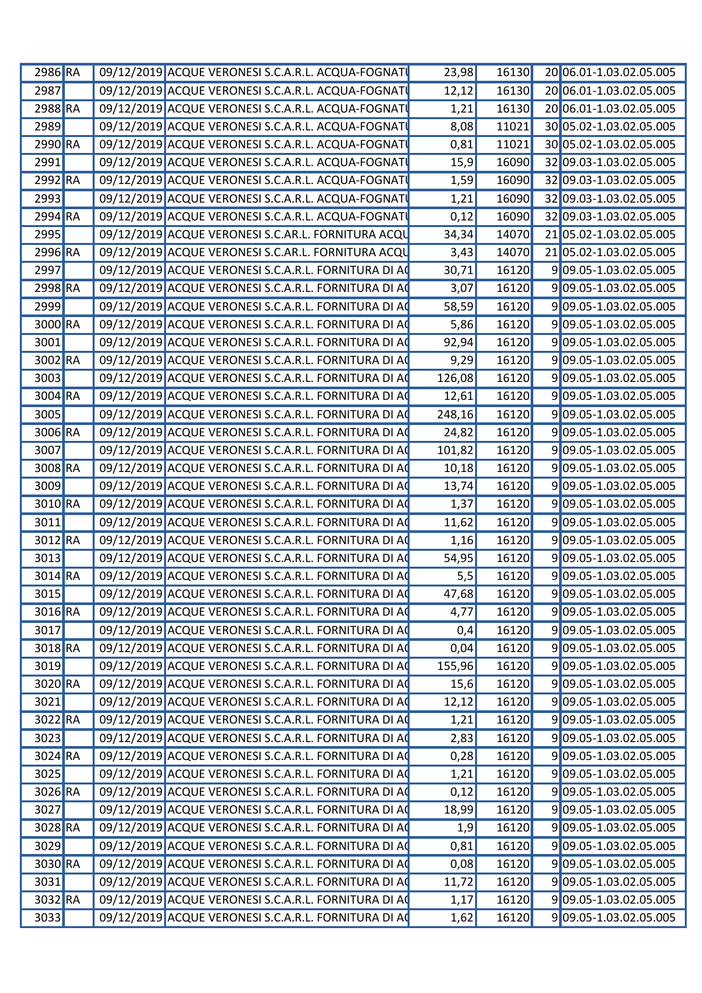| 2986 RA |  | 09/12/2019 ACQUE VERONESI S.C.A.R.L. ACQUA-FOGNAT    | 23,98  | 16130 | 20 06.01-1.03.02.05.005 |
|---------|--|------------------------------------------------------|--------|-------|-------------------------|
| 2987    |  | 09/12/2019 ACQUE VERONESI S.C.A.R.L. ACQUA-FOGNATI   | 12,12  | 16130 | 20 06.01-1.03.02.05.005 |
| 2988 RA |  | 09/12/2019 ACQUE VERONESI S.C.A.R.L. ACQUA-FOGNATI   | 1,21   | 16130 | 20 06.01-1.03.02.05.005 |
| 2989    |  | 09/12/2019 ACQUE VERONESI S.C.A.R.L. ACQUA-FOGNATI   | 8,08   | 11021 | 30 05.02-1.03.02.05.005 |
| 2990 RA |  | 09/12/2019 ACQUE VERONESI S.C.A.R.L. ACQUA-FOGNAT    | 0,81   | 11021 | 30 05.02-1.03.02.05.005 |
| 2991    |  | 09/12/2019 ACQUE VERONESI S.C.A.R.L. ACQUA-FOGNAT    | 15,9   | 16090 | 32 09.03-1.03.02.05.005 |
| 2992 RA |  | 09/12/2019 ACQUE VERONESI S.C.A.R.L. ACQUA-FOGNATI   | 1,59   | 16090 | 32 09.03-1.03.02.05.005 |
| 2993    |  | 09/12/2019 ACQUE VERONESI S.C.A.R.L. ACQUA-FOGNATI   | 1,21   | 16090 | 32 09.03-1.03.02.05.005 |
| 2994 RA |  | 09/12/2019 ACQUE VERONESI S.C.A.R.L. ACQUA-FOGNATI   | 0,12   | 16090 | 32 09.03-1.03.02.05.005 |
| 2995    |  | 09/12/2019 ACQUE VERONESI S.C.AR.L. FORNITURA ACQU   | 34,34  | 14070 | 21 05.02-1.03.02.05.005 |
| 2996 RA |  | 09/12/2019 ACQUE VERONESI S.C.AR.L. FORNITURA ACQU   | 3,43   | 14070 | 21 05.02-1.03.02.05.005 |
| 2997    |  | 09/12/2019 ACQUE VERONESI S.C.A.R.L. FORNITURA DI AC | 30,71  | 16120 | 909.05-1.03.02.05.005   |
| 2998 RA |  | 09/12/2019 ACQUE VERONESI S.C.A.R.L. FORNITURA DI AC | 3,07   | 16120 | 909.05-1.03.02.05.005   |
| 2999    |  | 09/12/2019 ACQUE VERONESI S.C.A.R.L. FORNITURA DI AC | 58,59  | 16120 | 909.05-1.03.02.05.005   |
| 3000 RA |  | 09/12/2019 ACQUE VERONESI S.C.A.R.L. FORNITURA DI AC | 5,86   | 16120 | 909.05-1.03.02.05.005   |
| 3001    |  | 09/12/2019 ACQUE VERONESI S.C.A.R.L. FORNITURA DI AC | 92,94  | 16120 | 909.05-1.03.02.05.005   |
| 3002 RA |  | 09/12/2019 ACQUE VERONESI S.C.A.R.L. FORNITURA DI AC | 9,29   | 16120 | 909.05-1.03.02.05.005   |
| 3003    |  | 09/12/2019 ACQUE VERONESI S.C.A.R.L. FORNITURA DI A  | 126,08 | 16120 | 909.05-1.03.02.05.005   |
| 3004 RA |  | 09/12/2019 ACQUE VERONESI S.C.A.R.L. FORNITURA DI AC | 12,61  | 16120 | 909.05-1.03.02.05.005   |
| 3005    |  | 09/12/2019 ACQUE VERONESI S.C.A.R.L. FORNITURA DI AC | 248,16 | 16120 | 909.05-1.03.02.05.005   |
| 3006 RA |  | 09/12/2019 ACQUE VERONESI S.C.A.R.L. FORNITURA DI AC | 24,82  | 16120 | 909.05-1.03.02.05.005   |
| 3007    |  | 09/12/2019 ACQUE VERONESI S.C.A.R.L. FORNITURA DI AC | 101,82 | 16120 | 909.05-1.03.02.05.005   |
| 3008 RA |  | 09/12/2019 ACQUE VERONESI S.C.A.R.L. FORNITURA DI AC | 10,18  | 16120 | 909.05-1.03.02.05.005   |
| 3009    |  | 09/12/2019 ACQUE VERONESI S.C.A.R.L. FORNITURA DI AC | 13,74  | 16120 | 909.05-1.03.02.05.005   |
| 3010 RA |  | 09/12/2019 ACQUE VERONESI S.C.A.R.L. FORNITURA DI AC | 1,37   | 16120 | 909.05-1.03.02.05.005   |
| 3011    |  | 09/12/2019 ACQUE VERONESI S.C.A.R.L. FORNITURA DI AC | 11,62  | 16120 | 909.05-1.03.02.05.005   |
| 3012 RA |  | 09/12/2019 ACQUE VERONESI S.C.A.R.L. FORNITURA DI AC | 1,16   | 16120 | 909.05-1.03.02.05.005   |
| 3013    |  | 09/12/2019 ACQUE VERONESI S.C.A.R.L. FORNITURA DI AC | 54,95  | 16120 | 909.05-1.03.02.05.005   |
| 3014 RA |  | 09/12/2019 ACQUE VERONESI S.C.A.R.L. FORNITURA DI A  | 5,5    | 16120 | 909.05-1.03.02.05.005   |
| 3015    |  | 09/12/2019 ACQUE VERONESI S.C.A.R.L. FORNITURA DI AC | 47,68  | 16120 | 909.05-1.03.02.05.005   |
| 3016 RA |  | 09/12/2019 ACQUE VERONESI S.C.A.R.L. FORNITURA DI AC | 4,77   | 16120 | 909.05-1.03.02.05.005   |
| 3017    |  | 09/12/2019 ACQUE VERONESI S.C.A.R.L. FORNITURA DI AC | 0,4    | 16120 | 909.05-1.03.02.05.005   |
| 3018 RA |  | 09/12/2019 ACQUE VERONESI S.C.A.R.L. FORNITURA DI AC | 0,04   | 16120 | 909.05-1.03.02.05.005   |
| 3019    |  | 09/12/2019 ACQUE VERONESI S.C.A.R.L. FORNITURA DI AC | 155,96 | 16120 | 909.05-1.03.02.05.005   |
| 3020 RA |  | 09/12/2019 ACQUE VERONESI S.C.A.R.L. FORNITURA DI AC | 15,6   | 16120 | 909.05-1.03.02.05.005   |
| 3021    |  | 09/12/2019 ACQUE VERONESI S.C.A.R.L. FORNITURA DI AC | 12,12  | 16120 | 909.05-1.03.02.05.005   |
| 3022 RA |  | 09/12/2019 ACQUE VERONESI S.C.A.R.L. FORNITURA DI AC | 1,21   | 16120 | 909.05-1.03.02.05.005   |
| 3023    |  | 09/12/2019 ACQUE VERONESI S.C.A.R.L. FORNITURA DI AC | 2,83   | 16120 | 909.05-1.03.02.05.005   |
| 3024 RA |  | 09/12/2019 ACQUE VERONESI S.C.A.R.L. FORNITURA DI AC | 0,28   | 16120 | 909.05-1.03.02.05.005   |
| 3025    |  | 09/12/2019 ACQUE VERONESI S.C.A.R.L. FORNITURA DI AC | 1,21   | 16120 | 909.05-1.03.02.05.005   |
| 3026 RA |  | 09/12/2019 ACQUE VERONESI S.C.A.R.L. FORNITURA DI AC | 0,12   | 16120 | 909.05-1.03.02.05.005   |
| 3027    |  | 09/12/2019 ACQUE VERONESI S.C.A.R.L. FORNITURA DI A  | 18,99  | 16120 | 909.05-1.03.02.05.005   |
| 3028 RA |  | 09/12/2019 ACQUE VERONESI S.C.A.R.L. FORNITURA DI AC | 1,9    | 16120 | 909.05-1.03.02.05.005   |
| 3029    |  | 09/12/2019 ACQUE VERONESI S.C.A.R.L. FORNITURA DI AC | 0,81   | 16120 | 909.05-1.03.02.05.005   |
| 3030 RA |  | 09/12/2019 ACQUE VERONESI S.C.A.R.L. FORNITURA DI AC | 0,08   | 16120 | 909.05-1.03.02.05.005   |
| 3031    |  | 09/12/2019 ACQUE VERONESI S.C.A.R.L. FORNITURA DI AC | 11,72  | 16120 | 909.05-1.03.02.05.005   |
| 3032 RA |  | 09/12/2019 ACQUE VERONESI S.C.A.R.L. FORNITURA DI AC | 1,17   | 16120 | 909.05-1.03.02.05.005   |
| 3033    |  | 09/12/2019 ACQUE VERONESI S.C.A.R.L. FORNITURA DI AC | 1,62   | 16120 | 909.05-1.03.02.05.005   |
|         |  |                                                      |        |       |                         |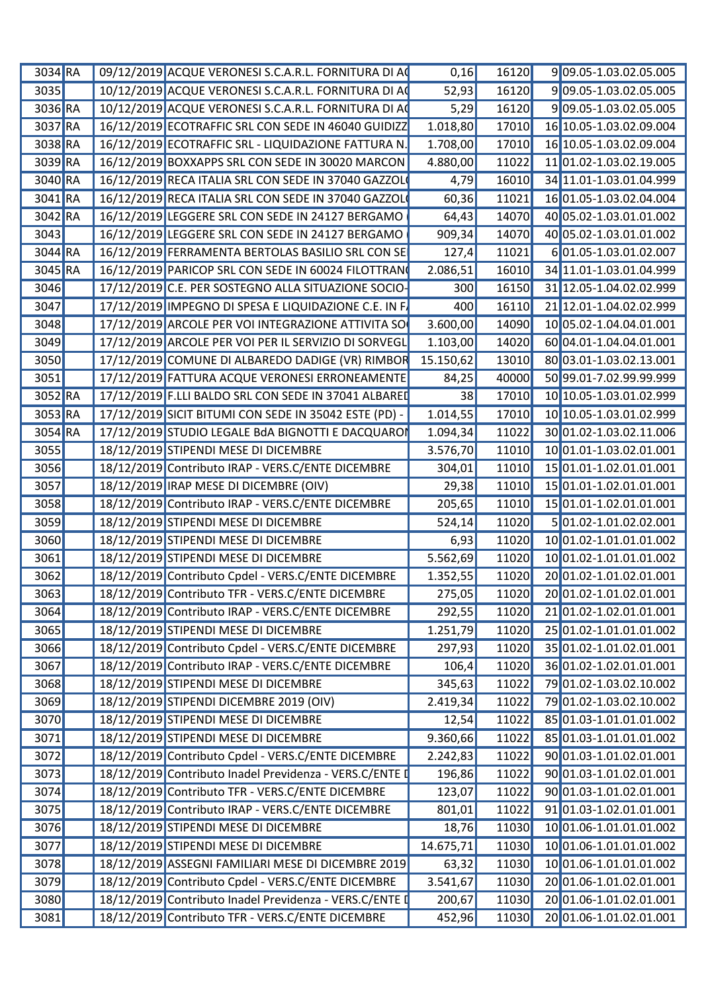| $3034$ RA            | 09/12/2019 ACQUE VERONESI S.C.A.R.L. FORNITURA DI AC            | 0,16      | 16120 | 909.05-1.03.02.05.005         |
|----------------------|-----------------------------------------------------------------|-----------|-------|-------------------------------|
| 3035                 | 10/12/2019 ACQUE VERONESI S.C.A.R.L. FORNITURA DI A             | 52,93     | 16120 | 909.05-1.03.02.05.005         |
| $3036$ <sup>RA</sup> | 10/12/2019 ACQUE VERONESI S.C.A.R.L. FORNITURA DI A             | 5,29      | 16120 | 909.05-1.03.02.05.005         |
| 3037 RA              | 16/12/2019 ECOTRAFFIC SRL CON SEDE IN 46040 GUIDIZZ             | 1.018,80  | 17010 | 16 10.05-1.03.02.09.004       |
| 3038 RA              | 16/12/2019 ECOTRAFFIC SRL - LIQUIDAZIONE FATTURA N.             | 1.708,00  | 17010 | 16 10.05-1.03.02.09.004       |
| $3039$ RA            | 16/12/2019 BOXXAPPS SRL CON SEDE IN 30020 MARCON                | 4.880,00  | 11022 | 11 01.02-1.03.02.19.005       |
| 3040 RA              | 16/12/2019 RECA ITALIA SRL CON SEDE IN 37040 GAZZOL             | 4,79      | 16010 | 34 11.01-1.03.01.04.999       |
| $3041$ <sub>RA</sub> | 16/12/2019 RECA ITALIA SRL CON SEDE IN 37040 GAZZOL             | 60,36     | 11021 | 16 01.05-1.03.02.04.004       |
| $3042$ RA            | 16/12/2019 LEGGERE SRL CON SEDE IN 24127 BERGAMO                | 64,43     | 14070 | 40 05.02-1.03.01.01.002       |
| 3043                 | 16/12/2019 LEGGERE SRL CON SEDE IN 24127 BERGAMO                | 909,34    | 14070 | 40 05.02-1.03.01.01.002       |
|                      |                                                                 |           |       |                               |
| $3044$ RA            | 16/12/2019 FERRAMENTA BERTOLAS BASILIO SRL CON SE               | 127/      | 11021 | 601.05-1.03.01.02.007         |
| 3045 RA              | 16/12/2019 PARICOP SRL CON SEDE IN 60024 FILOTTRAN              | 2.086,51  | 16010 | 34 11.01-1.03.01.04.999       |
| 3046                 | 17/12/2019 C.E. PER SOSTEGNO ALLA SITUAZIONE SOCIO-             | 300       | 16150 | 31 12.05-1.04.02.02.999       |
| 3047                 | 17/12/2019 IMPEGNO DI SPESA E LIQUIDAZIONE C.E. IN F.           | 400       | 16110 | 21 12.01-1.04.02.02.999       |
| 3048                 | 17/12/2019 ARCOLE PER VOI INTEGRAZIONE ATTIVITA SO              | 3.600,00  | 14090 | 10 05.02-1.04.04.01.001       |
| 3049                 | 17/12/2019 ARCOLE PER VOI PER IL SERVIZIO DI SORVEGL            | 1.103,00  | 14020 | 60 04.01-1.04.04.01.001       |
| 3050                 | 17/12/2019 COMUNE DI ALBAREDO DADIGE (VR) RIMBOR                | 15.150,62 | 13010 | 80 03.01-1.03.02.13.001       |
| 3051                 | 17/12/2019 FATTURA ACQUE VERONESI ERRONEAMENTE                  | 84,25     | 40000 | 50 99.01-7.02.99.99.999       |
| 3052 RA              | 17/12/2019 F.LLI BALDO SRL CON SEDE IN 37041 ALBAREI            | 38        | 17010 | 10 10.05-1.03.01.02.999       |
| $3053$ RA            | 17/12/2019 SICIT BITUMI CON SEDE IN 35042 ESTE (PD)             | 1.014,55  | 17010 | 10 10.05-1.03.01.02.999       |
| 3054 RA              | 17/12/2019 <mark>STUDIO LEGALE BdA BIGNOTTI E DACQUARO</mark> I | 1.094,34  | 11022 | 30 01.02-1.03.02.11.006       |
| 3055                 | 18/12/2019 STIPENDI MESE DI DICEMBRE                            | 3.576,70  | 11010 | 10 01.01-1.03.02.01.001       |
| 3056                 | 18/12/2019 Contributo IRAP - VERS.C/ENTE DICEMBRE               | 304,01    | 11010 | 15 01.01-1.02.01.01.001       |
|                      |                                                                 |           |       |                               |
| 3057                 | 18/12/2019 IRAP MESE DI DICEMBRE (OIV)                          | 29,38     | 11010 | 15 01.01-1.02.01.01.001       |
| 3058                 | 18/12/2019 Contributo IRAP - VERS.C/ENTE DICEMBRE               | 205,65    | 11010 | 15 01.01-1.02.01.01.001       |
| 3059                 | 18/12/2019 STIPENDI MESE DI DICEMBRE                            | 524,14    | 11020 | 501.02-1.01.02.02.001         |
| 3060                 | 18/12/2019 STIPENDI MESE DI DICEMBRE                            | 6,93      | 11020 | 10 01.02-1.01.01.01.002       |
| 3061                 | 18/12/2019 STIPENDI MESE DI DICEMBRE                            | 5.562,69  | 11020 | 10 01.02-1.01.01.01.002       |
| 3062                 | 18/12/2019 Contributo Cpdel - VERS.C/ENTE DICEMBRE              | 1.352,55  | 11020 | 20 01.02-1.01.02.01.001       |
| 3063                 | 18/12/2019 Contributo TFR - VERS.C/ENTE DICEMBRE                | 275,05    |       | 11020 20 01.02-1.01.02.01.001 |
| 3064                 | 18/12/2019 Contributo IRAP - VERS.C/ENTE DICEMBRE               | 292,55    | 11020 | 21 01.02-1.02.01.01.001       |
| 3065                 | 18/12/2019 STIPENDI MESE DI DICEMBRE                            | 1.251,79  | 11020 | 25 01.02-1.01.01.01.002       |
| 3066                 | 18/12/2019 Contributo Cpdel - VERS.C/ENTE DICEMBRE              | 297,93    | 11020 | 35 01.02-1.01.02.01.001       |
| 3067                 | 18/12/2019 Contributo IRAP - VERS.C/ENTE DICEMBRE               | 106/      | 11020 | 36 01.02-1.02.01.01.001       |
| 3068                 | 18/12/2019 STIPENDI MESE DI DICEMBRE                            | 345,63    | 11022 | 79 01.02-1.03.02.10.002       |
|                      |                                                                 |           |       |                               |
| 3069                 | 18/12/2019 STIPENDI DICEMBRE 2019 (OIV)                         | 2.419,34  | 11022 | 79 01.02-1.03.02.10.002       |
| 3070                 | 18/12/2019 STIPENDI MESE DI DICEMBRE                            | 12,54     |       | 11022 85 01.03-1.01.01.01.002 |
| 3071                 | 18/12/2019 STIPENDI MESE DI DICEMBRE                            | 9.360,66  |       | 11022 85 01.03-1.01.01.01.002 |
| 3072                 | 18/12/2019 Contributo Cpdel - VERS.C/ENTE DICEMBRE              | 2.242,83  |       | 11022 90 01.03-1.01.02.01.001 |
| 3073                 | 18/12/2019 Contributo Inadel Previdenza - VERS.C/ENTE           | 196,86    |       | 11022 90 01.03-1.01.02.01.001 |
| 3074                 | 18/12/2019 Contributo TFR - VERS.C/ENTE DICEMBRE                | 123,07    | 11022 | 90 01.03-1.01.02.01.001       |
| $\boxed{3075}$       | 18/12/2019 Contributo IRAP - VERS.C/ENTE DICEMBRE               | 801,01    | 11022 | $91 01.03 - 1.02.01.01.001$   |
| 3076                 | 18/12/2019 STIPENDI MESE DI DICEMBRE                            | 18,76     | 11030 | 10 01.06-1.01.01.01.002       |
| 3077                 | 18/12/2019 STIPENDI MESE DI DICEMBRE                            | 14.675,71 | 11030 | 10 01.06-1.01.01.01.002       |
| 3078                 | 18/12/2019 ASSEGNI FAMILIARI MESE DI DICEMBRE 2019              | 63,32     | 11030 | 10 01.06-1.01.01.01.002       |
|                      |                                                                 |           |       |                               |
| 3079                 | 18/12/2019 Contributo Cpdel - VERS.C/ENTE DICEMBRE              | 3.541,67  | 11030 | 20 01.06-1.01.02.01.001       |
| 3080                 | 18/12/2019 Contributo Inadel Previdenza - VERS.C/ENTE           | 200,67    | 11030 | 20 01.06-1.01.02.01.001       |
| 3081                 | 18/12/2019 Contributo TFR - VERS.C/ENTE DICEMBRE                | 452,96    | 11030 | 20 01.06-1.01.02.01.001       |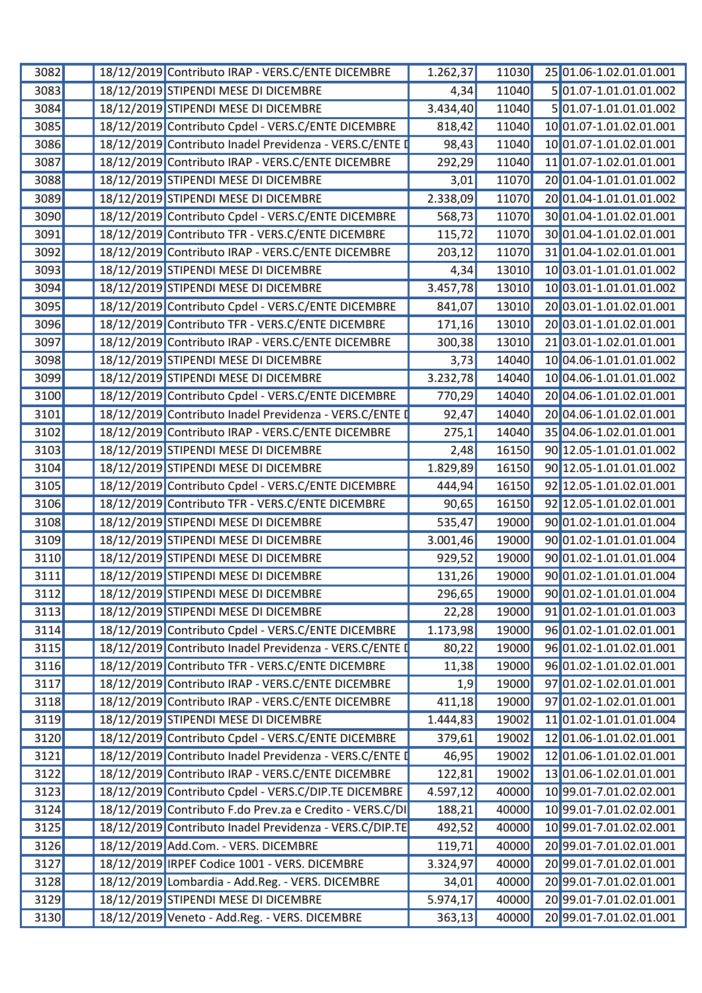| 3082 |  | 18/12/2019 Contributo IRAP - VERS.C/ENTE DICEMBRE        | 1.262,37 | 11030 | 25 01.06-1.02.01.01.001 |
|------|--|----------------------------------------------------------|----------|-------|-------------------------|
| 3083 |  | 18/12/2019 STIPENDI MESE DI DICEMBRE                     | 4,34     | 11040 | 5 01.07-1.01.01.01.002  |
| 3084 |  | 18/12/2019 STIPENDI MESE DI DICEMBRE                     | 3.434,40 | 11040 | 501.07-1.01.01.01.002   |
| 3085 |  | 18/12/2019 Contributo Cpdel - VERS.C/ENTE DICEMBRE       | 818,42   | 11040 | 10 01.07-1.01.02.01.001 |
| 3086 |  | 18/12/2019 Contributo Inadel Previdenza - VERS.C/ENTE I  | 98,43    | 11040 | 10 01.07-1.01.02.01.001 |
| 3087 |  | 18/12/2019 Contributo IRAP - VERS.C/ENTE DICEMBRE        | 292,29   | 11040 | 11 01.07-1.02.01.01.001 |
| 3088 |  | 18/12/2019 STIPENDI MESE DI DICEMBRE                     | 3,01     | 11070 | 20 01.04-1.01.01.01.002 |
| 3089 |  | 18/12/2019 STIPENDI MESE DI DICEMBRE                     | 2.338,09 | 11070 | 20 01.04-1.01.01.01.002 |
| 3090 |  | 18/12/2019 Contributo Cpdel - VERS.C/ENTE DICEMBRE       | 568,73   | 11070 | 30 01.04-1.01.02.01.001 |
| 3091 |  | 18/12/2019 Contributo TFR - VERS.C/ENTE DICEMBRE         | 115,72   | 11070 | 30 01.04-1.01.02.01.001 |
| 3092 |  | 18/12/2019 Contributo IRAP - VERS.C/ENTE DICEMBRE        | 203,12   | 11070 | 31 01.04-1.02.01.01.001 |
| 3093 |  | 18/12/2019 STIPENDI MESE DI DICEMBRE                     | 4,34     | 13010 | 10 03.01-1.01.01.01.002 |
| 3094 |  | 18/12/2019 STIPENDI MESE DI DICEMBRE                     | 3.457,78 | 13010 | 10 03.01-1.01.01.01.002 |
| 3095 |  | 18/12/2019 Contributo Cpdel - VERS.C/ENTE DICEMBRE       | 841,07   | 13010 | 20 03.01-1.01.02.01.001 |
| 3096 |  | 18/12/2019 Contributo TFR - VERS.C/ENTE DICEMBRE         | 171,16   | 13010 | 20 03.01-1.01.02.01.001 |
| 3097 |  | 18/12/2019 Contributo IRAP - VERS.C/ENTE DICEMBRE        | 300,38   | 13010 | 2103.01-1.02.01.01.001  |
| 3098 |  | 18/12/2019 STIPENDI MESE DI DICEMBRE                     | 3,73     | 14040 | 10 04.06-1.01.01.01.002 |
| 3099 |  | 18/12/2019 STIPENDI MESE DI DICEMBRE                     | 3.232,78 | 14040 | 10 04.06-1.01.01.01.002 |
| 3100 |  | 18/12/2019 Contributo Cpdel - VERS.C/ENTE DICEMBRE       | 770,29   | 14040 | 20 04.06-1.01.02.01.001 |
| 3101 |  | 18/12/2019 Contributo Inadel Previdenza - VERS.C/ENTE I  | 92,47    | 14040 | 20 04.06-1.01.02.01.001 |
| 3102 |  | 18/12/2019 Contributo IRAP - VERS.C/ENTE DICEMBRE        | 275,1    | 14040 | 35 04.06-1.02.01.01.001 |
| 3103 |  | 18/12/2019 STIPENDI MESE DI DICEMBRE                     | 2,48     | 16150 | 90 12.05-1.01.01.01.002 |
| 3104 |  | 18/12/2019 STIPENDI MESE DI DICEMBRE                     | 1.829,89 | 16150 | 90 12.05-1.01.01.01.002 |
| 3105 |  | 18/12/2019 Contributo Cpdel - VERS.C/ENTE DICEMBRE       | 444,94   | 16150 | 92 12.05-1.01.02.01.001 |
| 3106 |  | 18/12/2019 Contributo TFR - VERS.C/ENTE DICEMBRE         | 90,65    | 16150 | 92 12.05-1.01.02.01.001 |
| 3108 |  | 18/12/2019 STIPENDI MESE DI DICEMBRE                     | 535,47   | 19000 | 90 01.02-1.01.01.01.004 |
| 3109 |  | 18/12/2019 STIPENDI MESE DI DICEMBRE                     | 3.001,46 | 19000 | 90 01.02-1.01.01.01.004 |
| 3110 |  | 18/12/2019 STIPENDI MESE DI DICEMBRE                     | 929,52   | 19000 | 90 01.02-1.01.01.01.004 |
| 3111 |  | 18/12/2019 STIPENDI MESE DI DICEMBRE                     | 131,26   | 19000 | 90 01.02-1.01.01.01.004 |
| 3112 |  | 18/12/2019 STIPENDI MESE DI DICEMBRE                     | 296,65   | 19000 | 90 01.02-1.01.01.01.004 |
| 3113 |  | 18/12/2019 STIPENDI MESE DI DICEMBRE                     | 22,28    | 19000 | 91 01.02-1.01.01.01.003 |
| 3114 |  | 18/12/2019 Contributo Cpdel - VERS.C/ENTE DICEMBRE       | 1.173,98 | 19000 | 96 01.02-1.01.02.01.001 |
| 3115 |  | 18/12/2019 Contributo Inadel Previdenza - VERS.C/ENTE I  | 80,22    | 19000 | 96 01.02-1.01.02.01.001 |
| 3116 |  | 18/12/2019 Contributo TFR - VERS.C/ENTE DICEMBRE         | 11,38    | 19000 | 96 01.02-1.01.02.01.001 |
| 3117 |  | 18/12/2019 Contributo IRAP - VERS.C/ENTE DICEMBRE        | 1,9      | 19000 | 97 01.02-1.02.01.01.001 |
| 3118 |  | 18/12/2019 Contributo IRAP - VERS.C/ENTE DICEMBRE        | 411,18   | 19000 | 97 01.02-1.02.01.01.001 |
| 3119 |  | 18/12/2019 STIPENDI MESE DI DICEMBRE                     | 1.444,83 | 19002 | 11 01.02-1.01.01.01.004 |
| 3120 |  | 18/12/2019 Contributo Cpdel - VERS.C/ENTE DICEMBRE       | 379,61   | 19002 | 12 01.06-1.01.02.01.001 |
| 3121 |  | 18/12/2019 Contributo Inadel Previdenza - VERS.C/ENTE I  | 46,95    | 19002 | 12 01.06-1.01.02.01.001 |
| 3122 |  | 18/12/2019 Contributo IRAP - VERS.C/ENTE DICEMBRE        | 122,81   | 19002 | 13 01.06-1.02.01.01.001 |
| 3123 |  | 18/12/2019 Contributo Cpdel - VERS.C/DIP.TE DICEMBRE     | 4.597,12 | 40000 | 10 99.01-7.01.02.02.001 |
| 3124 |  | 18/12/2019 Contributo F.do Prev.za e Credito - VERS.C/DI | 188,21   | 40000 | 10 99.01-7.01.02.02.001 |
| 3125 |  | 18/12/2019 Contributo Inadel Previdenza - VERS.C/DIP.TE  | 492,52   | 40000 | 10 99.01-7.01.02.02.001 |
| 3126 |  | 18/12/2019 Add.Com. - VERS. DICEMBRE                     | 119,71   | 40000 | 20 99.01-7.01.02.01.001 |
| 3127 |  | 18/12/2019 IRPEF Codice 1001 - VERS. DICEMBRE            | 3.324,97 | 40000 | 20 99.01-7.01.02.01.001 |
| 3128 |  | 18/12/2019 Lombardia - Add.Reg. - VERS. DICEMBRE         | 34,01    | 40000 | 20 99.01-7.01.02.01.001 |
| 3129 |  | 18/12/2019 STIPENDI MESE DI DICEMBRE                     | 5.974,17 | 40000 | 20 99.01-7.01.02.01.001 |
| 3130 |  | 18/12/2019 Veneto - Add.Reg. - VERS. DICEMBRE            | 363,13   | 40000 | 20 99.01-7.01.02.01.001 |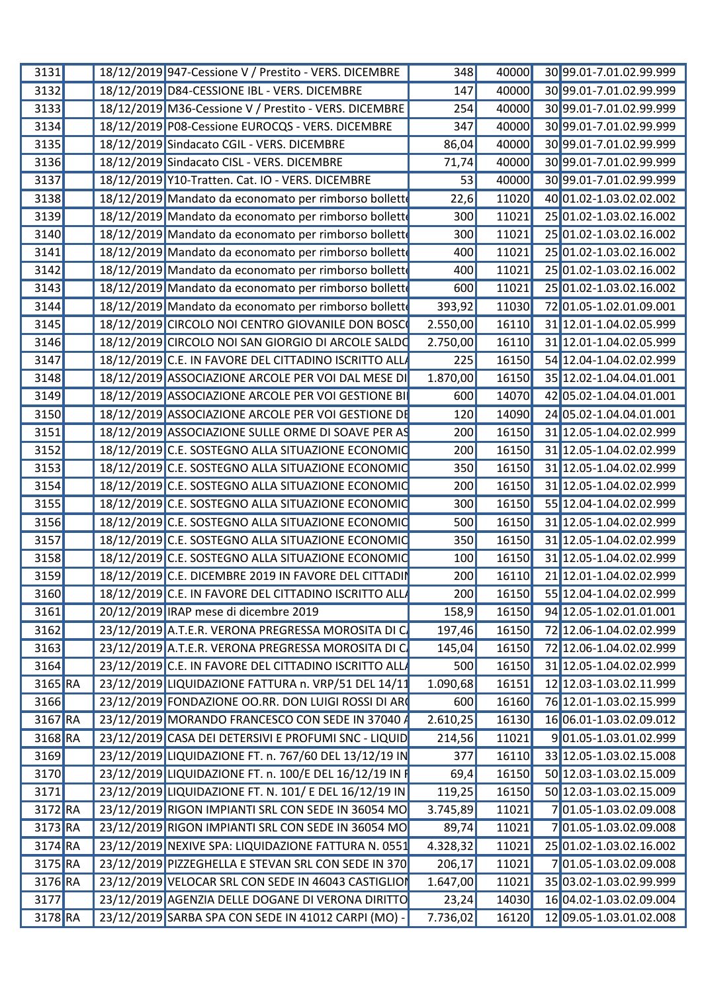| 3131      | 18/12/2019 947-Cessione V / Prestito - VERS. DICEMBRE  | 348      | 40000 | 30 99.01-7.01.02.99.999       |
|-----------|--------------------------------------------------------|----------|-------|-------------------------------|
| 3132      | 18/12/2019 D84-CESSIONE IBL - VERS. DICEMBRE           | 147      | 40000 | 30 99.01-7.01.02.99.999       |
| 3133      | 18/12/2019 M36-Cessione V / Prestito - VERS. DICEMBRE  | 254      | 40000 | 30 99.01-7.01.02.99.999       |
| 3134      | 18/12/2019 P08-Cessione EUROCQS - VERS. DICEMBRE       | 347      | 40000 | 3099.01-7.01.02.99.999        |
| 3135      | 18/12/2019 Sindacato CGIL - VERS. DICEMBRE             | 86,04    | 40000 | 30 99.01-7.01.02.99.999       |
| 3136      | 18/12/2019 Sindacato CISL - VERS. DICEMBRE             | 71,74    | 40000 | 30 99.01-7.01.02.99.999       |
| 3137      | 18/12/2019 Y10-Tratten. Cat. IO - VERS. DICEMBRE       | 53       | 40000 | 30 99.01-7.01.02.99.999       |
| 3138      | 18/12/2019 Mandato da economato per rimborso bolletto  | 22,6     | 11020 | 40 01.02-1.03.02.02.002       |
| 3139      | 18/12/2019 Mandato da economato per rimborso bolletto  | 300      | 11021 | 25 01.02-1.03.02.16.002       |
| 3140      | 18/12/2019 Mandato da economato per rimborso bolletto  | 300      | 11021 | 25 01.02-1.03.02.16.002       |
| 3141      | 18/12/2019 Mandato da economato per rimborso bolletto  | 400      | 11021 | 25 01.02-1.03.02.16.002       |
| 3142      | 18/12/2019 Mandato da economato per rimborso bolletto  | 400      | 11021 | 25 01.02-1.03.02.16.002       |
| 3143      | 18/12/2019 Mandato da economato per rimborso bolletto  | 600      | 11021 | 25 01.02-1.03.02.16.002       |
| 3144      | 18/12/2019 Mandato da economato per rimborso bolletto  | 393,92   | 11030 | 72 01.05-1.02.01.09.001       |
| 3145      | 18/12/2019 CIRCOLO NOI CENTRO GIOVANILE DON BOSC       | 2.550,00 | 16110 | 31 12.01-1.04.02.05.999       |
|           | 18/12/2019 CIRCOLO NOI SAN GIORGIO DI ARCOLE SALDO     | 2.750,00 | 16110 | 31 12.01-1.04.02.05.999       |
| 3146      |                                                        |          |       |                               |
| 3147      | 18/12/2019 C.E. IN FAVORE DEL CITTADINO ISCRITTO ALL   | 225      | 16150 | 54 12.04-1.04.02.02.999       |
| 3148      | 18/12/2019 ASSOCIAZIONE ARCOLE PER VOI DAL MESE DI     | 1.870,00 | 16150 | 35 12.02-1.04.04.01.001       |
| 3149      | 18/12/2019 ASSOCIAZIONE ARCOLE PER VOI GESTIONE BI     | 600      | 14070 | 42 05.02-1.04.04.01.001       |
| 3150      | 18/12/2019 ASSOCIAZIONE ARCOLE PER VOI GESTIONE DE     | 120      | 14090 | 24 05.02-1.04.04.01.001       |
| 3151      | 18/12/2019 ASSOCIAZIONE SULLE ORME DI SOAVE PER AS     | 200      | 16150 | 31 12.05-1.04.02.02.999       |
| 3152      | 18/12/2019 C.E. SOSTEGNO ALLA SITUAZIONE ECONOMIC      | 200      | 16150 | 31 12.05-1.04.02.02.999       |
| 3153      | 18/12/2019 C.E. SOSTEGNO ALLA SITUAZIONE ECONOMIC      | 350      | 16150 | 31 12.05-1.04.02.02.999       |
| 3154      | 18/12/2019 C.E. SOSTEGNO ALLA SITUAZIONE ECONOMIC      | 200      | 16150 | 31 12.05-1.04.02.02.999       |
| 3155      | 18/12/2019 C.E. SOSTEGNO ALLA SITUAZIONE ECONOMIC      | 300      | 16150 | 55 12.04-1.04.02.02.999       |
| 3156      | 18/12/2019 C.E. SOSTEGNO ALLA SITUAZIONE ECONOMIC      | 500      | 16150 | 31 12.05-1.04.02.02.999       |
| 3157      | 18/12/2019 C.E. SOSTEGNO ALLA SITUAZIONE ECONOMIC      | 350      | 16150 | 31 12.05-1.04.02.02.999       |
| 3158      | 18/12/2019 C.E. SOSTEGNO ALLA SITUAZIONE ECONOMIC      | 100      | 16150 | 31 12.05-1.04.02.02.999       |
| 3159      | 18/12/2019 C.E. DICEMBRE 2019 IN FAVORE DEL CITTADI    | 200      | 16110 | 21 12.01-1.04.02.02.999       |
| 3160      | 18/12/2019 C.E. IN FAVORE DEL CITTADINO ISCRITTO ALL   | 200      |       | 16150 55 12.04-1.04.02.02.999 |
| 3161      | 20/12/2019 IRAP mese di dicembre 2019                  | 158,9    |       | 16150 94 12.05-1.02.01.01.001 |
| 3162      | 23/12/2019 A.T.E.R. VERONA PREGRESSA MOROSITA DI C     | 197,46   |       | 16150 72 12.06-1.04.02.02.999 |
|           | 23/12/2019 A.T.E.R. VERONA PREGRESSA MOROSITA DI C     |          |       | 72 12.06-1.04.02.02.999       |
| 3163      |                                                        | 145,04   | 16150 |                               |
| 3164      | 23/12/2019 C.E. IN FAVORE DEL CITTADINO ISCRITTO ALL   | 500      |       | 16150 31 12.05-1.04.02.02.999 |
| $3165$ RA | 23/12/2019 LIQUIDAZIONE FATTURA n. VRP/51 DEL 14/11    | 1.090,68 | 16151 | 12 12.03-1.03.02.11.999       |
| 3166      | 23/12/2019 FONDAZIONE OO.RR. DON LUIGI ROSSI DI AR     | 600      | 16160 | 76 12.01-1.03.02.15.999       |
| 3167 RA   | 23/12/2019 MORANDO FRANCESCO CON SEDE IN 37040 A       | 2.610,25 | 16130 | 16 06.01-1.03.02.09.012       |
| 3168 RA   | 23/12/2019 CASA DEI DETERSIVI E PROFUMI SNC - LIQUID   | 214,56   | 11021 | 901.05-1.03.01.02.999         |
| 3169      | 23/12/2019 LIQUIDAZIONE FT. n. 767/60 DEL 13/12/19 IN  | 377      | 16110 | 33 12.05-1.03.02.15.008       |
| 3170      | 23/12/2019 LIQUIDAZIONE FT. n. 100/E DEL 16/12/19 IN F | 69,4     | 16150 | 50 12.03-1.03.02.15.009       |
| 3171      | 23/12/2019 LIQUIDAZIONE FT. N. 101/ E DEL 16/12/19 IN  | 119,25   | 16150 | 50 12.03-1.03.02.15.009       |
| 3172 RA   | 23/12/2019 RIGON IMPIANTI SRL CON SEDE IN 36054 MO     | 3.745,89 | 11021 | 701.05-1.03.02.09.008         |
| 3173 RA   | 23/12/2019 RIGON IMPIANTI SRL CON SEDE IN 36054 MO     | 89,74    | 11021 | 701.05-1.03.02.09.008         |
| 3174 RA   | 23/12/2019 NEXIVE SPA: LIQUIDAZIONE FATTURA N. 0551    | 4.328,32 | 11021 | 25 01.02-1.03.02.16.002       |
| $3175$ RA | 23/12/2019 PIZZEGHELLA E STEVAN SRL CON SEDE IN 370    | 206,17   | 11021 | 701.05-1.03.02.09.008         |
| 3176 RA   | 23/12/2019 VELOCAR SRL CON SEDE IN 46043 CASTIGLION    | 1.647,00 | 11021 | 35 03.02-1.03.02.99.999       |
| 3177      | 23/12/2019 AGENZIA DELLE DOGANE DI VERONA DIRITTO      | 23,24    | 14030 | 16 04.02-1.03.02.09.004       |
| 3178 RA   | 23/12/2019 SARBA SPA CON SEDE IN 41012 CARPI (MO) -    | 7.736,02 |       | 16120 12 09.05-1.03.01.02.008 |
|           |                                                        |          |       |                               |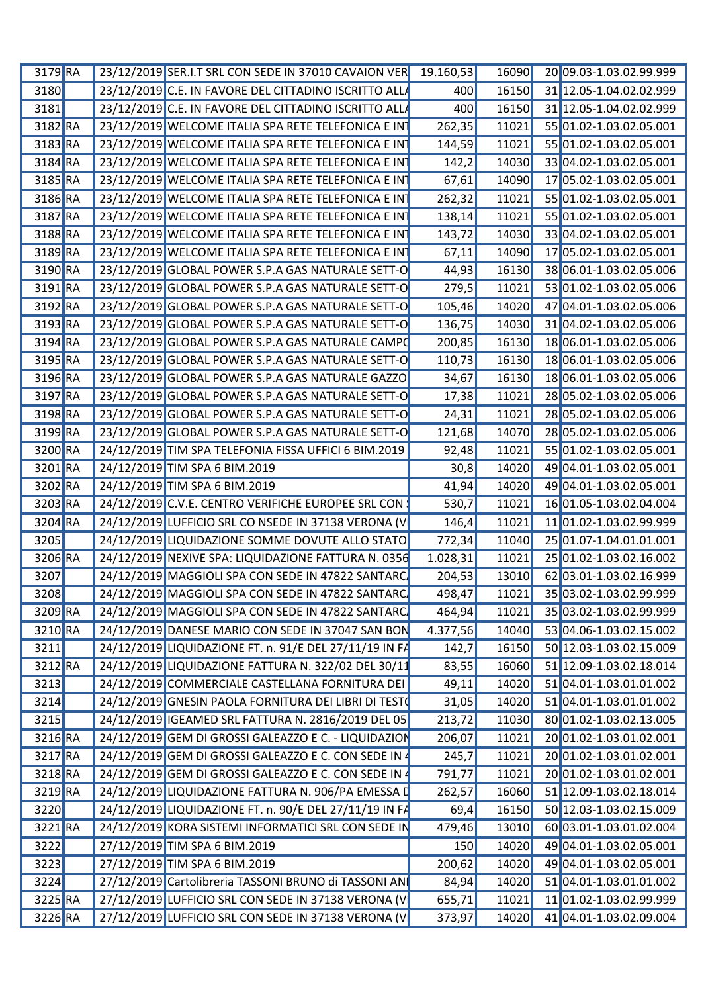| 3179 RA   |  | 23/12/2019 SER.I.T SRL CON SEDE IN 37010 CAVAION VER 19.160,53 |          | 16090 | 20 09.03-1.03.02.99.999                 |
|-----------|--|----------------------------------------------------------------|----------|-------|-----------------------------------------|
| 3180      |  | 23/12/2019 C.E. IN FAVORE DEL CITTADINO ISCRITTO ALLA          | 400      |       | 16150 31 12.05-1.04.02.02.999           |
| 3181      |  | 23/12/2019 C.E. IN FAVORE DEL CITTADINO ISCRITTO ALLA          | 400      |       | 16150 31 12.05-1.04.02.02.999           |
| 3182 RA   |  | 23/12/2019 WELCOME ITALIA SPA RETE TELEFONICA E INT            | 262,35   | 11021 | 55 01.02-1.03.02.05.001                 |
| 3183 RA   |  | 23/12/2019 WELCOME ITALIA SPA RETE TELEFONICA E IN             | 144,59   |       | 11021 55 01.02-1.03.02.05.001           |
| $3184$ RA |  | 23/12/2019 WELCOME ITALIA SPA RETE TELEFONICA E IN             | 142,2    | 14030 | 33 04.02-1.03.02.05.001                 |
| 3185 RA   |  | 23/12/2019 WELCOME ITALIA SPA RETE TELEFONICA E IN             | 67,61    | 14090 | 17 05.02-1.03.02.05.001                 |
| 3186 RA   |  | 23/12/2019 WELCOME ITALIA SPA RETE TELEFONICA E INT            | 262,32   | 11021 | 55 01.02-1.03.02.05.001                 |
| 3187 RA   |  | 23/12/2019 WELCOME ITALIA SPA RETE TELEFONICA E IN             | 138,14   | 11021 | 55 01.02-1.03.02.05.001                 |
|           |  |                                                                |          |       |                                         |
| 3188 RA   |  | 23/12/2019 WELCOME ITALIA SPA RETE TELEFONICA E IN             | 143,72   | 14030 | 33 04.02-1.03.02.05.001                 |
| 3189 RA   |  | 23/12/2019 WELCOME ITALIA SPA RETE TELEFONICA E INT            | 67,11    | 14090 | 17 05.02-1.03.02.05.001                 |
| 3190 RA   |  | 23/12/2019 GLOBAL POWER S.P.A GAS NATURALE SETT-O              | 44,93    | 16130 | 38 06.01-1.03.02.05.006                 |
| 3191 RA   |  | 23/12/2019 GLOBAL POWER S.P.A GAS NATURALE SETT-O              | 279,5    | 11021 | 53 01.02-1.03.02.05.006                 |
| 3192 RA   |  | 23/12/2019 GLOBAL POWER S.P.A GAS NATURALE SETT-O              | 105,46   | 14020 | 47 04.01-1.03.02.05.006                 |
| 3193 RA   |  | 23/12/2019 GLOBAL POWER S.P.A GAS NATURALE SETT-O              | 136,75   | 14030 | 31 04.02-1.03.02.05.006                 |
| 3194 RA   |  | 23/12/2019 GLOBAL POWER S.P.A GAS NATURALE CAMPO               | 200,8    | 16130 | 18 06.01-1.03.02.05.006                 |
| 3195 RA   |  | 23/12/2019 GLOBAL POWER S.P.A GAS NATURALE SETT-O              | 110,73   | 16130 | 18 06.01-1.03.02.05.006                 |
| 3196 RA   |  | 23/12/2019 GLOBAL POWER S.P.A GAS NATURALE GAZZO               | 34,67    | 16130 | 18 06.01-1.03.02.05.006                 |
| 3197 RA   |  | 23/12/2019 GLOBAL POWER S.P.A GAS NATURALE SETT-O              | 17,38    | 11021 | 28 05.02-1.03.02.05.006                 |
|           |  |                                                                |          |       |                                         |
| 3198 RA   |  | 23/12/2019 GLOBAL POWER S.P.A GAS NATURALE SETT-O              | 24,31    | 11021 | 28 05.02-1.03.02.05.006                 |
| 3199 RA   |  | 23/12/2019 GLOBAL POWER S.P.A GAS NATURALE SETT-O              | 121,68   | 14070 | 28 05.02-1.03.02.05.006                 |
| 3200 RA   |  | 24/12/2019 TIM SPA TELEFONIA FISSA UFFICI 6 BIM.2019           | 92,48    | 11021 | 55 01.02-1.03.02.05.001                 |
| 3201 RA   |  | 24/12/2019 TIM SPA 6 BIM.2019                                  | 30,8     | 14020 | 49 04.01-1.03.02.05.001                 |
| 3202 RA   |  | 24/12/2019 TIM SPA 6 BIM.2019                                  | 41,94    | 14020 | 49 04.01-1.03.02.05.001                 |
| 3203 RA   |  | 24/12/2019 C.V.E. CENTRO VERIFICHE EUROPEE SRL CON             | 530,7    | 11021 | 16 01.05-1.03.02.04.004                 |
| 3204 RA   |  | 24/12/2019 LUFFICIO SRL CO NSEDE IN 37138 VERONA (V            | 146,4    | 11021 | 11 01.02-1.03.02.99.999                 |
| 3205      |  | 24/12/2019 LIQUIDAZIONE SOMME DOVUTE ALLO STATO                | 772,34   | 11040 | 25 01.07-1.04.01.01.001                 |
| 3206 RA   |  | 24/12/2019 NEXIVE SPA: LIQUIDAZIONE FATTURA N. 0356            | 1.028,31 | 11021 | 25 01.02-1.03.02.16.002                 |
|           |  |                                                                |          |       |                                         |
| 3207      |  | 24/12/2019 MAGGIOLI SPA CON SEDE IN 47822 SANTARC              | 204,53   | 13010 | 62 03.01-1.03.02.16.999                 |
| 3208      |  | $\vert$ 24/12/2019 MAGGIOLI SPA CON SEDE IN 47822 SANTARC      |          |       | 498,47 11021 35 03.02-1.03.02.99.999    |
| 3209 RA   |  | 24/12/2019 MAGGIOLI SPA CON SEDE IN 47822 SANTARC              | 464,94   |       | 11021 35 03.02-1.03.02.99.999           |
| 3210 RA   |  | 24/12/2019 DANESE MARIO CON SEDE IN 37047 SAN BON              | 4.377,56 |       | 14040 53 04.06-1.03.02.15.002           |
| 3211      |  | 24/12/2019 LIQUIDAZIONE FT. n. 91/E DEL 27/11/19 IN FA         | 142,7    |       | 16150  50  12.03-1.03.02.15.009         |
| 3212 RA   |  | 24/12/2019 LIQUIDAZIONE FATTURA N. 322/02 DEL 30/11            | 83,55    |       | 16060 51 12.09-1.03.02.18.014           |
| 3213      |  | 24/12/2019 COMMERCIALE CASTELLANA FORNITURA DEI                | 49,11    |       | 14020 51 04.01-1.03.01.01.002           |
| 3214      |  | 24/12/2019 GNESIN PAOLA FORNITURA DEI LIBRI DI TESTO           | 31,05    |       | 14020 51 04.01-1.03.01.01.002           |
| 3215      |  | 24/12/2019 IGEAMED SRL FATTURA N. 2816/2019 DEL 05             | 213,72   |       | 11030 80 01.02-1.03.02.13.005           |
| 3216 RA   |  | 24/12/2019 GEM DI GROSSI GALEAZZO E C. - LIQUIDAZION           | 206,07   |       | 11021 20 01.02-1.03.01.02.001           |
|           |  |                                                                |          |       |                                         |
| 3217 RA   |  | 24/12/2019 GEM DI GROSSI GALEAZZO E C. CON SEDE IN 4           | 245,7    |       | 11021 20 01.02-1.03.01.02.001           |
| 3218 RA   |  | 24/12/2019 GEM DI GROSSI GALEAZZO E C. CON SEDE IN             | 791,77   |       | $\boxed{11021}$ 20 01.02-1.03.01.02.001 |
| 3219 RA   |  | 24/12/2019 LIQUIDAZIONE FATTURA N. 906/PA EMESSA D             | 262,57   |       | 16060 51 12.09-1.03.02.18.014           |
| 3220      |  | 24/12/2019 LIQUIDAZIONE FT. n. 90/E DEL 27/11/19 IN FA         | 69,4     |       | 16150  50  12.03-1.03.02.15.009         |
| 3221 RA   |  | 24/12/2019 KORA SISTEMI INFORMATICI SRL CON SEDE IN            | 479,46   |       | 13010 60 03.01-1.03.01.02.004           |
| 3222      |  | 27/12/2019 TIM SPA 6 BIM.2019                                  | 150      | 14020 | 49 04.01-1.03.02.05.001                 |
| 3223      |  | 27/12/2019 TIM SPA 6 BIM.2019                                  | 200,62   | 14020 | 49 04.01-1.03.02.05.001                 |
| 3224      |  | 27/12/2019 Cartolibreria TASSONI BRUNO di TASSONI AN           | 84,94    |       | 14020 51 04.01-1.03.01.01.002           |
|           |  | 27/12/2019 LUFFICIO SRL CON SEDE IN 37138 VERONA (V            |          |       |                                         |
| 3225 RA   |  |                                                                | 655,71   |       | 11021 11 01.02-1.03.02.99.999           |
| 3226 RA   |  | 27/12/2019 LUFFICIO SRL CON SEDE IN 37138 VERONA (V            | 373,97   |       | 14020 41 04.01-1.03.02.09.004           |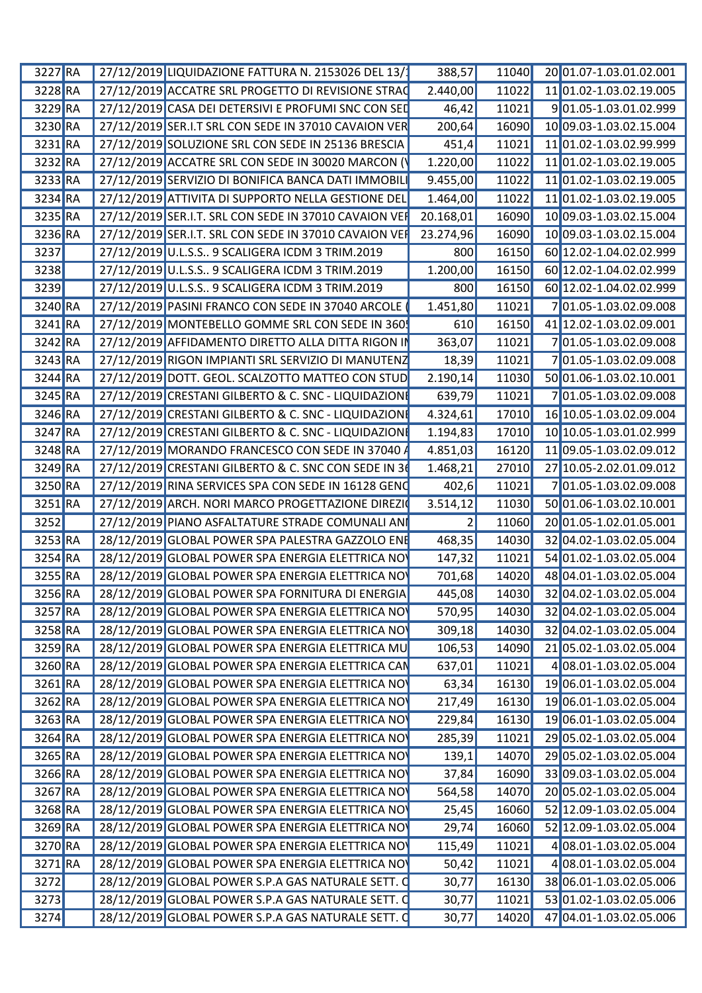| 3227 RA              | 27/12/2019 LIQUIDAZIONE FATTURA N. 2153026 DEL 13/       | 388,57    |       | 11040 20 01.07-1.03.01.02.001 |
|----------------------|----------------------------------------------------------|-----------|-------|-------------------------------|
| 3228 RA              | 27/12/2019 ACCATRE SRL PROGETTO DI REVISIONE STRAC       | 2.440,00  |       | 11022 11 01.02-1.03.02.19.005 |
| 3229 RA              | 27/12/2019 CASA DEI DETERSIVI E PROFUMI SNC CON SEI      | 46,42     | 11021 | 901.05-1.03.01.02.999         |
| 3230 RA              | 27/12/2019 SER.I.T SRL CON SEDE IN 37010 CAVAION VER     | 200,64    | 16090 | 10 09.03-1.03.02.15.004       |
| $3231$ <sub>RA</sub> | 27/12/2019 SOLUZIONE SRL CON SEDE IN 25136 BRESCIA       | 451,4     | 11021 | 11 01.02-1.03.02.99.999       |
| 3232 RA              | 27/12/2019 ACCATRE SRL CON SEDE IN 30020 MARCON          | 1.220,00  | 11022 | 11 01.02-1.03.02.19.005       |
| 3233 RA              | 27/12/2019 SERVIZIO DI BONIFICA BANCA DATI IMMOBIL       | 9.455,00  | 11022 | 11 01.02-1.03.02.19.005       |
| 3234 RA              | 27/12/2019 ATTIVITA DI SUPPORTO NELLA GESTIONE DEL       | 1.464,00  | 11022 | 11 01.02-1.03.02.19.005       |
| 3235 RA              | 27/12/2019 SER.I.T. SRL CON SEDE IN 37010 CAVAION VER    | 20.168,01 | 16090 | 10 09.03-1.03.02.15.004       |
| 3236 RA              | 27/12/2019 SER.I.T. SRL CON SEDE IN 37010 CAVAION VER    | 23.274,96 | 16090 | 10 09.03-1.03.02.15.004       |
| 3237                 | 27/12/2019 U.L.S.S 9 SCALIGERA ICDM 3 TRIM.2019          | 800       | 16150 | 60 12.02-1.04.02.02.999       |
| 3238                 | 27/12/2019 U.L.S.S 9 SCALIGERA ICDM 3 TRIM.2019          | 1.200,00  | 16150 | 60 12.02-1.04.02.02.999       |
| 3239                 | 27/12/2019 U.L.S.S 9 SCALIGERA ICDM 3 TRIM.2019          | 800       | 16150 | 60 12.02-1.04.02.02.999       |
| 3240 RA              | 27/12/2019 PASINI FRANCO CON SEDE IN 37040 ARCOLE        | 1.451,80  | 11021 | 701.05-1.03.02.09.008         |
| 3241 RA              | 27/12/2019 MONTEBELLO GOMME SRL CON SEDE IN 360          | 610       | 16150 | 41 12.02-1.03.02.09.001       |
| 3242 RA              | 27/12/2019 AFFIDAMENTO DIRETTO ALLA DITTA RIGON          | 363,07    | 11021 | 701.05-1.03.02.09.008         |
| 3243 RA              | 27/12/2019 RIGON IMPIANTI SRL SERVIZIO DI MANUTEN.       |           | 11021 | 701.05-1.03.02.09.008         |
|                      |                                                          | 18,39     |       |                               |
| 3244 RA              | 27/12/2019 DOTT. GEOL. SCALZOTTO MATTEO CON STUI         | 2.190,14  | 11030 | 50 01.06-1.03.02.10.001       |
| 3245 RA              | 27/12/2019 CRESTANI GILBERTO & C. SNC - LIQUIDAZION      | 639,79    | 11021 | 701.05-1.03.02.09.008         |
| 3246 RA              | 27/12/2019 CRESTANI GILBERTO & C. SNC - LIQUIDAZIONI     | 4.324,61  | 17010 | 16 10.05-1.03.02.09.004       |
| 3247 RA              | 27/12/2019 CRESTANI GILBERTO & C. SNC - LIQUIDAZION      | 1.194,83  | 17010 | 10 10.05-1.03.01.02.999       |
| 3248 RA              | 27/12/2019 MORANDO FRANCESCO CON SEDE IN 37040           | 4.851,03  | 16120 | 11 09.05-1.03.02.09.012       |
| 3249 RA              | 27/12/2019 CRESTANI GILBERTO & C. SNC CON SEDE IN 3      | 1.468,21  | 27010 | 27 10.05-2.02.01.09.012       |
| 3250 RA              | 27/12/2019 RINA SERVICES SPA CON SEDE IN 16128 GEN       | 402,6     | 11021 | 701.05-1.03.02.09.008         |
| 3251 RA              | 27/12/2019 ARCH. NORI MARCO PROGETTAZIONE DIREZI         | 3.514,12  | 11030 | 50 01.06-1.03.02.10.001       |
| 3252                 | 27/12/2019 PIANO ASFALTATURE STRADE COMUNALI AN          |           | 11060 | 20 01.05-1.02.01.05.001       |
| 3253 RA              | 28/12/2019 GLOBAL POWER SPA PALESTRA GAZZOLO EN          | 468,35    | 14030 | 32 04.02-1.03.02.05.004       |
| 3254 RA              | 28/12/2019 GLOBAL POWER SPA ENERGIA ELETTRICA NO         | 147,32    | 11021 | 54 01.02-1.03.02.05.004       |
| 3255 RA              | 28/12/2019 GLOBAL POWER SPA ENERGIA ELETTRICA NO         | 701,68    | 14020 | 48 04.01-1.03.02.05.004       |
|                      | 3256 RA 28/12/2019 GLOBAL POWER SPA FORNITURA DI ENERGIA | 445,08    |       | 14030 32 04.02-1.03.02.05.004 |
| 3257 RA              | 28/12/2019 GLOBAL POWER SPA ENERGIA ELETTRICA NO         | 570,95    |       | 14030 32 04.02-1.03.02.05.004 |
| 3258 RA              | 28/12/2019 GLOBAL POWER SPA ENERGIA ELETTRICA NO         | 309,18    |       | 14030 32 04.02-1.03.02.05.004 |
| $3259$ RA            | 28/12/2019 GLOBAL POWER SPA ENERGIA ELETTRICA MU         | 106,53    |       | 14090 21 05.02-1.03.02.05.004 |
| 3260 RA              | 28/12/2019 GLOBAL POWER SPA ENERGIA ELETTRICA CAN        | 637,01    | 11021 | 4 08.01-1.03.02.05.004        |
| $3261$ <sub>RA</sub> | 28/12/2019 GLOBAL POWER SPA ENERGIA ELETTRICA NO         | 63,34     |       | 16130 19 06.01-1.03.02.05.004 |
| 3262 RA              | 28/12/2019 GLOBAL POWER SPA ENERGIA ELETTRICA NO         | 217,49    |       | 16130 19 06.01-1.03.02.05.004 |
|                      | 28/12/2019 GLOBAL POWER SPA ENERGIA ELETTRICA NO         |           |       |                               |
| 3263 RA              |                                                          | 229,84    |       | 16130 19 06.01-1.03.02.05.004 |
| $3264$ RA            | 28/12/2019 GLOBAL POWER SPA ENERGIA ELETTRICA NO         | 285,39    |       | 11021 29 05.02-1.03.02.05.004 |
| 3265 RA              | 28/12/2019 GLOBAL POWER SPA ENERGIA ELETTRICA NO         | 139,1     |       | 14070 29 05.02-1.03.02.05.004 |
| 3266 RA              | 28/12/2019 GLOBAL POWER SPA ENERGIA ELETTRICA NO         | 37,84     |       | 16090 33 09.03-1.03.02.05.004 |
| $3267$ RA            | 28/12/2019 GLOBAL POWER SPA ENERGIA ELETTRICA NO         | 564,58    |       | 14070 20 05.02-1.03.02.05.004 |
| $3268$ RA            | 28/12/2019 GLOBAL POWER SPA ENERGIA ELETTRICA NO         | 25,45     |       | 16060 52 12.09-1.03.02.05.004 |
| $3269$ RA            | 28/12/2019 GLOBAL POWER SPA ENERGIA ELETTRICA NO         | 29,74     |       | 16060 52 12.09-1.03.02.05.004 |
| 3270 RA              | 28/12/2019 GLOBAL POWER SPA ENERGIA ELETTRICA NO         | 115,49    | 11021 | 4 08.01-1.03.02.05.004        |
| $3271$ <sub>RA</sub> | 28/12/2019 GLOBAL POWER SPA ENERGIA ELETTRICA NO         | 50,42     | 11021 | 4 08.01-1.03.02.05.004        |
| 3272                 | 28/12/2019 GLOBAL POWER S.P.A GAS NATURALE SETT. O       | 30,77     |       | 16130 38 06.01-1.03.02.05.006 |
| 3273                 | 28/12/2019 GLOBAL POWER S.P.A GAS NATURALE SETT.         | 30,77     |       | 11021 53 01.02-1.03.02.05.006 |
| 3274                 | 28/12/2019 GLOBAL POWER S.P.A GAS NATURALE SETT. O       | 30,77     |       | 14020 47 04.01-1.03.02.05.006 |
|                      |                                                          |           |       |                               |